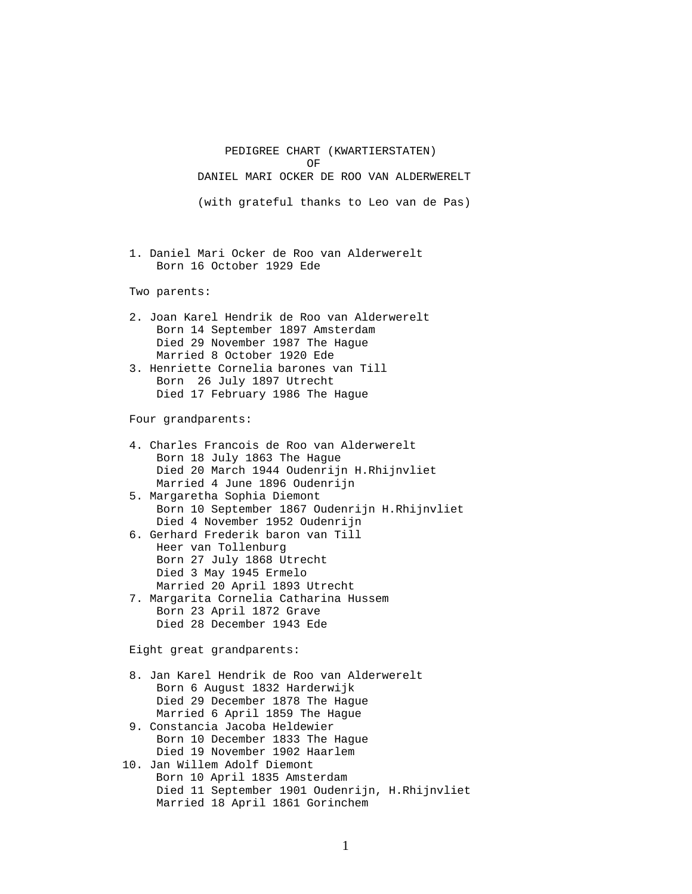PEDIGREE CHART (KWARTIERSTATEN) OF DANIEL MARI OCKER DE ROO VAN ALDERWERELT (with grateful thanks to Leo van de Pas)

> 1. Daniel Mari Ocker de Roo van Alderwerelt Born 16 October 1929 Ede

Two parents:

- 2. Joan Karel Hendrik de Roo van Alderwerelt Born 14 September 1897 Amsterdam Died 29 November 1987 The Hague Married 8 October 1920 Ede
- 3. Henriette Cornelia barones van Till Born 26 July 1897 Utrecht Died 17 February 1986 The Hague

Four grandparents:

- 4. Charles Francois de Roo van Alderwerelt Born 18 July 1863 The Hague Died 20 March 1944 Oudenrijn H.Rhijnvliet Married 4 June 1896 Oudenrijn 5. Margaretha Sophia Diemont Born 10 September 1867 Oudenrijn H.Rhijnvliet Died 4 November 1952 Oudenrijn 6. Gerhard Frederik baron van Till Heer van Tollenburg Born 27 July 1868 Utrecht Died 3 May 1945 Ermelo Married 20 April 1893 Utrecht 7. Margarita Cornelia Catharina Hussem Born 23 April 1872 Grave Died 28 December 1943 Ede Eight great grandparents: 8. Jan Karel Hendrik de Roo van Alderwerelt Born 6 August 1832 Harderwijk Died 29 December 1878 The Hague Married 6 April 1859 The Hague 9. Constancia Jacoba Heldewier Born 10 December 1833 The Hague Died 19 November 1902 Haarlem 10. Jan Willem Adolf Diemont Born 10 April 1835 Amsterdam
	- Died 11 September 1901 Oudenrijn, H.Rhijnvliet Married 18 April 1861 Gorinchem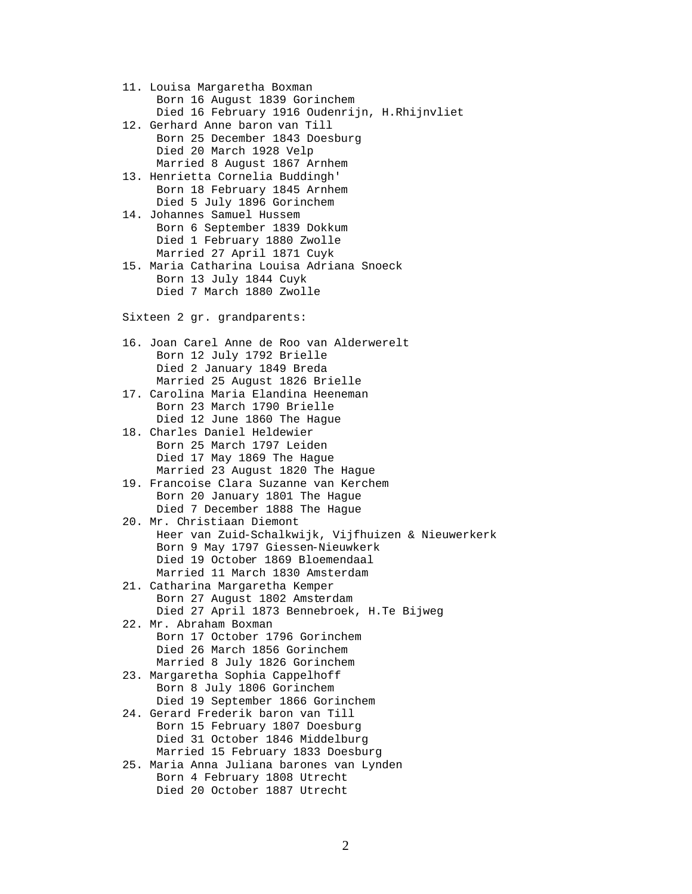11. Louisa Margaretha Boxman Born 16 August 1839 Gorinchem Died 16 February 1916 Oudenrijn, H.Rhijnvliet

- 12. Gerhard Anne baron van Till Born 25 December 1843 Doesburg Died 20 March 1928 Velp Married 8 August 1867 Arnhem
- 13. Henrietta Cornelia Buddingh' Born 18 February 1845 Arnhem Died 5 July 1896 Gorinchem
- 14. Johannes Samuel Hussem Born 6 September 1839 Dokkum Died 1 February 1880 Zwolle Married 27 April 1871 Cuyk
- 15. Maria Catharina Louisa Adriana Snoeck Born 13 July 1844 Cuyk Died 7 March 1880 Zwolle

Sixteen 2 gr. grandparents:

- 16. Joan Carel Anne de Roo van Alderwerelt Born 12 July 1792 Brielle Died 2 January 1849 Breda Married 25 August 1826 Brielle
- 17. Carolina Maria Elandina Heeneman Born 23 March 1790 Brielle Died 12 June 1860 The Hague
- 18. Charles Daniel Heldewier Born 25 March 1797 Leiden Died 17 May 1869 The Hague Married 23 August 1820 The Hague
- 19. Francoise Clara Suzanne van Kerchem Born 20 January 1801 The Hague Died 7 December 1888 The Hague
- 20. Mr. Christiaan Diemont Heer van Zuid-Schalkwijk, Vijfhuizen & Nieuwerkerk Born 9 May 1797 Giessen-Nieuwkerk Died 19 October 1869 Bloemendaal Married 11 March 1830 Amsterdam
- 21. Catharina Margaretha Kemper Born 27 August 1802 Amsterdam Died 27 April 1873 Bennebroek, H.Te Bijweg
- 22. Mr. Abraham Boxman Born 17 October 1796 Gorinchem Died 26 March 1856 Gorinchem Married 8 July 1826 Gorinchem
- 23. Margaretha Sophia Cappelhoff Born 8 July 1806 Gorinchem Died 19 September 1866 Gorinchem
- 24. Gerard Frederik baron van Till Born 15 February 1807 Doesburg Died 31 October 1846 Middelburg Married 15 February 1833 Doesburg
- 25. Maria Anna Juliana barones van Lynden Born 4 February 1808 Utrecht Died 20 October 1887 Utrecht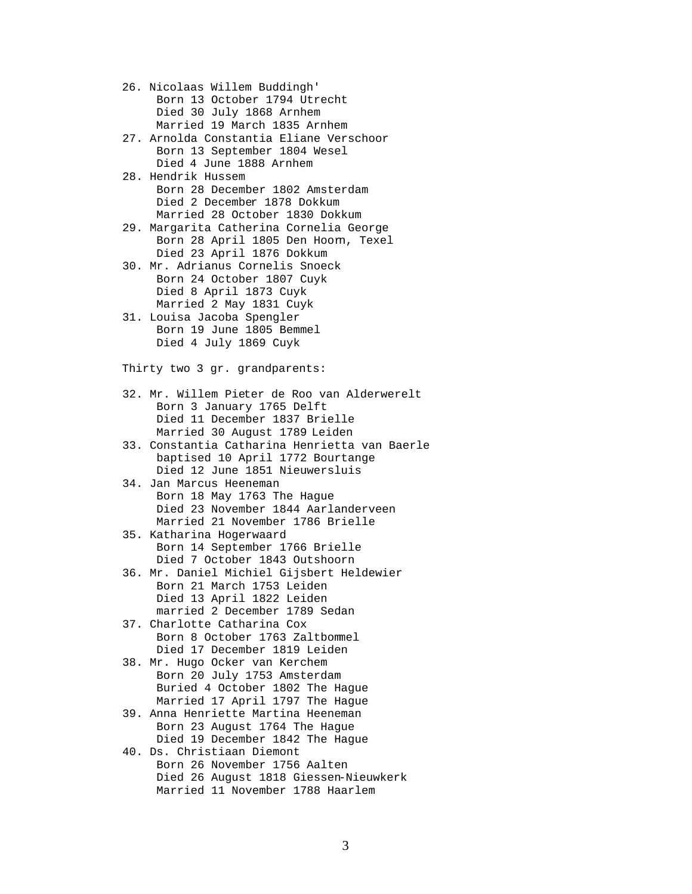26. Nicolaas Willem Buddingh' Born 13 October 1794 Utrecht Died 30 July 1868 Arnhem Married 19 March 1835 Arnhem 27. Arnolda Constantia Eliane Verschoor Born 13 September 1804 Wesel Died 4 June 1888 Arnhem 28. Hendrik Hussem Born 28 December 1802 Amsterdam Died 2 December 1878 Dokkum Married 28 October 1830 Dokkum 29. Margarita Catherina Cornelia George Born 28 April 1805 Den Hoom, Texel Died 23 April 1876 Dokkum 30. Mr. Adrianus Cornelis Snoeck Born 24 October 1807 Cuyk Died 8 April 1873 Cuyk Married 2 May 1831 Cuyk 31. Louisa Jacoba Spengler Born 19 June 1805 Bemmel Died 4 July 1869 Cuyk Thirty two 3 gr. grandparents: 32. Mr. Willem Pieter de Roo van Alderwerelt Born 3 January 1765 Delft Died 11 December 1837 Brielle Married 30 August 1789 Leiden 33. Constantia Catharina Henrietta van Baerle baptised 10 April 1772 Bourtange Died 12 June 1851 Nieuwersluis 34. Jan Marcus Heeneman Born 18 May 1763 The Hague Died 23 November 1844 Aarlanderveen Married 21 November 1786 Brielle 35. Katharina Hogerwaard Born 14 September 1766 Brielle Died 7 October 1843 Outshoorn 36. Mr. Daniel Michiel Gijsbert Heldewier Born 21 March 1753 Leiden Died 13 April 1822 Leiden married 2 December 1789 Sedan 37. Charlotte Catharina Cox Born 8 October 1763 Zaltbommel Died 17 December 1819 Leiden 38. Mr. Hugo Ocker van Kerchem Born 20 July 1753 Amsterdam

- Buried 4 October 1802 The Hague Married 17 April 1797 The Hague
- 39. Anna Henriette Martina Heeneman Born 23 August 1764 The Hague Died 19 December 1842 The Hague
- 40. Ds. Christiaan Diemont Born 26 November 1756 Aalten Died 26 August 1818 Giessen-Nieuwkerk Married 11 November 1788 Haarlem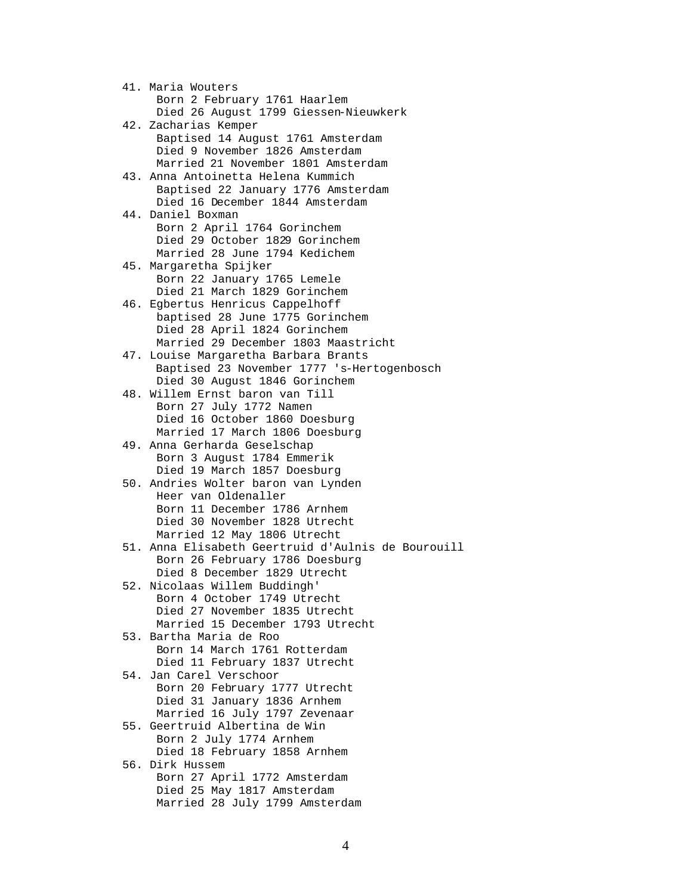41. Maria Wouters Born 2 February 1761 Haarlem Died 26 August 1799 Giessen-Nieuwkerk 42. Zacharias Kemper Baptised 14 August 1761 Amsterdam Died 9 November 1826 Amsterdam Married 21 November 1801 Amsterdam 43. Anna Antoinetta Helena Kummich Baptised 22 January 1776 Amsterdam Died 16 December 1844 Amsterdam 44. Daniel Boxman Born 2 April 1764 Gorinchem Died 29 October 1829 Gorinchem Married 28 June 1794 Kedichem 45. Margaretha Spijker Born 22 January 1765 Lemele Died 21 March 1829 Gorinchem 46. Egbertus Henricus Cappelhoff baptised 28 June 1775 Gorinchem Died 28 April 1824 Gorinchem Married 29 December 1803 Maastricht 47. Louise Margaretha Barbara Brants Baptised 23 November 1777 's-Hertogenbosch Died 30 August 1846 Gorinchem 48. Willem Ernst baron van Till Born 27 July 1772 Namen Died 16 October 1860 Doesburg Married 17 March 1806 Doesburg 49. Anna Gerharda Geselschap Born 3 August 1784 Emmerik Died 19 March 1857 Doesburg 50. Andries Wolter baron van Lynden Heer van Oldenaller Born 11 December 1786 Arnhem Died 30 November 1828 Utrecht Married 12 May 1806 Utrecht 51. Anna Elisabeth Geertruid d'Aulnis de Bourouill Born 26 February 1786 Doesburg Died 8 December 1829 Utrecht 52. Nicolaas Willem Buddingh' Born 4 October 1749 Utrecht Died 27 November 1835 Utrecht Married 15 December 1793 Utrecht 53. Bartha Maria de Roo Born 14 March 1761 Rotterdam Died 11 February 1837 Utrecht 54. Jan Carel Verschoor Born 20 February 1777 Utrecht Died 31 January 1836 Arnhem Married 16 July 1797 Zevenaar 55. Geertruid Albertina de Win Born 2 July 1774 Arnhem Died 18 February 1858 Arnhem 56. Dirk Hussem Born 27 April 1772 Amsterdam Died 25 May 1817 Amsterdam Married 28 July 1799 Amsterdam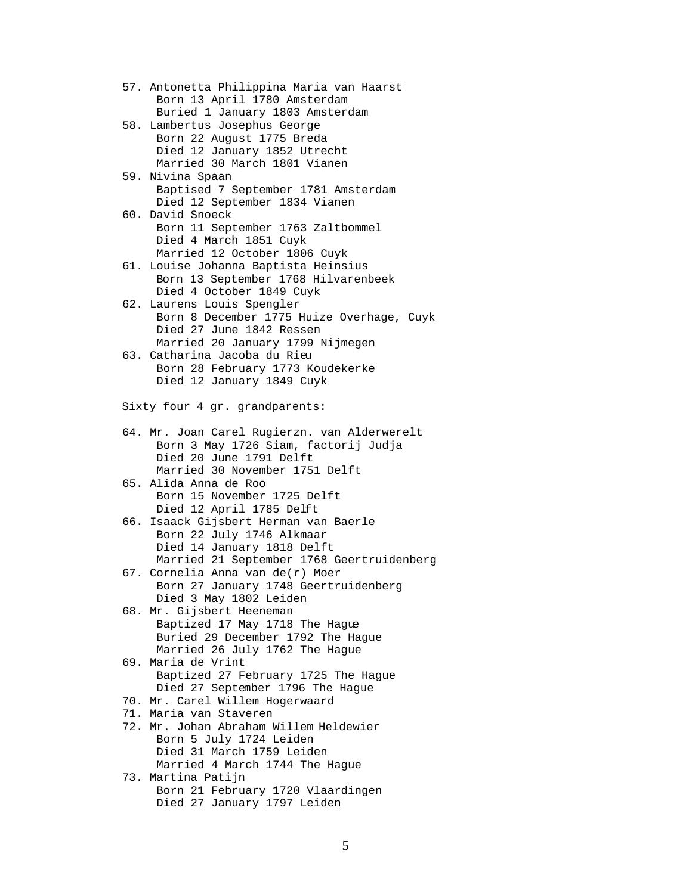57. Antonetta Philippina Maria van Haarst Born 13 April 1780 Amsterdam Buried 1 January 1803 Amsterdam 58. Lambertus Josephus George Born 22 August 1775 Breda Died 12 January 1852 Utrecht Married 30 March 1801 Vianen 59. Nivina Spaan Baptised 7 September 1781 Amsterdam Died 12 September 1834 Vianen 60. David Snoeck Born 11 September 1763 Zaltbommel Died 4 March 1851 Cuyk Married 12 October 1806 Cuyk 61. Louise Johanna Baptista Heinsius Born 13 September 1768 Hilvarenbeek Died 4 October 1849 Cuyk 62. Laurens Louis Spengler Born 8 December 1775 Huize Overhage, Cuyk Died 27 June 1842 Ressen Married 20 January 1799 Nijmegen 63. Catharina Jacoba du Rieu Born 28 February 1773 Koudekerke Died 12 January 1849 Cuyk Sixty four 4 gr. grandparents: 64. Mr. Joan Carel Rugierzn. van Alderwerelt Born 3 May 1726 Siam, factorij Judja Died 20 June 1791 Delft Married 30 November 1751 Delft 65. Alida Anna de Roo Born 15 November 1725 Delft Died 12 April 1785 Delft 66. Isaack Gijsbert Herman van Baerle Born 22 July 1746 Alkmaar Died 14 January 1818 Delft Married 21 September 1768 Geertruidenberg 67. Cornelia Anna van de(r) Moer Born 27 January 1748 Geertruidenberg Died 3 May 1802 Leiden 68. Mr. Gijsbert Heeneman Baptized 17 May 1718 The Hague Buried 29 December 1792 The Hague Married 26 July 1762 The Hague 69. Maria de Vrint Baptized 27 February 1725 The Hague Died 27 September 1796 The Hague 70. Mr. Carel Willem Hogerwaard 71. Maria van Staveren 72. Mr. Johan Abraham Willem Heldewier Born 5 July 1724 Leiden Died 31 March 1759 Leiden Married 4 March 1744 The Hague 73. Martina Patijn Born 21 February 1720 Vlaardingen Died 27 January 1797 Leiden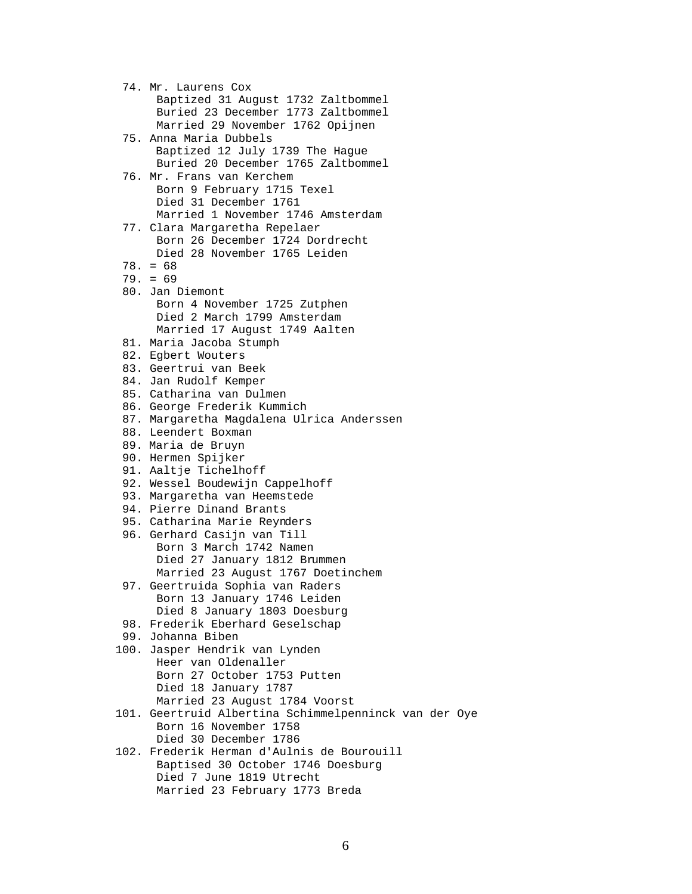74. Mr. Laurens Cox Baptized 31 August 1732 Zaltbommel Buried 23 December 1773 Zaltbommel Married 29 November 1762 Opijnen 75. Anna Maria Dubbels Baptized 12 July 1739 The Hague Buried 20 December 1765 Zaltbommel 76. Mr. Frans van Kerchem Born 9 February 1715 Texel Died 31 December 1761 Married 1 November 1746 Amsterdam 77. Clara Margaretha Repelaer Born 26 December 1724 Dordrecht Died 28 November 1765 Leiden 78. = 68 79. = 69 80. Jan Diemont Born 4 November 1725 Zutphen Died 2 March 1799 Amsterdam Married 17 August 1749 Aalten 81. Maria Jacoba Stumph 82. Egbert Wouters 83. Geertrui van Beek 84. Jan Rudolf Kemper 85. Catharina van Dulmen 86. George Frederik Kummich 87. Margaretha Magdalena Ulrica Anderssen 88. Leendert Boxman 89. Maria de Bruyn 90. Hermen Spijker 91. Aaltje Tichelhoff 92. Wessel Boudewijn Cappelhoff 93. Margaretha van Heemstede 94. Pierre Dinand Brants 95. Catharina Marie Reynders 96. Gerhard Casijn van Till Born 3 March 1742 Namen Died 27 January 1812 Brummen Married 23 August 1767 Doetinchem 97. Geertruida Sophia van Raders Born 13 January 1746 Leiden Died 8 January 1803 Doesburg 98. Frederik Eberhard Geselschap 99. Johanna Biben 100. Jasper Hendrik van Lynden Heer van Oldenaller Born 27 October 1753 Putten Died 18 January 1787 Married 23 August 1784 Voorst 101. Geertruid Albertina Schimmelpenninck van der Oye Born 16 November 1758 Died 30 December 1786 102. Frederik Herman d'Aulnis de Bourouill Baptised 30 October 1746 Doesburg Died 7 June 1819 Utrecht

Married 23 February 1773 Breda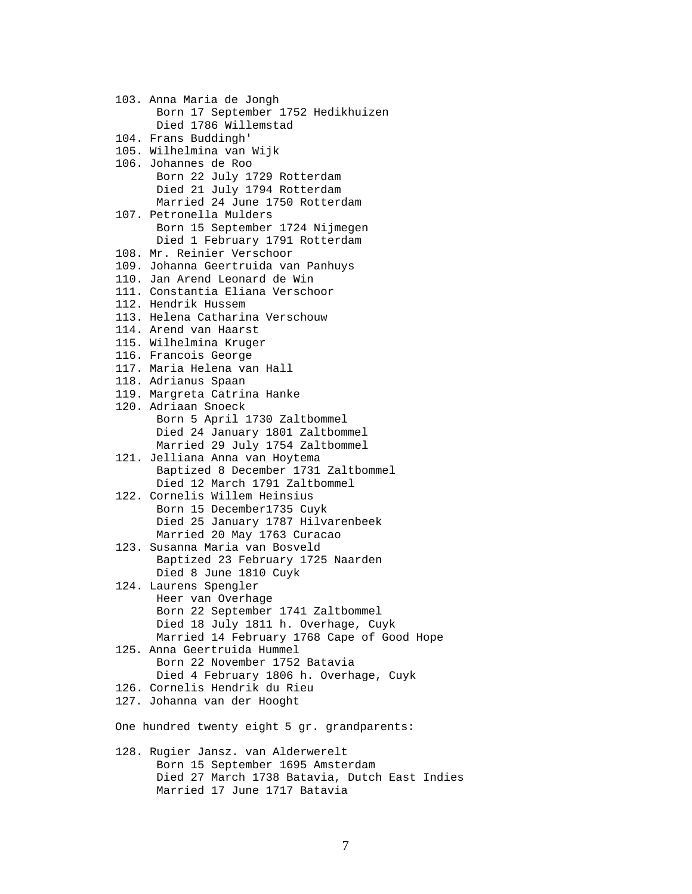103. Anna Maria de Jongh Born 17 September 1752 Hedikhuizen Died 1786 Willemstad 104. Frans Buddingh' 105. Wilhelmina van Wijk 106. Johannes de Roo Born 22 July 1729 Rotterdam Died 21 July 1794 Rotterdam Married 24 June 1750 Rotterdam 107. Petronella Mulders Born 15 September 1724 Nijmegen Died 1 February 1791 Rotterdam 108. Mr. Reinier Verschoor 109. Johanna Geertruida van Panhuys 110. Jan Arend Leonard de Win 111. Constantia Eliana Verschoor 112. Hendrik Hussem 113. Helena Catharina Verschouw 114. Arend van Haarst 115. Wilhelmina Kruger 116. Francois George 117. Maria Helena van Hall 118. Adrianus Spaan 119. Margreta Catrina Hanke 120. Adriaan Snoeck Born 5 April 1730 Zaltbommel Died 24 January 1801 Zaltbommel Married 29 July 1754 Zaltbommel 121. Jelliana Anna van Hoytema Baptized 8 December 1731 Zaltbommel Died 12 March 1791 Zaltbommel 122. Cornelis Willem Heinsius Born 15 December1735 Cuyk Died 25 January 1787 Hilvarenbeek Married 20 May 1763 Curacao 123. Susanna Maria van Bosveld Baptized 23 February 1725 Naarden Died 8 June 1810 Cuyk 124. Laurens Spengler Heer van Overhage Born 22 September 1741 Zaltbommel Died 18 July 1811 h. Overhage, Cuyk Married 14 February 1768 Cape of Good Hope 125. Anna Geertruida Hummel Born 22 November 1752 Batavia Died 4 February 1806 h. Overhage, Cuyk 126. Cornelis Hendrik du Rieu 127. Johanna van der Hooght One hundred twenty eight 5 gr. grandparents: 128. Rugier Jansz. van Alderwerelt Born 15 September 1695 Amsterdam Died 27 March 1738 Batavia, Dutch East Indies Married 17 June 1717 Batavia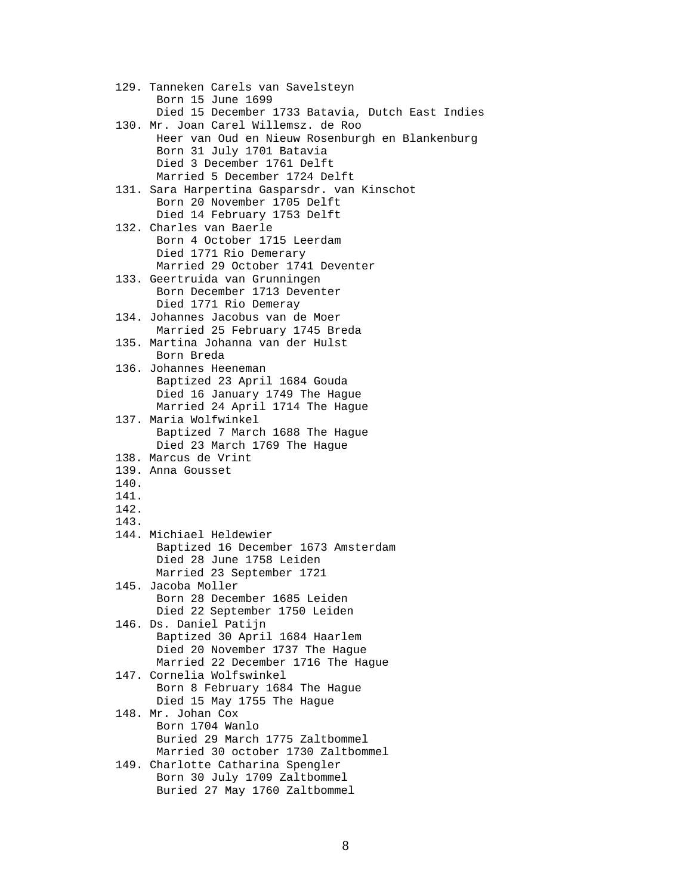129. Tanneken Carels van Savelsteyn Born 15 June 1699 Died 15 December 1733 Batavia, Dutch East Indies 130. Mr. Joan Carel Willemsz. de Roo Heer van Oud en Nieuw Rosenburgh en Blankenburg Born 31 July 1701 Batavia Died 3 December 1761 Delft Married 5 December 1724 Delft 131. Sara Harpertina Gasparsdr. van Kinschot Born 20 November 1705 Delft Died 14 February 1753 Delft 132. Charles van Baerle Born 4 October 1715 Leerdam Died 1771 Rio Demerary Married 29 October 1741 Deventer 133. Geertruida van Grunningen Born December 1713 Deventer Died 1771 Rio Demeray 134. Johannes Jacobus van de Moer Married 25 February 1745 Breda 135. Martina Johanna van der Hulst Born Breda 136. Johannes Heeneman Baptized 23 April 1684 Gouda Died 16 January 1749 The Hague Married 24 April 1714 The Hague 137. Maria Wolfwinkel Baptized 7 March 1688 The Hague Died 23 March 1769 The Hague 138. Marcus de Vrint 139. Anna Gousset 140. 141. 142. 143. 144. Michiael Heldewier Baptized 16 December 1673 Amsterdam Died 28 June 1758 Leiden Married 23 September 1721 145. Jacoba Moller Born 28 December 1685 Leiden Died 22 September 1750 Leiden 146. Ds. Daniel Patijn Baptized 30 April 1684 Haarlem Died 20 November 1737 The Hague Married 22 December 1716 The Hague 147. Cornelia Wolfswinkel Born 8 February 1684 The Hague Died 15 May 1755 The Hague 148. Mr. Johan Cox Born 1704 Wanlo Buried 29 March 1775 Zaltbommel Married 30 october 1730 Zaltbommel 149. Charlotte Catharina Spengler Born 30 July 1709 Zaltbommel Buried 27 May 1760 Zaltbommel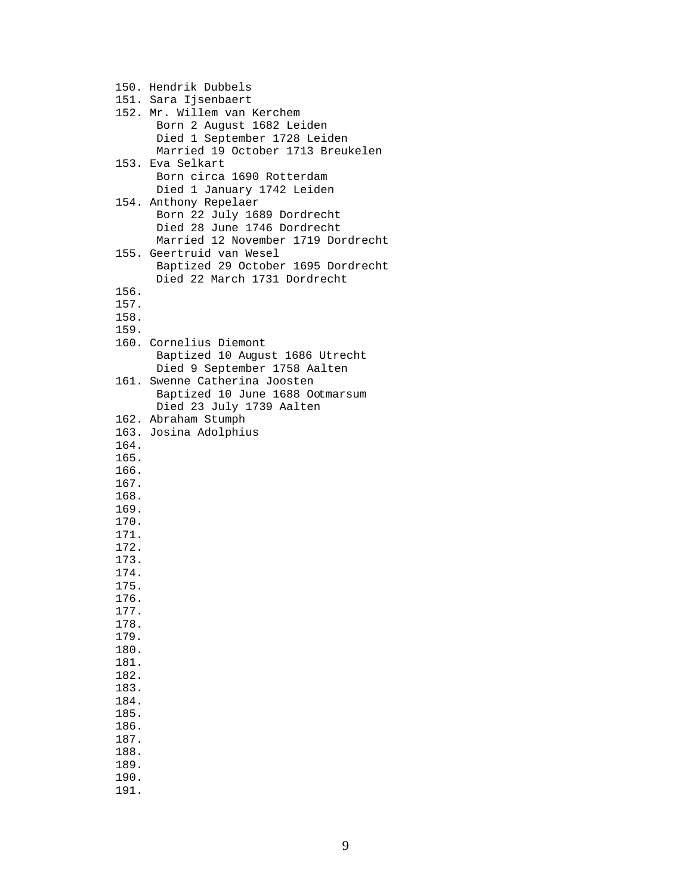150. Hendrik Dubbels 151. Sara Ijsenbaert 152. Mr. Willem van Kerchem Born 2 August 1682 Leiden Died 1 September 1728 Leiden Married 19 October 1713 Breukelen 153. Eva Selkart Born circa 1690 Rotterdam Died 1 January 1742 Leiden 154. Anthony Repelaer Born 22 July 1689 Dordrecht Died 28 June 1746 Dordrecht Married 12 November 1719 Dordrecht 155. Geertruid van Wesel Baptized 29 October 1695 Dordrecht Died 22 March 1731 Dordrecht 156. 157. 158. 159. 160. Cornelius Diemont Baptized 10 August 1686 Utrecht Died 9 September 1758 Aalten 161. Swenne Catherina Joosten Baptized 10 June 1688 Ootmarsum Died 23 July 1739 Aalten 162. Abraham Stumph 163. Josina Adolphius 164. 165. 166. 167. 168. 169. 170. 171. 172. 173. 174. 175. 176. 177. 178. 179. 180. 181. 182. 183. 184. 185. 186. 187. 188. 189. 190.

191.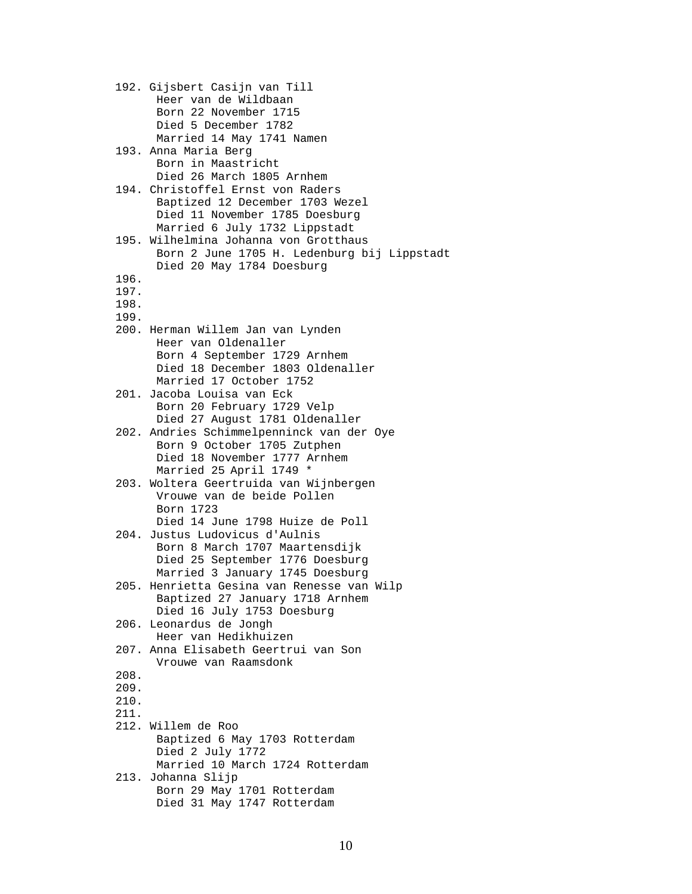192. Gijsbert Casijn van Till Heer van de Wildbaan Born 22 November 1715 Died 5 December 1782 Married 14 May 1741 Namen 193. Anna Maria Berg Born in Maastricht Died 26 March 1805 Arnhem 194. Christoffel Ernst von Raders Baptized 12 December 1703 Wezel Died 11 November 1785 Doesburg Married 6 July 1732 Lippstadt 195. Wilhelmina Johanna von Grotthaus Born 2 June 1705 H. Ledenburg bij Lippstadt Died 20 May 1784 Doesburg 196. 197. 198. 199. 200. Herman Willem Jan van Lynden Heer van Oldenaller Born 4 September 1729 Arnhem Died 18 December 1803 Oldenaller Married 17 October 1752 201. Jacoba Louisa van Eck Born 20 February 1729 Velp Died 27 August 1781 Oldenaller 202. Andries Schimmelpenninck van der Oye Born 9 October 1705 Zutphen Died 18 November 1777 Arnhem Married 25 April 1749 \* 203. Woltera Geertruida van Wijnbergen Vrouwe van de beide Pollen Born 1723 Died 14 June 1798 Huize de Poll 204. Justus Ludovicus d'Aulnis Born 8 March 1707 Maartensdijk Died 25 September 1776 Doesburg Married 3 January 1745 Doesburg 205. Henrietta Gesina van Renesse van Wilp Baptized 27 January 1718 Arnhem Died 16 July 1753 Doesburg 206. Leonardus de Jongh Heer van Hedikhuizen 207. Anna Elisabeth Geertrui van Son Vrouwe van Raamsdonk 208. 209. 210. 211. 212. Willem de Roo Baptized 6 May 1703 Rotterdam Died 2 July 1772 Married 10 March 1724 Rotterdam 213. Johanna Slijp Born 29 May 1701 Rotterdam Died 31 May 1747 Rotterdam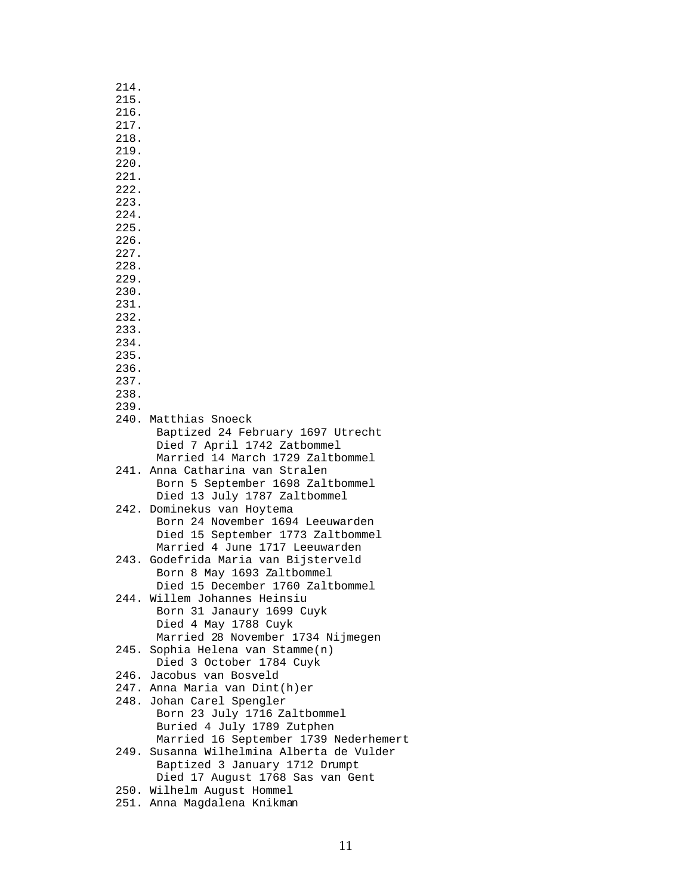| 214. |                                                         |
|------|---------------------------------------------------------|
| 215. |                                                         |
|      |                                                         |
| 216. |                                                         |
| 217. |                                                         |
| 218. |                                                         |
| 219. |                                                         |
| 220. |                                                         |
| 221. |                                                         |
| 222. |                                                         |
| 223. |                                                         |
| 224. |                                                         |
| 225. |                                                         |
| 226. |                                                         |
| 227. |                                                         |
| 228. |                                                         |
| 229. |                                                         |
| 230. |                                                         |
| 231. |                                                         |
| 232. |                                                         |
| 233. |                                                         |
| 234. |                                                         |
| 235. |                                                         |
| 236. |                                                         |
| 237. |                                                         |
| 238. |                                                         |
| 239. |                                                         |
|      | 240. Matthias Snoeck                                    |
|      | Baptized 24 February 1697 Utrecht                       |
|      | Died 7 April 1742 Zatbommel                             |
|      | Married 14 March 1729 Zaltbommel                        |
|      | 241. Anna Catharina van Stralen                         |
|      | Born 5 September 1698 Zaltbommel                        |
|      | Died 13 July 1787 Zaltbommel                            |
|      | 242. Dominekus van Hoytema                              |
|      | Born 24 November 1694 Leeuwarden                        |
|      | Died 15 September 1773 Zaltbommel                       |
|      | Married 4 June 1717 Leeuwarden                          |
|      | 243. Godefrida Maria van Bijsterveld                    |
|      | Born 8 May 1693 Zaltbommel                              |
|      | Died 15 December 1760 Zaltbommel                        |
|      | 244. Willem Johannes Heinsiu                            |
|      | Born 31 Janaury 1699 Cuyk                               |
|      | Died 4 May 1788 Cuyk                                    |
|      | Married 28 November 1734 Nijmegen                       |
| 245. |                                                         |
|      | Sophia Helena van Stamme(n)<br>Died 3 October 1784 Cuyk |
|      | 246. Jacobus van Bosveld                                |
|      | 247. Anna Maria van Dint(h)er                           |
|      | 248. Johan Carel Spengler                               |
|      |                                                         |
|      | Born 23 July 1716 Zaltbommel                            |
|      | Buried 4 July 1789 Zutphen                              |
|      | Married 16 September 1739 Nederhemert                   |
|      | 249. Susanna Wilhelmina Alberta de Vulder               |
|      | Baptized 3 January 1712 Drumpt                          |
|      | Died 17 August 1768 Sas van Gent                        |
|      | 250. Wilhelm August Hommel                              |
|      | 251. Anna Magdalena Knikman                             |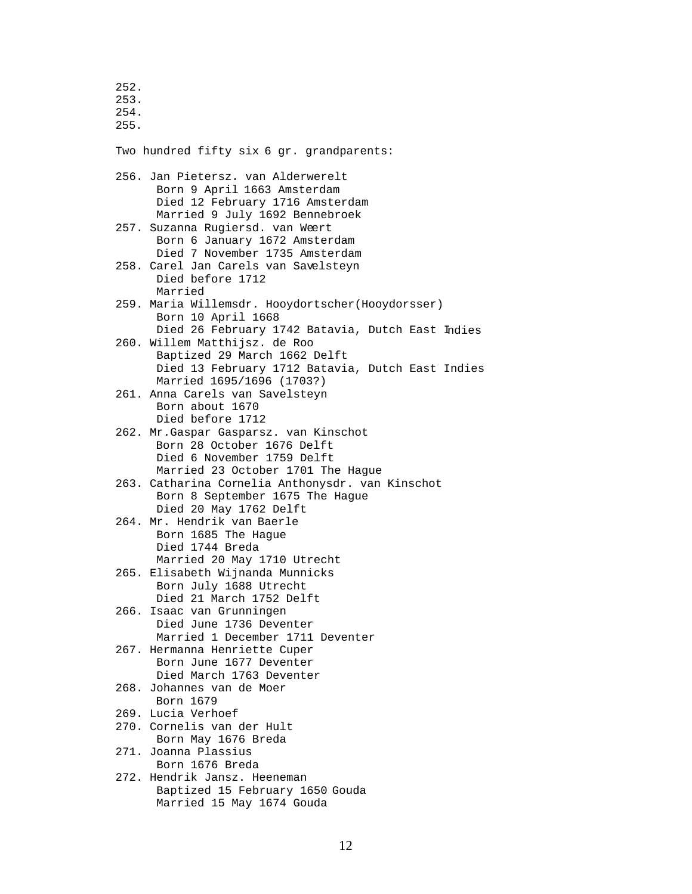253. 254. 255. Two hundred fifty six 6 gr. grandparents: 256. Jan Pietersz. van Alderwerelt Born 9 April 1663 Amsterdam Died 12 February 1716 Amsterdam Married 9 July 1692 Bennebroek 257. Suzanna Rugiersd. van Weert Born 6 January 1672 Amsterdam Died 7 November 1735 Amsterdam 258. Carel Jan Carels van Savelsteyn Died before 1712 Married 259. Maria Willemsdr. Hooydortscher(Hooydorsser) Born 10 April 1668 Died 26 February 1742 Batavia, Dutch East Indies 260. Willem Matthijsz. de Roo Baptized 29 March 1662 Delft Died 13 February 1712 Batavia, Dutch East Indies Married 1695/1696 (1703?) 261. Anna Carels van Savelsteyn Born about 1670 Died before 1712 262. Mr.Gaspar Gasparsz. van Kinschot Born 28 October 1676 Delft Died 6 November 1759 Delft Married 23 October 1701 The Hague 263. Catharina Cornelia Anthonysdr. van Kinschot Born 8 September 1675 The Hague Died 20 May 1762 Delft 264. Mr. Hendrik van Baerle Born 1685 The Hague Died 1744 Breda Married 20 May 1710 Utrecht 265. Elisabeth Wijnanda Munnicks Born July 1688 Utrecht Died 21 March 1752 Delft 266. Isaac van Grunningen Died June 1736 Deventer Married 1 December 1711 Deventer 267. Hermanna Henriette Cuper Born June 1677 Deventer Died March 1763 Deventer 268. Johannes van de Moer Born 1679 269. Lucia Verhoef 270. Cornelis van der Hult Born May 1676 Breda 271. Joanna Plassius Born 1676 Breda 272. Hendrik Jansz. Heeneman Baptized 15 February 1650 Gouda Married 15 May 1674 Gouda

252.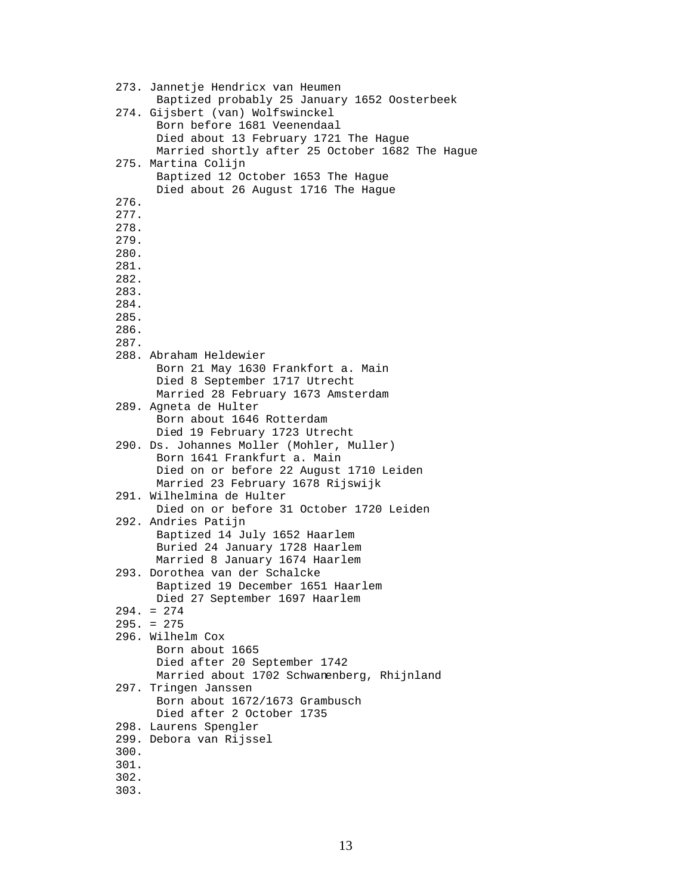```
 273. Jannetje Hendricx van Heumen 
      Baptized probably 25 January 1652 Oosterbeek 
274. Gijsbert (van) Wolfswinckel 
      Born before 1681 Veenendaal 
      Died about 13 February 1721 The Hague 
      Married shortly after 25 October 1682 The Hague 
275. Martina Colijn 
      Baptized 12 October 1653 The Hague 
      Died about 26 August 1716 The Hague 
276. 
277. 
278. 
279. 
280. 
281. 
282. 
283. 
284. 
285. 
286. 
287. 
288. Abraham Heldewier 
      Born 21 May 1630 Frankfort a. Main
      Died 8 September 1717 Utrecht
      Married 28 February 1673 Amsterdam
289. Agneta de Hulter
      Born about 1646 Rotterdam
      Died 19 February 1723 Utrecht 
290. Ds. Johannes Moller (Mohler, Muller)
      Born 1641 Frankfurt a. Main
      Died on or before 22 August 1710 Leiden 
      Married 23 February 1678 Rijswijk 
291. Wilhelmina de Hulter
      Died on or before 31 October 1720 Leiden 
292. Andries Patijn 
      Baptized 14 July 1652 Haarlem 
      Buried 24 January 1728 Haarlem 
      Married 8 January 1674 Haarlem 
293. Dorothea van der Schalcke 
      Baptized 19 December 1651 Haarlem 
      Died 27 September 1697 Haarlem 
294. = 274 
295. = 275
296. Wilhelm Cox
      Born about 1665
      Died after 20 September 1742
      Married about 1702 Schwanenberg, Rhijnland 
297. Tringen Janssen
      Born about 1672/1673 Grambusch
      Died after 2 October 1735 
298. Laurens Spengler 
299. Debora van Rijssel 
300. 
301. 
302. 
303.
```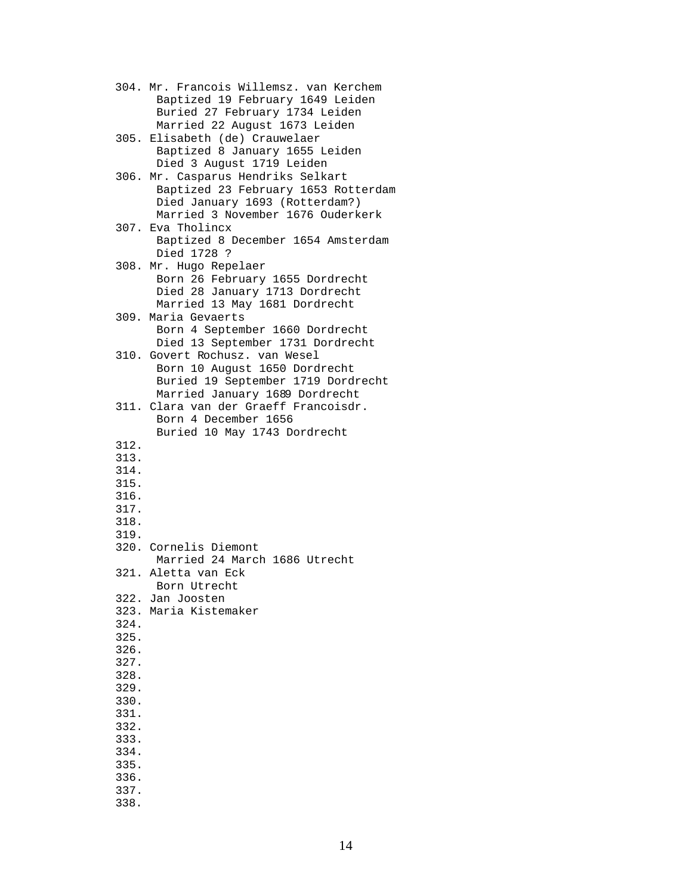```
 304. Mr. Francois Willemsz. van Kerchem 
      Baptized 19 February 1649 Leiden 
      Buried 27 February 1734 Leiden 
      Married 22 August 1673 Leiden 
305. Elisabeth (de) Crauwelaer 
      Baptized 8 January 1655 Leiden 
      Died 3 August 1719 Leiden 
306. Mr. Casparus Hendriks Selkart 
      Baptized 23 February 1653 Rotterdam 
      Died January 1693 (Rotterdam?) 
      Married 3 November 1676 Ouderkerk 
307. Eva Tholincx 
      Baptized 8 December 1654 Amsterdam 
      Died 1728 ? 
308. Mr. Hugo Repelaer 
      Born 26 February 1655 Dordrecht 
      Died 28 January 1713 Dordrecht 
      Married 13 May 1681 Dordrecht 
309. Maria Gevaerts 
      Born 4 September 1660 Dordrecht 
      Died 13 September 1731 Dordrecht 
310. Govert Rochusz. van Wesel 
      Born 10 August 1650 Dordrecht 
      Buried 19 September 1719 Dordrecht 
      Married January 1689 Dordrecht 
311. Clara van der Graeff Francoisdr. 
      Born 4 December 1656 
      Buried 10 May 1743 Dordrecht 
312. 
313. 
314. 
315. 
316. 
317. 
318. 
319. 
320. Cornelis Diemont
      Married 24 March 1686 Utrecht 
321. Aletta van Eck
      Born Utrecht 
322. Jan Joosten 
323. Maria Kistemaker 
324. 
325. 
326. 
327. 
328. 
329. 
330. 
331. 
332. 
333. 
334. 
335. 
336. 
337. 
338.
```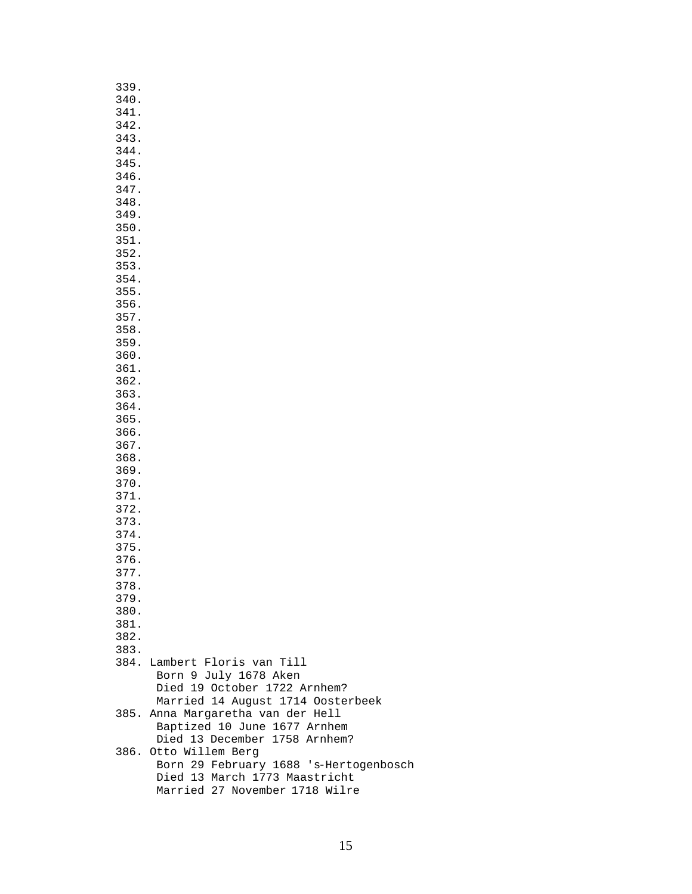| 339. |                                        |
|------|----------------------------------------|
| 340. |                                        |
| 341. |                                        |
|      |                                        |
| 342. |                                        |
| 343. |                                        |
| 344. |                                        |
| 345. |                                        |
|      |                                        |
| 346. |                                        |
| 347. |                                        |
| 348. |                                        |
| 349. |                                        |
|      |                                        |
| 350. |                                        |
| 351. |                                        |
| 352. |                                        |
| 353. |                                        |
|      |                                        |
| 354. |                                        |
| 355. |                                        |
| 356. |                                        |
| 357. |                                        |
| 358. |                                        |
|      |                                        |
| 359. |                                        |
| 360. |                                        |
| 361. |                                        |
| 362. |                                        |
|      |                                        |
| 363. |                                        |
| 364. |                                        |
| 365. |                                        |
| 366. |                                        |
|      |                                        |
| 367. |                                        |
| 368. |                                        |
| 369. |                                        |
| 370. |                                        |
| 371. |                                        |
|      |                                        |
| 372. |                                        |
| 373. |                                        |
| 374. |                                        |
| 375. |                                        |
| 376. |                                        |
|      |                                        |
| 377. |                                        |
| 378. |                                        |
| 379. |                                        |
| 380. |                                        |
| 381. |                                        |
|      |                                        |
| 382. |                                        |
| 383. |                                        |
|      | 384. Lambert Floris van Till           |
|      | Born 9 July 1678 Aken                  |
|      |                                        |
|      | Died 19 October 1722 Arnhem?           |
|      | Married 14 August 1714 Oosterbeek      |
|      | 385. Anna Margaretha van der Hell      |
|      | Baptized 10 June 1677 Arnhem           |
|      | Died 13 December 1758 Arnhem?          |
|      |                                        |
|      | 386. Otto Willem Berg                  |
|      | Born 29 February 1688 's-Hertogenbosch |
|      | Died 13 March 1773 Maastricht          |
|      | Married 27 November 1718 Wilre         |
|      |                                        |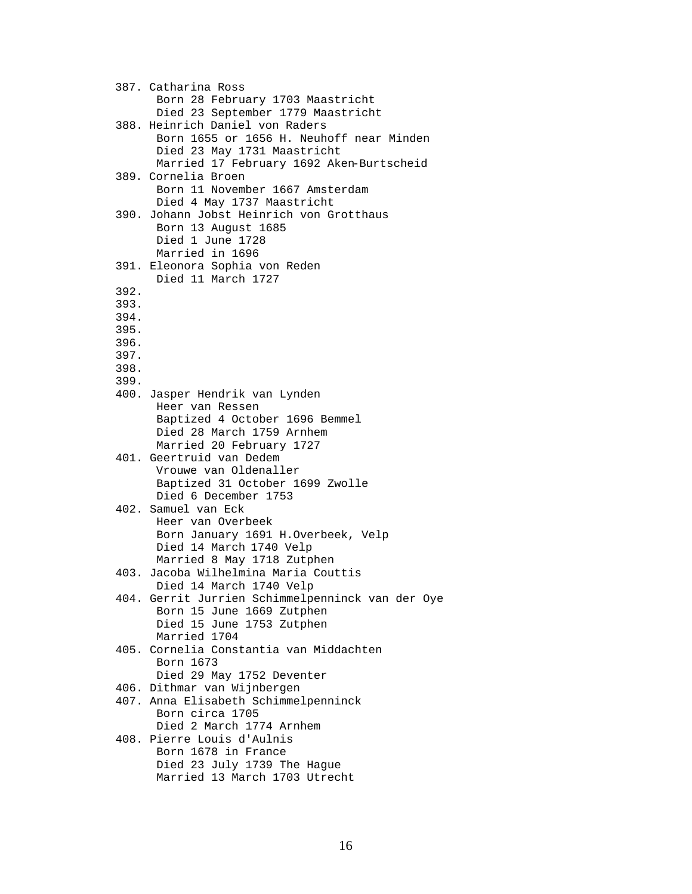387. Catharina Ross Born 28 February 1703 Maastricht Died 23 September 1779 Maastricht 388. Heinrich Daniel von Raders Born 1655 or 1656 H. Neuhoff near Minden Died 23 May 1731 Maastricht Married 17 February 1692 Aken-Burtscheid 389. Cornelia Broen Born 11 November 1667 Amsterdam Died 4 May 1737 Maastricht 390. Johann Jobst Heinrich von Grotthaus Born 13 August 1685 Died 1 June 1728 Married in 1696 391. Eleonora Sophia von Reden Died 11 March 1727 392. 393. 394. 395. 396. 397. 398. 399. 400. Jasper Hendrik van Lynden Heer van Ressen Baptized 4 October 1696 Bemmel Died 28 March 1759 Arnhem Married 20 February 1727 401. Geertruid van Dedem Vrouwe van Oldenaller Baptized 31 October 1699 Zwolle Died 6 December 1753 402. Samuel van Eck Heer van Overbeek Born January 1691 H.Overbeek, Velp Died 14 March 1740 Velp Married 8 May 1718 Zutphen 403. Jacoba Wilhelmina Maria Couttis Died 14 March 1740 Velp 404. Gerrit Jurrien Schimmelpenninck van der Oye Born 15 June 1669 Zutphen Died 15 June 1753 Zutphen Married 1704 405. Cornelia Constantia van Middachten Born 1673 Died 29 May 1752 Deventer 406. Dithmar van Wijnbergen 407. Anna Elisabeth Schimmelpenninck Born circa 1705 Died 2 March 1774 Arnhem 408. Pierre Louis d'Aulnis Born 1678 in France Died 23 July 1739 The Hague Married 13 March 1703 Utrecht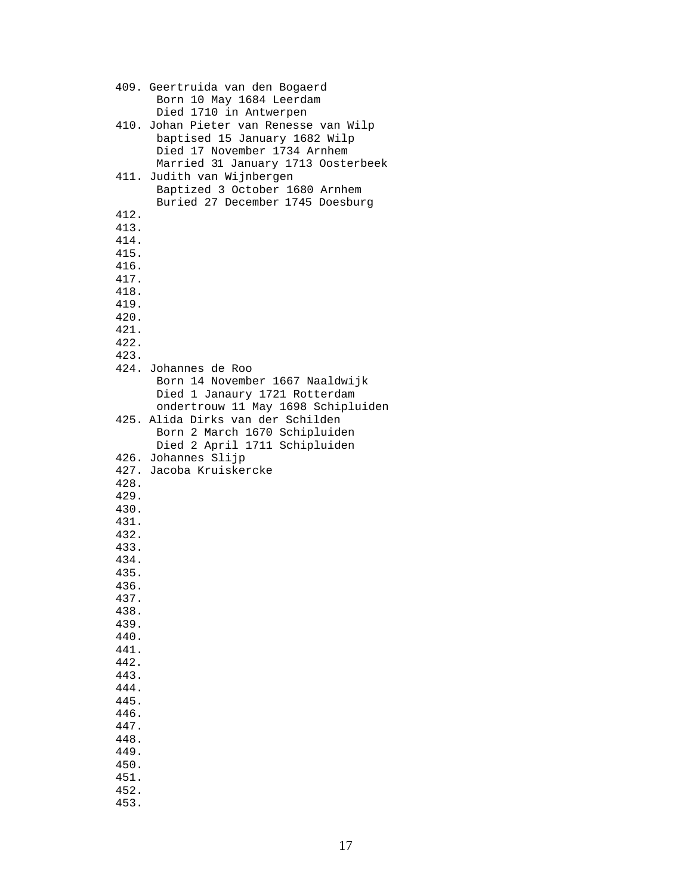409. Geertruida van den Bogaerd Born 10 May 1684 Leerdam Died 1710 in Antwerpen 410. Johan Pieter van Renesse van Wilp baptised 15 January 1682 Wilp Died 17 November 1734 Arnhem Married 31 January 1713 Oosterbeek 411. Judith van Wijnbergen Baptized 3 October 1680 Arnhem Buried 27 December 1745 Doesburg 412. 413. 414. 415. 416. 417. 418. 419. 420. 421. 422. 423. 424. Johannes de Roo Born 14 November 1667 Naaldwijk Died 1 Janaury 1721 Rotterdam ondertrouw 11 May 1698 Schipluiden 425. Alida Dirks van der Schilden Born 2 March 1670 Schipluiden Died 2 April 1711 Schipluiden 426. Johannes Slijp 427. Jacoba Kruiskercke 428. 429. 430. 431. 432. 433. 434. 435. 436. 437. 438. 439. 440. 441. 442. 443. 444. 445. 446. 447. 448. 449. 450. 451. 452. 453.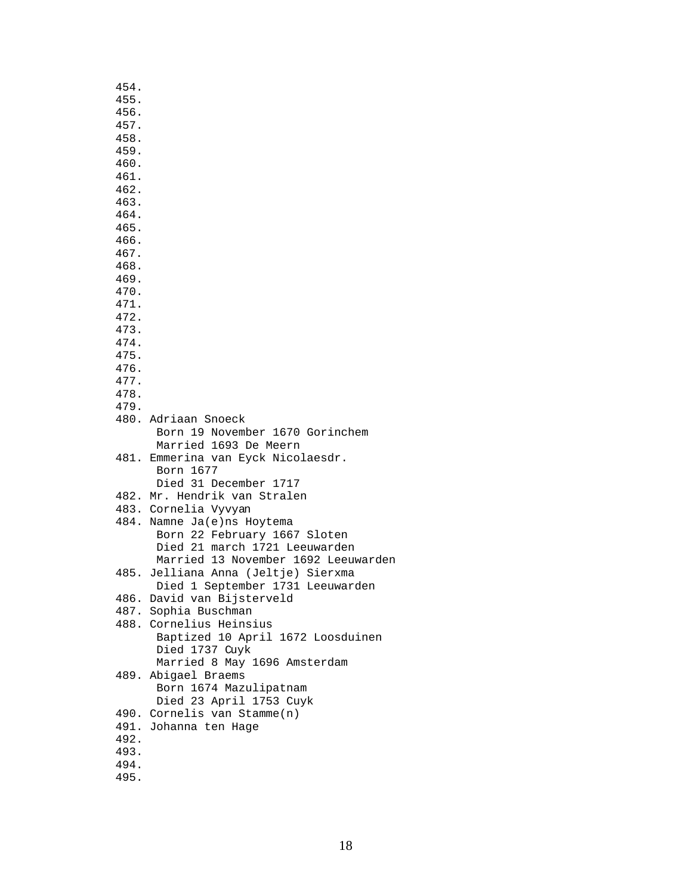| 454.         |                                                     |
|--------------|-----------------------------------------------------|
| 455.         |                                                     |
| 456.         |                                                     |
| 457.         |                                                     |
| 458.         |                                                     |
| 459.<br>460. |                                                     |
| 461.         |                                                     |
| 462.         |                                                     |
| 463.         |                                                     |
| 464.         |                                                     |
| 465.         |                                                     |
| 466.         |                                                     |
| 467.         |                                                     |
| 468.         |                                                     |
| 469.         |                                                     |
| 470.         |                                                     |
| 471.         |                                                     |
| 472.         |                                                     |
| 473.         |                                                     |
| 474.<br>475. |                                                     |
| 476.         |                                                     |
| 477.         |                                                     |
| 478.         |                                                     |
| 479.         |                                                     |
|              | 480. Adriaan Snoeck                                 |
|              | Born 19 November 1670 Gorinchem                     |
|              | Married 1693 De Meern                               |
|              | 481. Emmerina van Eyck Nicolaesdr.                  |
|              | Born 1677                                           |
|              | Died 31 December 1717                               |
|              | 482. Mr. Hendrik van Stralen                        |
|              | 483. Cornelia Vyvyan<br>484. Namne Ja(e)ns Hoytema  |
|              | Born 22 February 1667 Sloten                        |
|              | Died 21 march 1721 Leeuwarden                       |
|              | Married 13 November 1692 Leeuwarden                 |
|              | 485. Jelliana Anna (Jeltje) Sierxma                 |
|              | Died 1 September 1731 Leeuwarden                    |
|              | 486. David van Bijsterveld                          |
|              | 487. Sophia Buschman                                |
|              | 488. Cornelius Heinsius                             |
|              | Baptized 10 April 1672 Loosduinen                   |
|              | Died 1737 Cuyk                                      |
|              | Married 8 May 1696 Amsterdam<br>489. Abigael Braems |
|              | Born 1674 Mazulipatnam                              |
|              | Died 23 April 1753 Cuyk                             |
|              | 490. Cornelis van Stamme(n)                         |
|              | 491. Johanna ten Hage                               |
| 492.         |                                                     |
| 493.         |                                                     |
| 494.         |                                                     |
| 495.         |                                                     |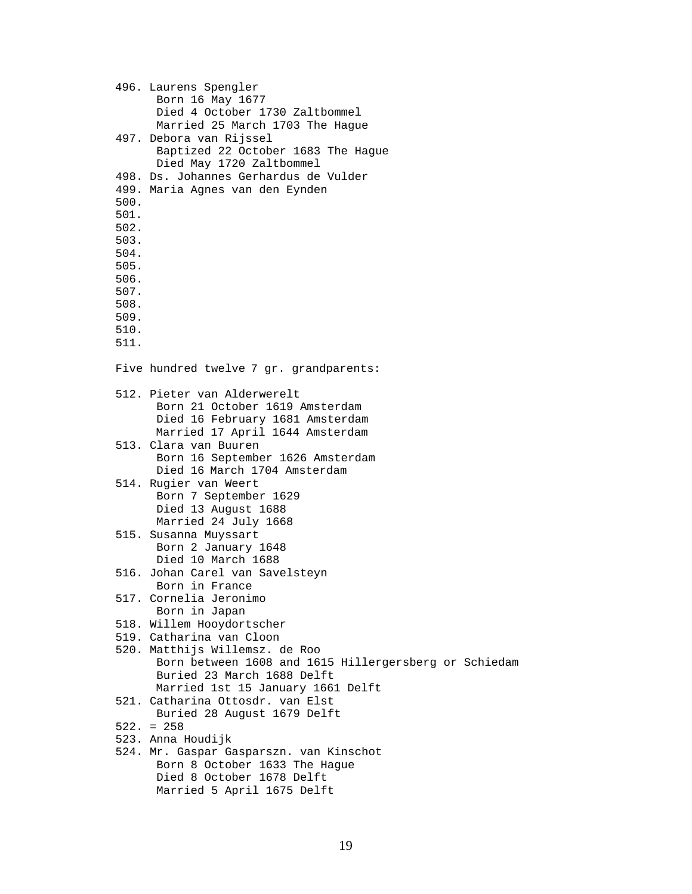|              | 496. Laurens Spengler<br>Born 16 May 1677                         |
|--------------|-------------------------------------------------------------------|
|              | Died 4 October 1730 Zaltbommel<br>Married 25 March 1703 The Hague |
|              | 497. Debora van Rijssel                                           |
|              | Baptized 22 October 1683 The Hague                                |
|              | Died May 1720 Zaltbommel                                          |
|              | 498. Ds. Johannes Gerhardus de Vulder                             |
|              | 499. Maria Agnes van den Eynden                                   |
| 500.         |                                                                   |
| 501.         |                                                                   |
| 502.         |                                                                   |
| 503.         |                                                                   |
| 504.         |                                                                   |
| 505.         |                                                                   |
| 506.         |                                                                   |
| 507.<br>508. |                                                                   |
| 509.         |                                                                   |
| 510.         |                                                                   |
| 511.         |                                                                   |
|              |                                                                   |
|              | Five hundred twelve 7 gr. grandparents:                           |
|              | 512. Pieter van Alderwerelt                                       |
|              | Born 21 October 1619 Amsterdam                                    |
|              | Died 16 February 1681 Amsterdam                                   |
|              | Married 17 April 1644 Amsterdam                                   |
|              | 513. Clara van Buuren                                             |
|              | Born 16 September 1626 Amsterdam                                  |
|              | Died 16 March 1704 Amsterdam<br>514. Rugier van Weert             |
|              | Born 7 September 1629                                             |
|              | Died 13 August 1688                                               |
|              | Married 24 July 1668                                              |
|              | 515. Susanna Muyssart                                             |
|              | Born 2 January 1648                                               |
|              | Died 10 March 1688                                                |
|              | 516. Johan Carel van Savelsteyn                                   |
|              | Born in France                                                    |
|              | 517. Cornelia Jeronimo                                            |
|              | Born in Japan                                                     |
|              | 518. Willem Hooydortscher<br>519. Catharina van Cloon             |
|              | 520. Matthijs Willemsz. de Roo                                    |
|              | Born between 1608 and 1615 Hillergersberg or Schiedam             |
|              | Buried 23 March 1688 Delft                                        |
|              | Married 1st 15 January 1661 Delft                                 |
|              | 521. Catharina Ottosdr. van Elst                                  |
|              | Buried 28 August 1679 Delft                                       |
|              | $522. = 258$                                                      |
|              | 523. Anna Houdijk                                                 |
|              | 524. Mr. Gaspar Gasparszn. van Kinschot                           |
|              | Born 8 October 1633 The Hague                                     |
|              | Died 8 October 1678 Delft                                         |
|              | Married 5 April 1675 Delft                                        |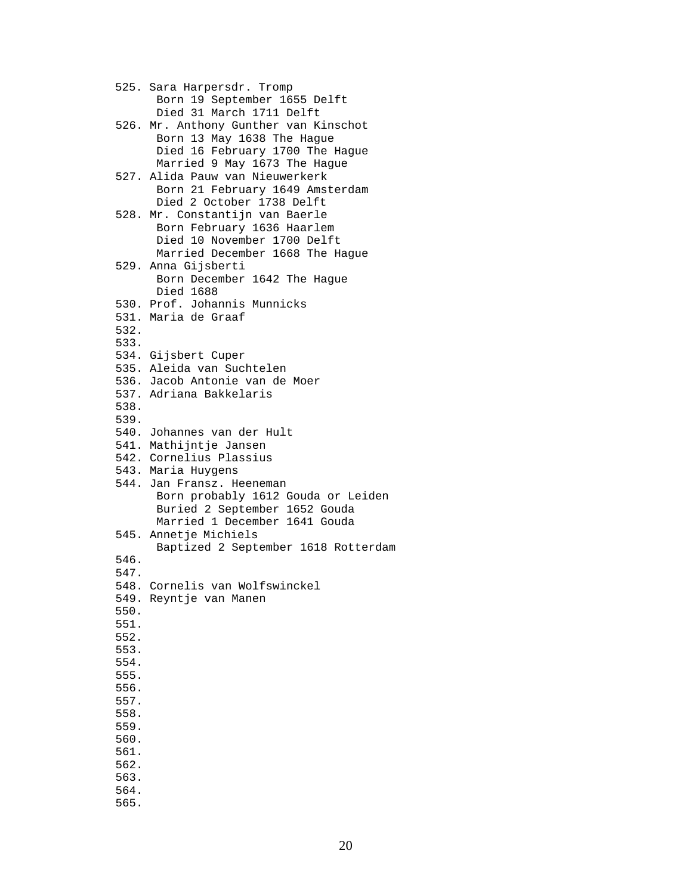525. Sara Harpersdr. Tromp Born 19 September 1655 Delft Died 31 March 1711 Delft 526. Mr. Anthony Gunther van Kinschot Born 13 May 1638 The Hague Died 16 February 1700 The Hague Married 9 May 1673 The Hague 527. Alida Pauw van Nieuwerkerk Born 21 February 1649 Amsterdam Died 2 October 1738 Delft 528. Mr. Constantijn van Baerle Born February 1636 Haarlem Died 10 November 1700 Delft Married December 1668 The Hague 529. Anna Gijsberti Born December 1642 The Hague Died 1688 530. Prof. Johannis Munnicks 531. Maria de Graaf 532. 533. 534. Gijsbert Cuper 535. Aleida van Suchtelen 536. Jacob Antonie van de Moer 537. Adriana Bakkelaris 538. 539. 540. Johannes van der Hult 541. Mathijntje Jansen 542. Cornelius Plassius 543. Maria Huygens 544. Jan Fransz. Heeneman Born probably 1612 Gouda or Leiden Buried 2 September 1652 Gouda Married 1 December 1641 Gouda 545. Annetje Michiels Baptized 2 September 1618 Rotterdam 546. 547. 548. Cornelis van Wolfswinckel 549. Reyntje van Manen 550. 551. 552. 553. 554. 555. 556. 557. 558. 559. 560. 561. 562. 563. 564. 565.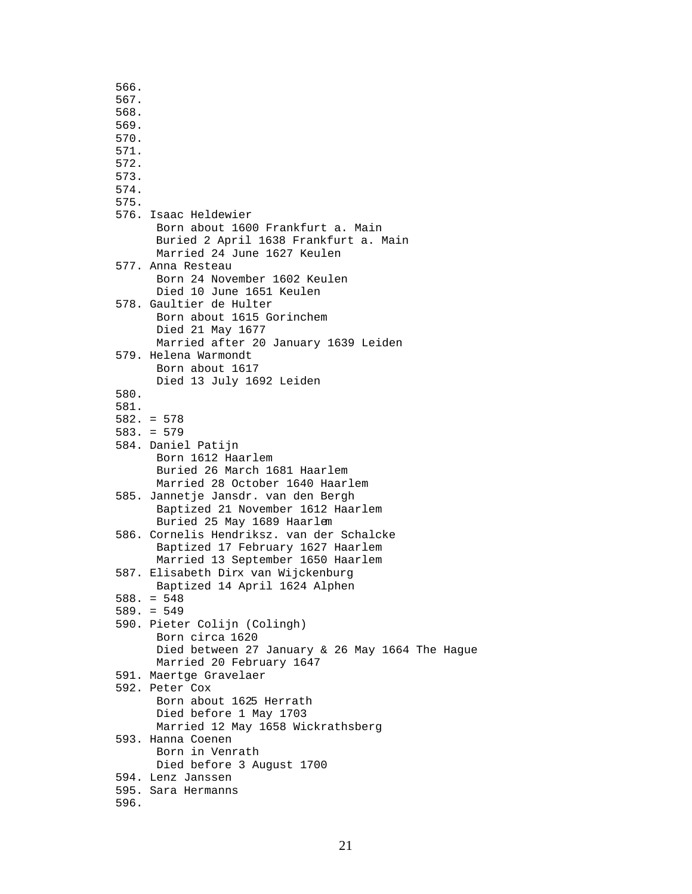566. 567. 568. 569. 570. 571. 572. 573. 574. 575. 576. Isaac Heldewier Born about 1600 Frankfurt a. Main Buried 2 April 1638 Frankfurt a. Main Married 24 June 1627 Keulen 577. Anna Resteau Born 24 November 1602 Keulen Died 10 June 1651 Keulen 578. Gaultier de Hulter Born about 1615 Gorinchem Died 21 May 1677 Married after 20 January 1639 Leiden 579. Helena Warmondt Born about 1617 Died 13 July 1692 Leiden 580. 581. 582. = 578 583. = 579 584. Daniel Patijn Born 1612 Haarlem Buried 26 March 1681 Haarlem Married 28 October 1640 Haarlem 585. Jannetje Jansdr. van den Bergh Baptized 21 November 1612 Haarlem Buried 25 May 1689 Haarlem 586. Cornelis Hendriksz. van der Schalcke Baptized 17 February 1627 Haarlem Married 13 September 1650 Haarlem 587. Elisabeth Dirx van Wijckenburg Baptized 14 April 1624 Alphen 588. = 548 589. = 549 590. Pieter Colijn (Colingh) Born circa 1620 Died between 27 January & 26 May 1664 The Hague Married 20 February 1647 591. Maertge Gravelaer 592. Peter Cox Born about 1625 Herrath Died before 1 May 1703 Married 12 May 1658 Wickrathsberg 593. Hanna Coenen Born in Venrath Died before 3 August 1700 594. Lenz Janssen 595. Sara Hermanns 596.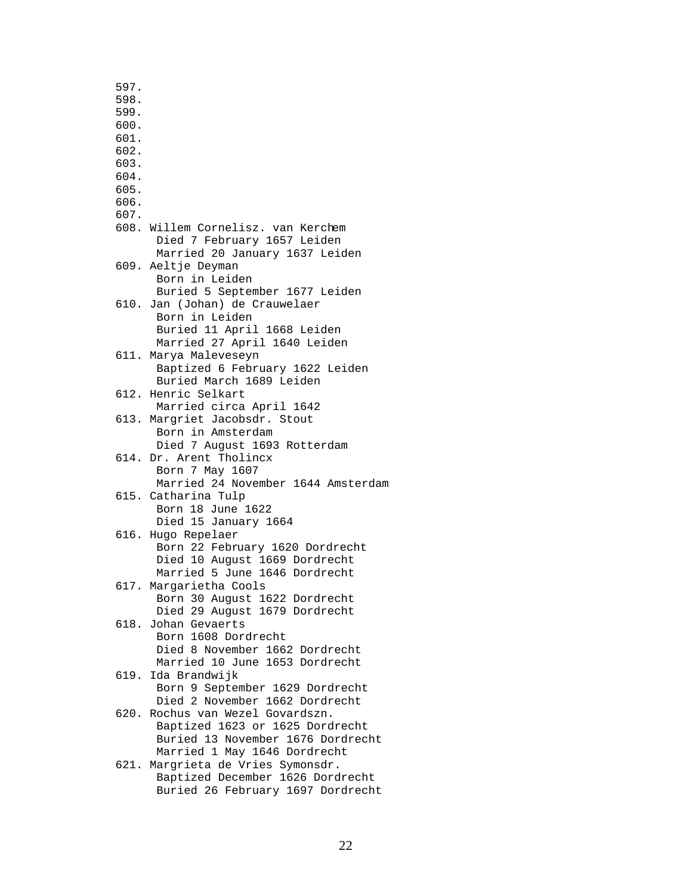597. 598. 599. 600. 601. 602. 603. 604. 605. 606. 607. 608. Willem Cornelisz. van Kerchem Died 7 February 1657 Leiden Married 20 January 1637 Leiden 609. Aeltje Deyman Born in Leiden Buried 5 September 1677 Leiden 610. Jan (Johan) de Crauwelaer Born in Leiden Buried 11 April 1668 Leiden Married 27 April 1640 Leiden 611. Marya Maleveseyn Baptized 6 February 1622 Leiden Buried March 1689 Leiden 612. Henric Selkart Married circa April 1642 613. Margriet Jacobsdr. Stout Born in Amsterdam Died 7 August 1693 Rotterdam 614. Dr. Arent Tholincx Born 7 May 1607 Married 24 November 1644 Amsterdam 615. Catharina Tulp Born 18 June 1622 Died 15 January 1664 616. Hugo Repelaer Born 22 February 1620 Dordrecht Died 10 August 1669 Dordrecht Married 5 June 1646 Dordrecht 617. Margarietha Cools Born 30 August 1622 Dordrecht Died 29 August 1679 Dordrecht 618. Johan Gevaerts Born 1608 Dordrecht Died 8 November 1662 Dordrecht Married 10 June 1653 Dordrecht 619. Ida Brandwijk Born 9 September 1629 Dordrecht Died 2 November 1662 Dordrecht 620. Rochus van Wezel Govardszn. Baptized 1623 or 1625 Dordrecht Buried 13 November 1676 Dordrecht Married 1 May 1646 Dordrecht 621. Margrieta de Vries Symonsdr. Baptized December 1626 Dordrecht Buried 26 February 1697 Dordrecht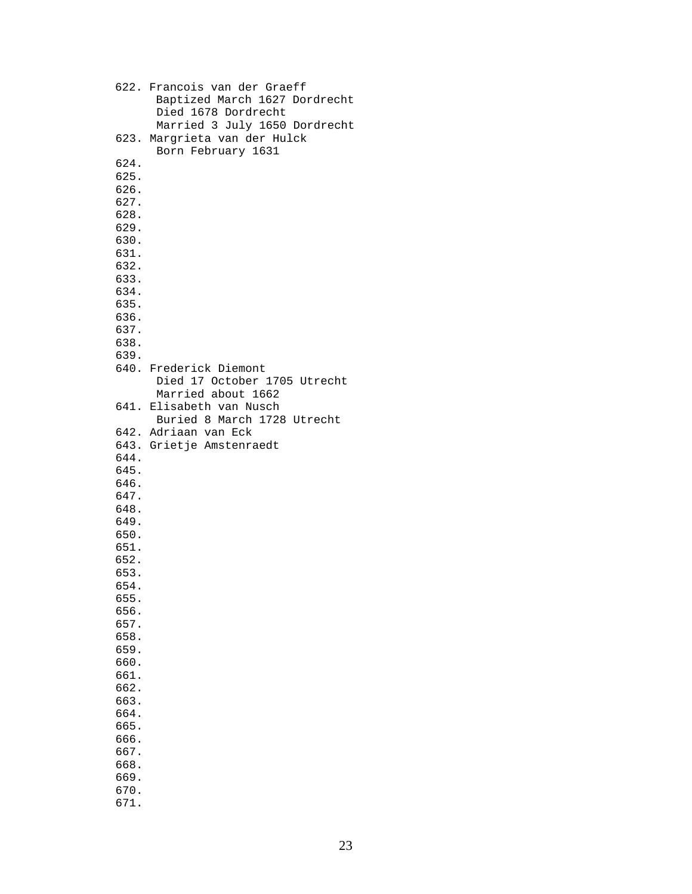|              | 622. Francois van der Graeff<br>Baptized March 1627 Dordrecht<br>Died 1678 Dordrecht<br>Married 3 July 1650 Dordrecht |
|--------------|-----------------------------------------------------------------------------------------------------------------------|
|              | 623. Margrieta van der Hulck<br>Born February 1631                                                                    |
| 624.         |                                                                                                                       |
| 625.         |                                                                                                                       |
| 626.         |                                                                                                                       |
| 627.         |                                                                                                                       |
| 628.         |                                                                                                                       |
| 629.         |                                                                                                                       |
| 630.         |                                                                                                                       |
| 631.         |                                                                                                                       |
| 632.         |                                                                                                                       |
| 633.         |                                                                                                                       |
| 634.         |                                                                                                                       |
| 635.         |                                                                                                                       |
| 636.         |                                                                                                                       |
| 637.         |                                                                                                                       |
| 638.         |                                                                                                                       |
| 639.         |                                                                                                                       |
|              | 640. Frederick Diemont                                                                                                |
|              | Died 17 October 1705 Utrecht                                                                                          |
|              | Married about 1662                                                                                                    |
|              | 641. Elisabeth van Nusch                                                                                              |
|              | Buried 8 March 1728 Utrecht                                                                                           |
|              | 642. Adriaan van Eck                                                                                                  |
|              | 643. Grietje Amstenraedt                                                                                              |
| 644.         |                                                                                                                       |
| 645.         |                                                                                                                       |
| 646.         |                                                                                                                       |
| 647.         |                                                                                                                       |
| 648.         |                                                                                                                       |
| 649.         |                                                                                                                       |
| 650.         |                                                                                                                       |
| 651.         |                                                                                                                       |
| 652.         |                                                                                                                       |
| 653.         |                                                                                                                       |
| 654.         |                                                                                                                       |
| 655.         |                                                                                                                       |
| 656.         |                                                                                                                       |
| 657.         |                                                                                                                       |
| 658.         |                                                                                                                       |
| 659.         |                                                                                                                       |
| 660.         |                                                                                                                       |
| 661.         |                                                                                                                       |
| 662.         |                                                                                                                       |
| 663.         |                                                                                                                       |
| 664.         |                                                                                                                       |
| 665.<br>666. |                                                                                                                       |
| 667.         |                                                                                                                       |
| 668.         |                                                                                                                       |
| 669.         |                                                                                                                       |
| 670.         |                                                                                                                       |
| 671.         |                                                                                                                       |
|              |                                                                                                                       |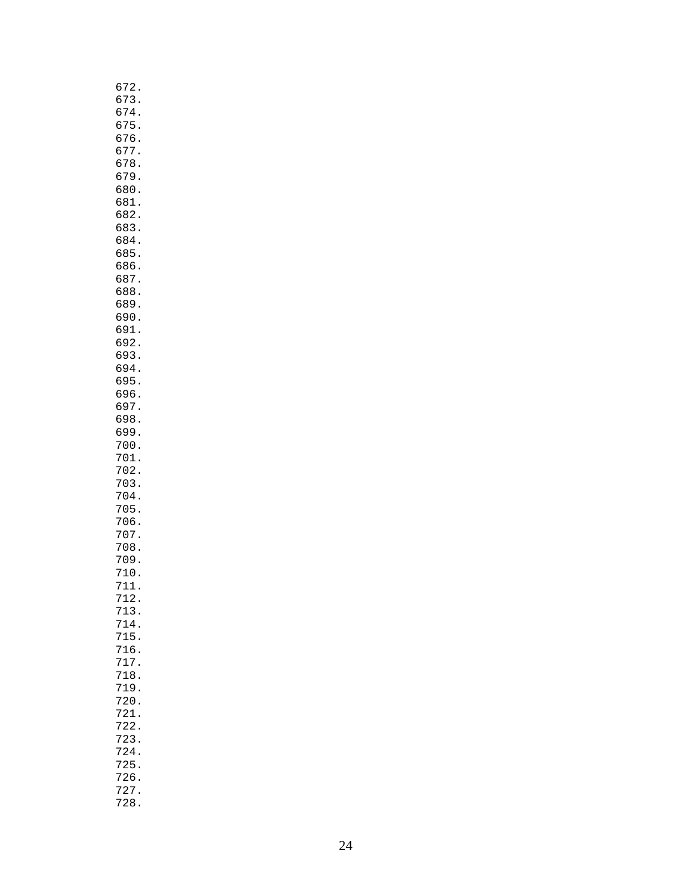| 672                                          |
|----------------------------------------------|
| 3<br>б<br>7                                  |
| б<br>7<br>$\overline{4}$                     |
| 7<br>5<br>б                                  |
| 76<br>б<br>677                               |
| 678                                          |
| 679                                          |
| 680                                          |
| 681                                          |
| $\overline{a}$<br>68                         |
| 3<br>68                                      |
| 684<br>685                                   |
| 686                                          |
| 687                                          |
| 688                                          |
| 689                                          |
| 690                                          |
| 691                                          |
| 92<br>б                                      |
| 693<br>694                                   |
| 695                                          |
| 696                                          |
| 697                                          |
| 698                                          |
| 699                                          |
| 700                                          |
| 701                                          |
| 702<br>703                                   |
| 704                                          |
| 705                                          |
| 706                                          |
| 707                                          |
| 708                                          |
| 709                                          |
| 10<br>7<br>11<br>7                           |
| 712.                                         |
| 713                                          |
| 714.<br>715.<br>715.<br>716.<br>717.<br>718. |
|                                              |
|                                              |
|                                              |
| 719<br>$\ddot{\phantom{0}}$                  |
| 720                                          |
| 721                                          |
| 722                                          |
| 723                                          |
| 724                                          |
| 725                                          |
| 726<br>$\ddot{\phantom{0}}$                  |
| 727                                          |
| 728.                                         |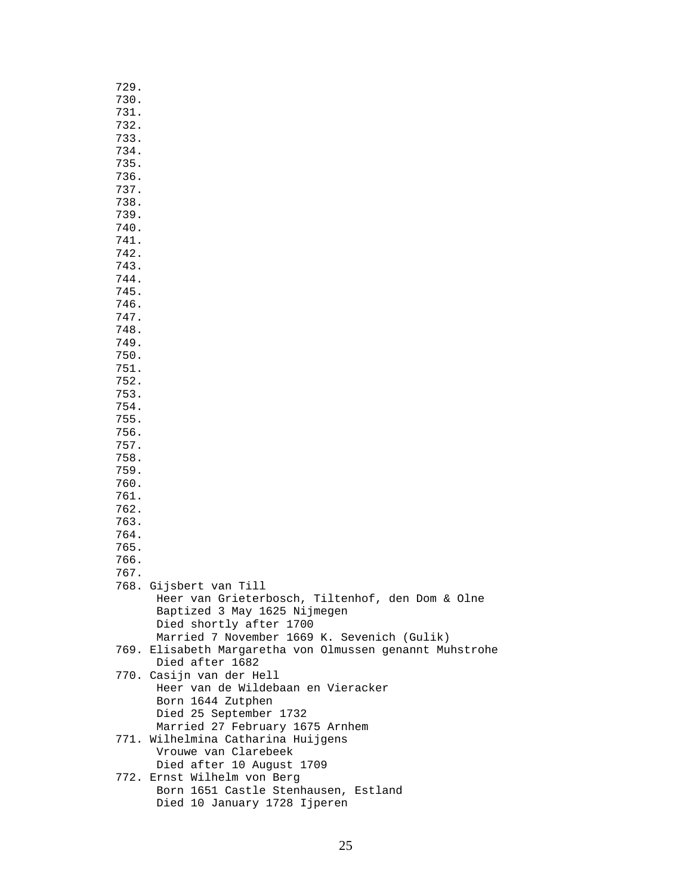| 729. |                                                          |
|------|----------------------------------------------------------|
| 730. |                                                          |
| 731. |                                                          |
| 732. |                                                          |
| 733. |                                                          |
| 734. |                                                          |
| 735. |                                                          |
| 736. |                                                          |
|      |                                                          |
| 737. |                                                          |
| 738. |                                                          |
| 739. |                                                          |
| 740. |                                                          |
| 741. |                                                          |
| 742. |                                                          |
| 743. |                                                          |
| 744. |                                                          |
| 745. |                                                          |
| 746. |                                                          |
| 747. |                                                          |
| 748. |                                                          |
| 749. |                                                          |
| 750. |                                                          |
|      |                                                          |
| 751. |                                                          |
| 752. |                                                          |
| 753. |                                                          |
| 754. |                                                          |
| 755. |                                                          |
| 756. |                                                          |
| 757. |                                                          |
| 758. |                                                          |
| 759. |                                                          |
| 760. |                                                          |
| 761. |                                                          |
| 762. |                                                          |
| 763. |                                                          |
| 764. |                                                          |
| 765. |                                                          |
| 766. |                                                          |
| 767. |                                                          |
|      | 768. Gijsbert van Till                                   |
|      | Heer van Grieterbosch, Tiltenhof, den Dom & Olne         |
|      |                                                          |
|      | Baptized 3 May 1625 Nijmegen                             |
|      | Died shortly after 1700                                  |
|      | Married 7 November 1669 K. Sevenich (Gulik)              |
|      | 769. Elisabeth Margaretha von Olmussen genannt Muhstrohe |
|      | Died after 1682                                          |
|      | 770. Casijn van der Hell                                 |
|      | Heer van de Wildebaan en Vieracker                       |
|      | Born 1644 Zutphen                                        |
|      | Died 25 September 1732                                   |
|      | Married 27 February 1675 Arnhem                          |
|      | 771. Wilhelmina Catharina Huijgens                       |
|      | Vrouwe van Clarebeek                                     |
|      | Died after 10 August 1709                                |
|      | 772. Ernst Wilhelm von Berg                              |
|      | Born 1651 Castle Stenhausen, Estland                     |
|      | Died 10 January 1728 Ijperen                             |
|      |                                                          |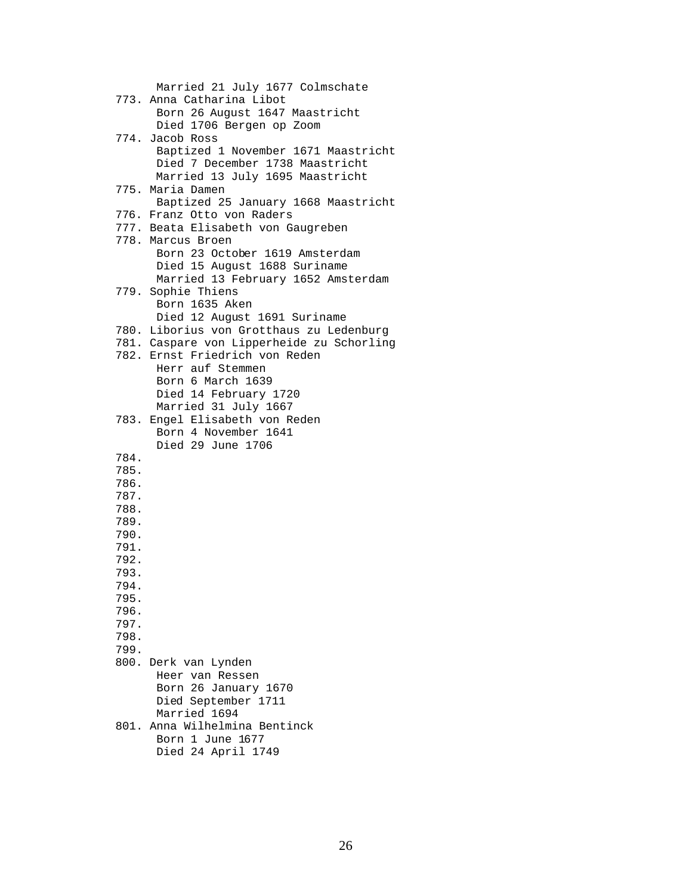Married 21 July 1677 Colmschate 773. Anna Catharina Libot Born 26 August 1647 Maastricht Died 1706 Bergen op Zoom 774. Jacob Ross Baptized 1 November 1671 Maastricht Died 7 December 1738 Maastricht Married 13 July 1695 Maastricht 775. Maria Damen Baptized 25 January 1668 Maastricht 776. Franz Otto von Raders 777. Beata Elisabeth von Gaugreben 778. Marcus Broen Born 23 October 1619 Amsterdam Died 15 August 1688 Suriname Married 13 February 1652 Amsterdam 779. Sophie Thiens Born 1635 Aken Died 12 August 1691 Suriname 780. Liborius von Grotthaus zu Ledenburg 781. Caspare von Lipperheide zu Schorling 782. Ernst Friedrich von Reden Herr auf Stemmen Born 6 March 1639 Died 14 February 1720 Married 31 July 1667 783. Engel Elisabeth von Reden Born 4 November 1641 Died 29 June 1706 784. 785. 786. 787. 788. 789. 790. 791. 792. 793. 794. 795. 796. 797. 798. 799. 800. Derk van Lynden Heer van Ressen Born 26 January 1670 Died September 1711 Married 1694 801. Anna Wilhelmina Bentinck Born 1 June 1677

Died 24 April 1749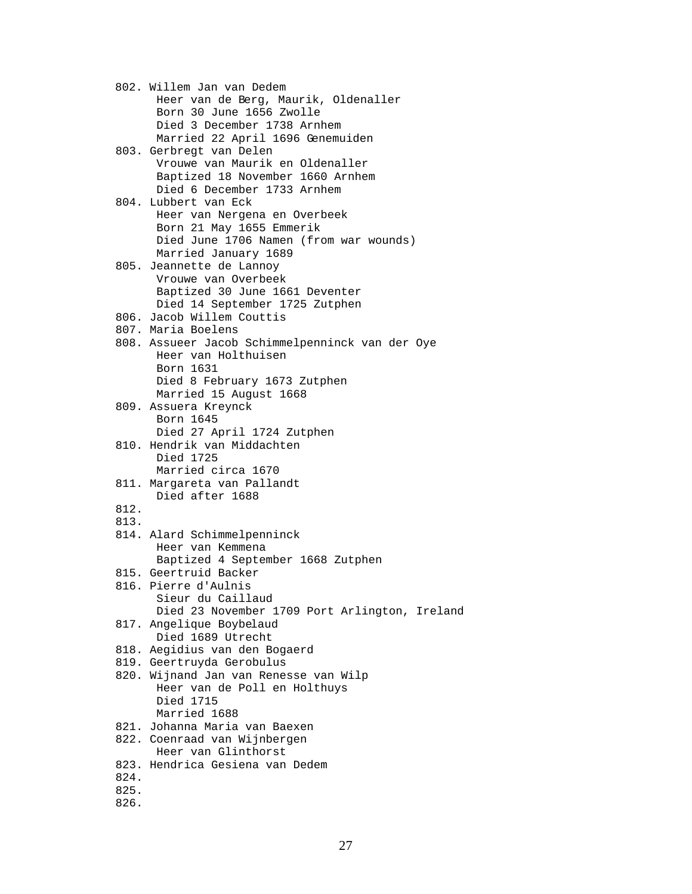802. Willem Jan van Dedem Heer van de Berg, Maurik, Oldenaller Born 30 June 1656 Zwolle Died 3 December 1738 Arnhem Married 22 April 1696 Genemuiden 803. Gerbregt van Delen Vrouwe van Maurik en Oldenaller Baptized 18 November 1660 Arnhem Died 6 December 1733 Arnhem 804. Lubbert van Eck Heer van Nergena en Overbeek Born 21 May 1655 Emmerik Died June 1706 Namen (from war wounds) Married January 1689 805. Jeannette de Lannoy Vrouwe van Overbeek Baptized 30 June 1661 Deventer Died 14 September 1725 Zutphen 806. Jacob Willem Couttis 807. Maria Boelens 808. Assueer Jacob Schimmelpenninck van der Oye Heer van Holthuisen Born 1631 Died 8 February 1673 Zutphen Married 15 August 1668 809. Assuera Kreynck Born 1645 Died 27 April 1724 Zutphen 810. Hendrik van Middachten Died 1725 Married circa 1670 811. Margareta van Pallandt Died after 1688 812. 813. 814. Alard Schimmelpenninck Heer van Kemmena Baptized 4 September 1668 Zutphen 815. Geertruid Backer 816. Pierre d'Aulnis Sieur du Caillaud Died 23 November 1709 Port Arlington, Ireland 817. Angelique Boybelaud Died 1689 Utrecht 818. Aegidius van den Bogaerd 819. Geertruyda Gerobulus 820. Wijnand Jan van Renesse van Wilp Heer van de Poll en Holthuys Died 1715 Married 1688 821. Johanna Maria van Baexen 822. Coenraad van Wijnbergen Heer van Glinthorst 823. Hendrica Gesiena van Dedem 824. 825. 826.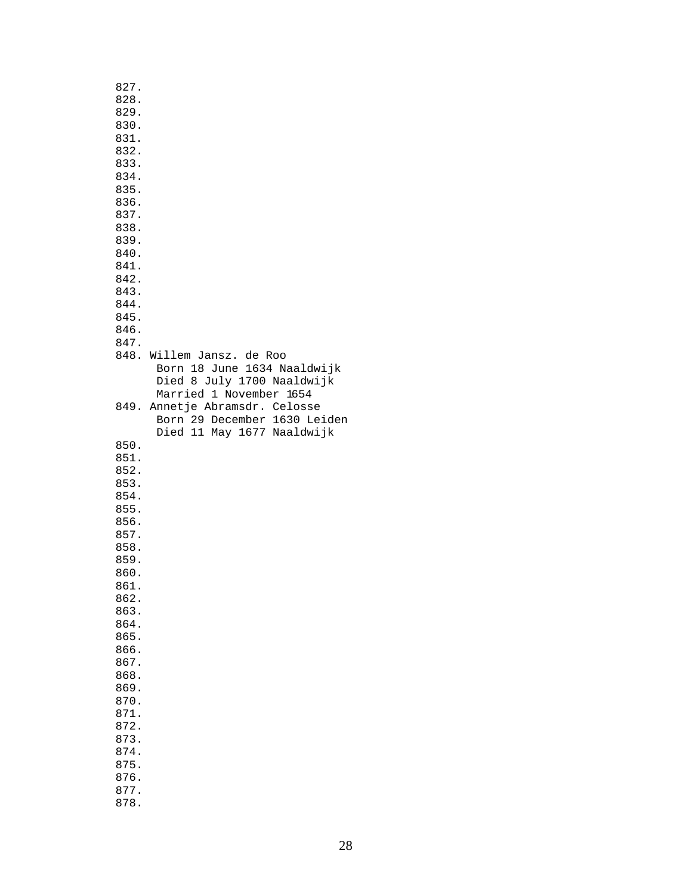| 827.<br>828.<br>829.<br>830.<br>831.<br>832.<br>833.<br>834.<br>835.<br>836.<br>837.<br>838.<br>839.<br>840.<br>841.<br>842.<br>843.<br>844. |                                                                                                                   |
|----------------------------------------------------------------------------------------------------------------------------------------------|-------------------------------------------------------------------------------------------------------------------|
| 845.                                                                                                                                         |                                                                                                                   |
|                                                                                                                                              |                                                                                                                   |
| 846.                                                                                                                                         |                                                                                                                   |
| 847.                                                                                                                                         |                                                                                                                   |
|                                                                                                                                              | 848. Willem Jansz. de Roo<br>Born 18 June 1634 Naaldwijk<br>Died 8 July 1700 Naaldwijk<br>Married 1 November 1654 |
|                                                                                                                                              | 849. Annetje Abramsdr. Celosse<br>Born 29 December 1630 Leiden<br>Died 11 May 1677 Naaldwijk                      |
| 850.                                                                                                                                         |                                                                                                                   |
| 851.                                                                                                                                         |                                                                                                                   |
| 852.                                                                                                                                         |                                                                                                                   |
| 853.                                                                                                                                         |                                                                                                                   |
| 854.                                                                                                                                         |                                                                                                                   |
| 855.                                                                                                                                         |                                                                                                                   |
| 856.                                                                                                                                         |                                                                                                                   |
| 857.                                                                                                                                         |                                                                                                                   |
| 858.                                                                                                                                         |                                                                                                                   |
| 859.                                                                                                                                         |                                                                                                                   |
| 860.                                                                                                                                         |                                                                                                                   |
| 861.                                                                                                                                         |                                                                                                                   |
| 862.                                                                                                                                         |                                                                                                                   |
| 863.                                                                                                                                         |                                                                                                                   |
| 864.                                                                                                                                         |                                                                                                                   |
| 865.                                                                                                                                         |                                                                                                                   |
| 866.                                                                                                                                         |                                                                                                                   |
| 867.                                                                                                                                         |                                                                                                                   |
| 868.                                                                                                                                         |                                                                                                                   |
| 869.                                                                                                                                         |                                                                                                                   |
| 870.                                                                                                                                         |                                                                                                                   |
| 871.                                                                                                                                         |                                                                                                                   |
| 872.                                                                                                                                         |                                                                                                                   |
| 873.                                                                                                                                         |                                                                                                                   |
| 874.                                                                                                                                         |                                                                                                                   |
| 875.                                                                                                                                         |                                                                                                                   |
| 876.                                                                                                                                         |                                                                                                                   |
| 877.                                                                                                                                         |                                                                                                                   |
| 878.                                                                                                                                         |                                                                                                                   |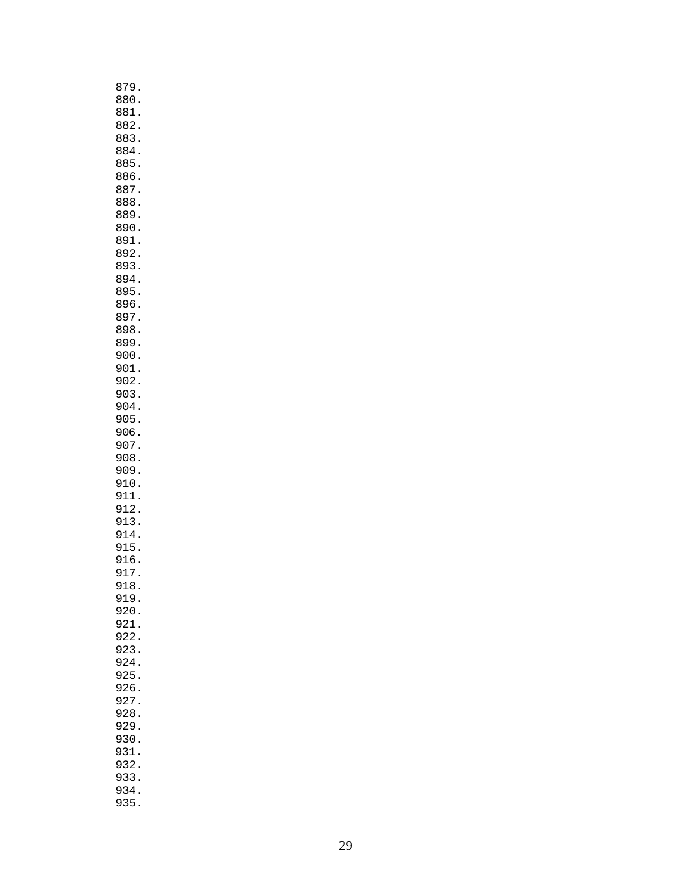| 879                         |
|-----------------------------|
| 880                         |
| 881                         |
| 882                         |
| 883                         |
| 884                         |
| 885                         |
| 886                         |
| 887                         |
| 888                         |
| 889                         |
| 890                         |
| 891                         |
| 892                         |
| 893                         |
| 894                         |
| 895                         |
| 896                         |
| 897                         |
| 898                         |
| 899                         |
| 900                         |
| 901                         |
| 902                         |
| 903                         |
| 904                         |
| 905                         |
| 906                         |
| 907                         |
| 908                         |
| 909                         |
| 910                         |
| 911                         |
| 912                         |
| 913                         |
| 914                         |
| 915<br>916                  |
|                             |
| 917<br>918                  |
|                             |
| 919.<br>920.                |
| 921                         |
| 922                         |
| 923                         |
| $\ddot{\phantom{a}}$<br>924 |
| 925                         |
| $\ddot{\phantom{0}}$<br>926 |
| 927                         |
| 928.                        |
| 929                         |
| 930<br>$\ddot{\phantom{0}}$ |
| 931<br>$\ddot{\phantom{0}}$ |
| 932                         |
| $\ddot{\phantom{a}}$<br>933 |
| 934                         |
| 935.                        |
|                             |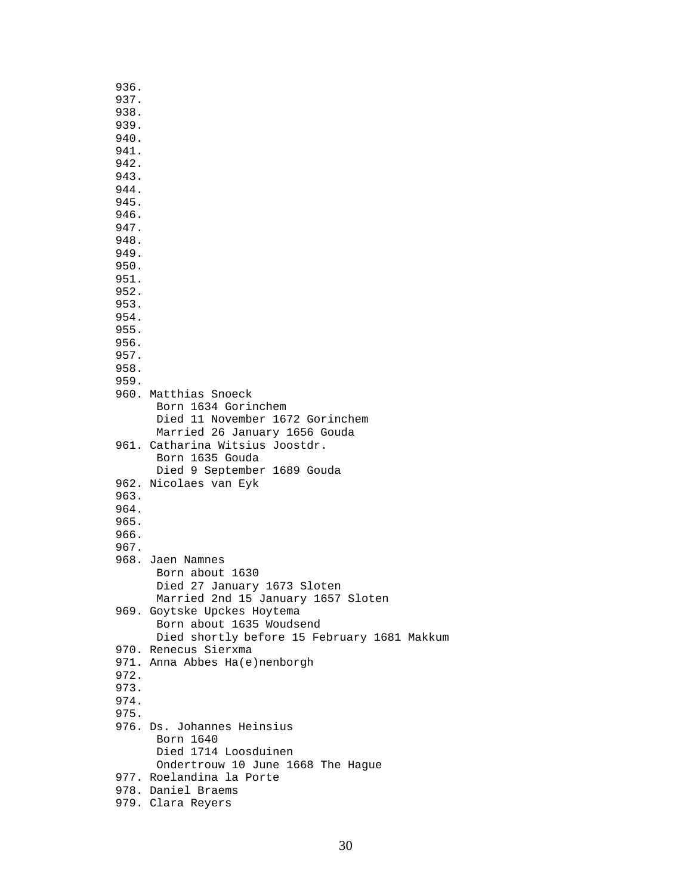| 936.         |                                             |
|--------------|---------------------------------------------|
| 937.         |                                             |
| 938.         |                                             |
| 939.         |                                             |
| 940.<br>941. |                                             |
| 942.         |                                             |
| 943.         |                                             |
| 944.         |                                             |
| 945.         |                                             |
| 946.         |                                             |
| 947.         |                                             |
| 948.         |                                             |
| 949.         |                                             |
| 950.         |                                             |
| 951.<br>952. |                                             |
| 953.         |                                             |
| 954.         |                                             |
| 955.         |                                             |
| 956.         |                                             |
| 957.         |                                             |
| 958.         |                                             |
| 959.         |                                             |
|              | 960. Matthias Snoeck<br>Born 1634 Gorinchem |
|              | Died 11 November 1672 Gorinchem             |
|              | Married 26 January 1656 Gouda               |
|              | 961. Catharina Witsius Joostdr.             |
|              | Born 1635 Gouda                             |
|              | Died 9 September 1689 Gouda                 |
|              | 962. Nicolaes van Eyk                       |
| 963.         |                                             |
| 964.         |                                             |
| 965.         |                                             |
| 966.<br>967. |                                             |
|              | 968. Jaen Namnes                            |
|              | Born about 1630                             |
|              | Died 27 January 1673 Sloten                 |
|              | Married 2nd 15 January 1657 Sloten          |
|              | 969. Goytske Upckes Hoytema                 |
|              | Born about 1635 Woudsend                    |
|              | Died shortly before 15 February 1681 Makkum |
|              | 970. Renecus Sierxma                        |
| 972.         | 971. Anna Abbes Ha(e)nenborgh               |
| 973.         |                                             |
| 974.         |                                             |
| 975.         |                                             |
|              | 976. Ds. Johannes Heinsius                  |
|              | Born 1640                                   |
|              | Died 1714 Loosduinen                        |
|              | Ondertrouw 10 June 1668 The Hague           |
|              | 977. Roelandina la Porte                    |
|              | 978. Daniel Braems<br>979. Clara Reyers     |
|              |                                             |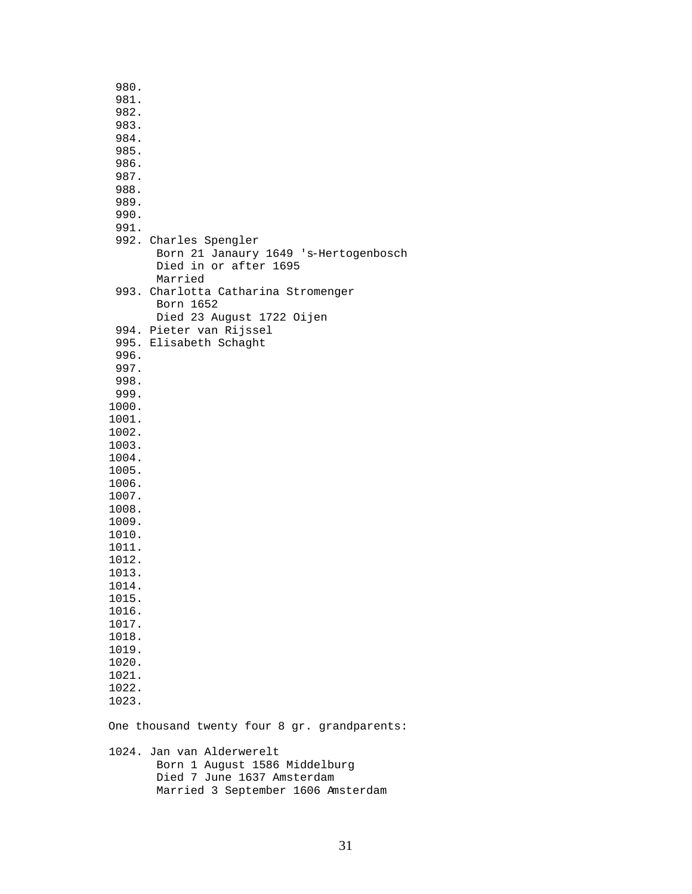980. 981. 982. 983. 984. 985. 986. 987. 988. 989. 990. 991. 992. Charles Spengler Born 21 Janaury 1649 's-Hertogenbosch Died in or after 1695 Married 993. Charlotta Catharina Stromenger Born 1652 Died 23 August 1722 Oijen 994. Pieter van Rijssel 995. Elisabeth Schaght 996. 997. 998. 999. 1000. 1001. 1002. 1003. 1004. 1005. 1006. 1007. 1008. 1009. 1010. 1011. 1012. 1013. 1014. 1015. 1016. 1017. 1018. 1019. 1020. 1021. 1022. 1023. One thousand twenty four 8 gr. grandparents: 1024. Jan van Alderwerelt Born 1 August 1586 Middelburg Died 7 June 1637 Amsterdam Married 3 September 1606 Amsterdam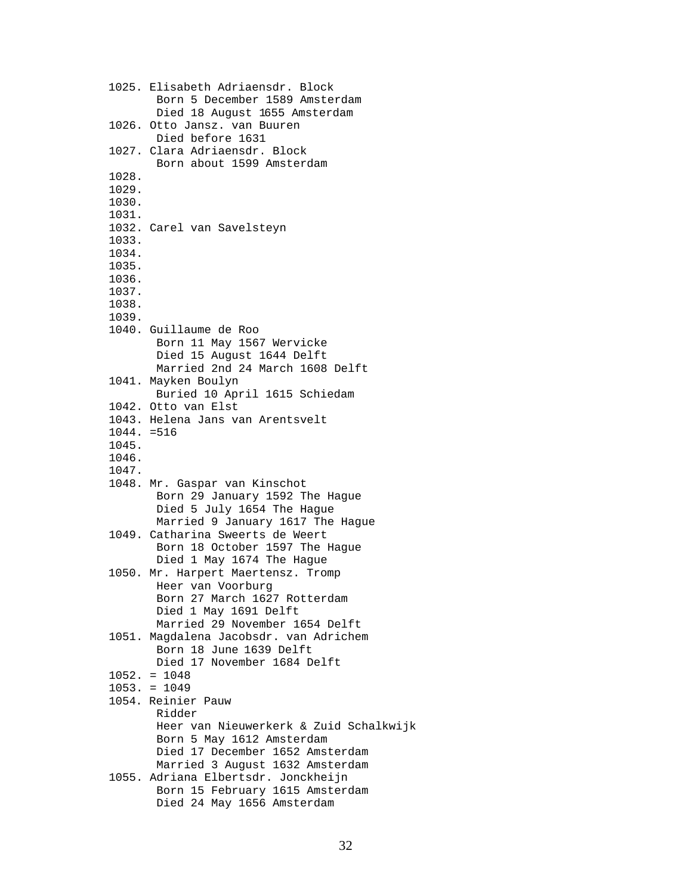```
 1025. Elisabeth Adriaensdr. Block 
       Born 5 December 1589 Amsterdam 
       Died 18 August 1655 Amsterdam 
1026. Otto Jansz. van Buuren 
       Died before 1631
1027. Clara Adriaensdr. Block 
       Born about 1599 Amsterdam 
1028. 
1029. 
1030. 
1031. 
1032. Carel van Savelsteyn 
1033. 
1034. 
1035. 
1036. 
1037. 
1038. 
1039. 
1040. Guillaume de Roo
       Born 11 May 1567 Wervicke
       Died 15 August 1644 Delft
       Married 2nd 24 March 1608 Delft 
1041. Mayken Boulyn
       Buried 10 April 1615 Schiedam 
1042. Otto van Elst 
1043. Helena Jans van Arentsvelt 
1044. =516 
1045. 
1046. 
1047. 
1048. Mr. Gaspar van Kinschot 
       Born 29 January 1592 The Hague
       Died 5 July 1654 The Hague
       Married 9 January 1617 The Hague
1049. Catharina Sweerts de Weert
       Born 18 October 1597 The Hague
       Died 1 May 1674 The Hague 
1050. Mr. Harpert Maertensz. Tromp 
       Heer van Voorburg 
       Born 27 March 1627 Rotterdam 
       Died 1 May 1691 Delft 
       Married 29 November 1654 Delft 
1051. Magdalena Jacobsdr. van Adrichem 
       Born 18 June 1639 Delft 
       Died 17 November 1684 Delft 
1052. = 1048
1053. = 1049 
1054. Reinier Pauw 
       Ridder
       Heer van Nieuwerkerk & Zuid Schalkwijk
       Born 5 May 1612 Amsterdam
       Died 17 December 1652 Amsterdam
       Married 3 August 1632 Amsterdam 
1055. Adriana Elbertsdr. Jonckheijn
       Born 15 February 1615 Amsterdam
       Died 24 May 1656 Amsterdam
```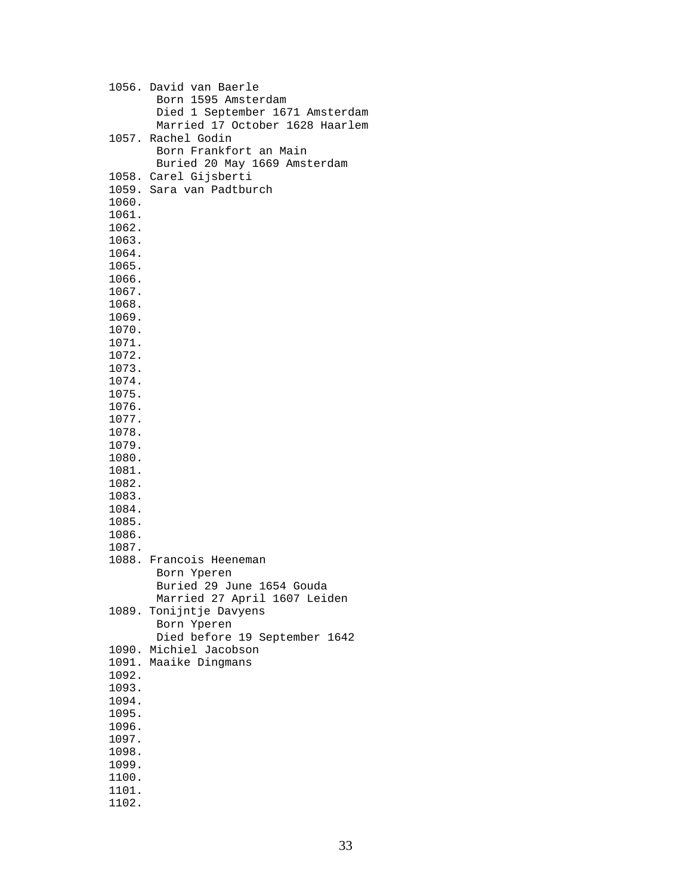|                | 1056. David van Baerle<br>Born 1595 Amsterdam<br>Died 1 September 1671 Amsterdam<br>Married 17 October 1628 Haarlem |
|----------------|---------------------------------------------------------------------------------------------------------------------|
|                | 1057. Rachel Godin<br>Born Frankfort an Main<br>Buried 20 May 1669 Amsterdam                                        |
|                | 1058. Carel Gijsberti                                                                                               |
|                | 1059. Sara van Padtburch                                                                                            |
| 1060.          |                                                                                                                     |
| 1061.          |                                                                                                                     |
| 1062.          |                                                                                                                     |
| 1063.<br>1064. |                                                                                                                     |
| 1065.          |                                                                                                                     |
| 1066.          |                                                                                                                     |
| 1067.          |                                                                                                                     |
| 1068.          |                                                                                                                     |
| 1069.          |                                                                                                                     |
| 1070.          |                                                                                                                     |
| 1071.<br>1072. |                                                                                                                     |
| 1073.          |                                                                                                                     |
| 1074.          |                                                                                                                     |
| 1075.          |                                                                                                                     |
| 1076.          |                                                                                                                     |
| 1077.          |                                                                                                                     |
| 1078.<br>1079. |                                                                                                                     |
| 1080.          |                                                                                                                     |
| 1081.          |                                                                                                                     |
| 1082.          |                                                                                                                     |
| 1083.          |                                                                                                                     |
| 1084.          |                                                                                                                     |
| 1085.<br>1086. |                                                                                                                     |
| 1087.          |                                                                                                                     |
|                | 1088. Francois Heeneman                                                                                             |
|                | Born Yperen                                                                                                         |
|                | Buried 29 June 1654 Gouda                                                                                           |
|                | Married 27 April 1607 Leiden                                                                                        |
| 1089.          | Tonijntje Davyens<br>Born Yperen                                                                                    |
|                | Died before 19 September 1642                                                                                       |
|                | 1090. Michiel Jacobson                                                                                              |
|                | 1091. Maaike Dingmans                                                                                               |
| 1092.          |                                                                                                                     |
| 1093.          |                                                                                                                     |
| 1094.<br>1095. |                                                                                                                     |
| 1096.          |                                                                                                                     |
| 1097.          |                                                                                                                     |
| 1098.          |                                                                                                                     |
| 1099.          |                                                                                                                     |
| 1100.          |                                                                                                                     |
| 1101.          |                                                                                                                     |
| 1102.          |                                                                                                                     |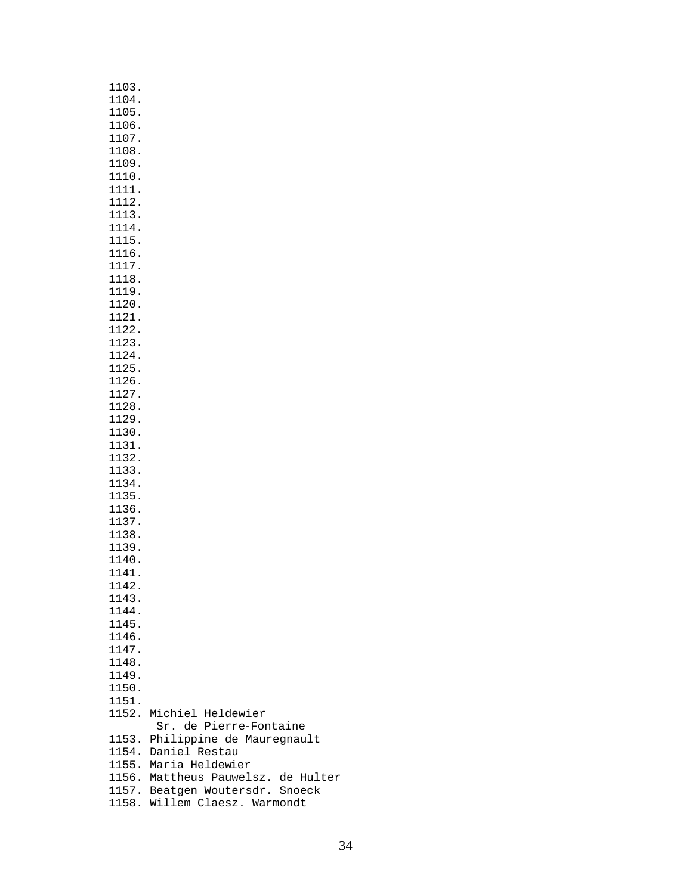| 1103. |                                    |
|-------|------------------------------------|
| 1104. |                                    |
| 1105. |                                    |
| 1106. |                                    |
| 1107. |                                    |
| 1108. |                                    |
| 1109. |                                    |
| 1110. |                                    |
| 1111. |                                    |
| 1112. |                                    |
| 1113. |                                    |
| 1114. |                                    |
| 1115. |                                    |
| 1116. |                                    |
| 1117. |                                    |
| 1118. |                                    |
| 1119. |                                    |
| 1120. |                                    |
| 1121. |                                    |
| 1122. |                                    |
| 1123. |                                    |
| 1124. |                                    |
| 1125. |                                    |
| 1126. |                                    |
| 1127. |                                    |
| 1128. |                                    |
| 1129. |                                    |
| 1130. |                                    |
| 1131. |                                    |
| 1132. |                                    |
| 1133. |                                    |
| 1134. |                                    |
| 1135. |                                    |
| 1136. |                                    |
| 1137. |                                    |
| 1138. |                                    |
| 1139. |                                    |
| 1140. |                                    |
| 1141. |                                    |
| 1142  |                                    |
| 1143. |                                    |
| 1144. |                                    |
| 1145. |                                    |
| 1146. |                                    |
| 1147. |                                    |
| 1148. |                                    |
| 1149. |                                    |
| 1150. |                                    |
| 1151. |                                    |
| 1152. | Michiel Heldewier                  |
|       | Sr. de Pierre-Fontaine             |
| 1153. | Philippine de Mauregnault          |
|       | 1154. Daniel Restau                |
|       | 1155. Maria Heldewier              |
|       | 1156. Mattheus Pauwelsz. de Hulter |
|       | 1157. Beatgen Woutersdr. Snoeck    |
|       | 1158. Willem Claesz. Warmondt      |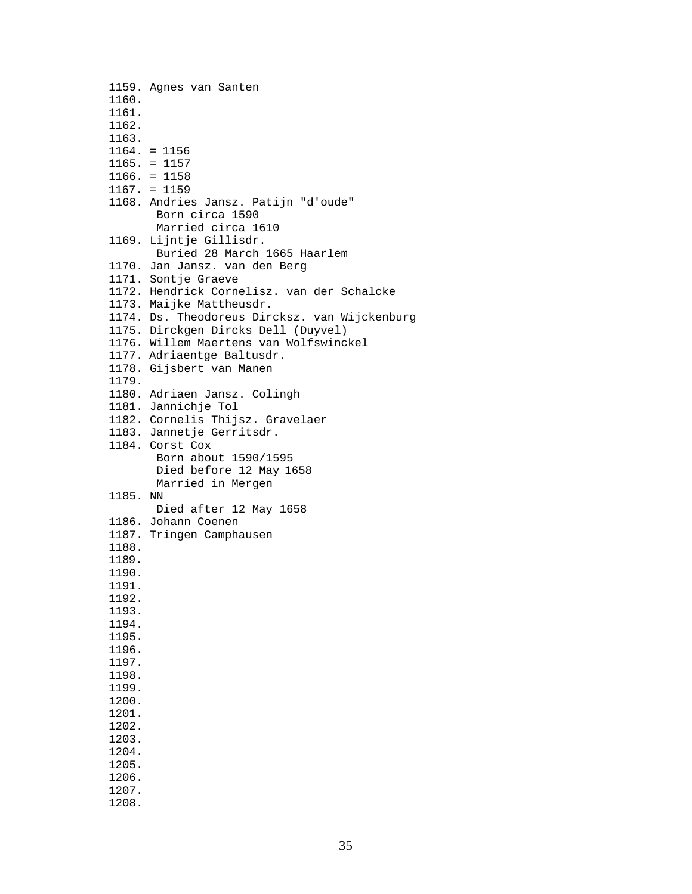1159. Agnes van Santen 1160. 1161. 1162. 1163. 1164. = 1156 1165. = 1157 1166. = 1158 1167. = 1159 1168. Andries Jansz. Patijn "d'oude" Born circa 1590 Married circa 1610 1169. Lijntje Gillisdr. Buried 28 March 1665 Haarlem 1170. Jan Jansz. van den Berg 1171. Sontje Graeve 1172. Hendrick Cornelisz. van der Schalcke 1173. Maijke Mattheusdr. 1174. Ds. Theodoreus Dircksz. van Wijckenburg 1175. Dirckgen Dircks Dell (Duyvel) 1176. Willem Maertens van Wolfswinckel 1177. Adriaentge Baltusdr. 1178. Gijsbert van Manen 1179. 1180. Adriaen Jansz. Colingh 1181. Jannichje Tol 1182. Cornelis Thijsz. Gravelaer 1183. Jannetje Gerritsdr. 1184. Corst Cox Born about 1590/1595 Died before 12 May 1658 Married in Mergen 1185. NN Died after 12 May 1658 1186. Johann Coenen 1187. Tringen Camphausen 1188. 1189. 1190. 1191. 1192. 1193. 1194. 1195. 1196. 1197. 1198. 1199. 1200. 1201. 1202. 1203. 1204. 1205. 1206. 1207. 1208.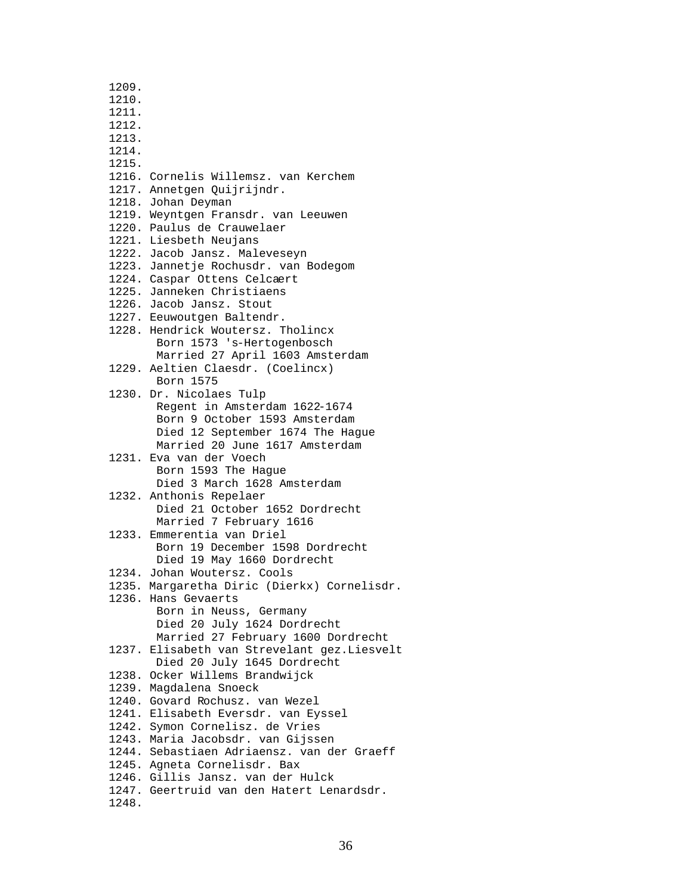1209. 1210. 1211. 1212. 1213. 1214. 1215. 1216. Cornelis Willemsz. van Kerchem 1217. Annetgen Quijrijndr. 1218. Johan Deyman 1219. Weyntgen Fransdr. van Leeuwen 1220. Paulus de Crauwelaer 1221. Liesbeth Neujans 1222. Jacob Jansz. Maleveseyn 1223. Jannetje Rochusdr. van Bodegom 1224. Caspar Ottens Celcaert 1225. Janneken Christiaens 1226. Jacob Jansz. Stout 1227. Eeuwoutgen Baltendr. 1228. Hendrick Woutersz. Tholincx Born 1573 's-Hertogenbosch Married 27 April 1603 Amsterdam 1229. Aeltien Claesdr. (Coelincx) Born 1575 1230. Dr. Nicolaes Tulp Regent in Amsterdam 1622-1674 Born 9 October 1593 Amsterdam Died 12 September 1674 The Hague Married 20 June 1617 Amsterdam 1231. Eva van der Voech Born 1593 The Hague Died 3 March 1628 Amsterdam 1232. Anthonis Repelaer Died 21 October 1652 Dordrecht Married 7 February 1616 1233. Emmerentia van Driel Born 19 December 1598 Dordrecht Died 19 May 1660 Dordrecht 1234. Johan Woutersz. Cools 1235. Margaretha Diric (Dierkx) Cornelisdr. 1236. Hans Gevaerts Born in Neuss, Germany Died 20 July 1624 Dordrecht Married 27 February 1600 Dordrecht 1237. Elisabeth van Strevelant gez.Liesvelt Died 20 July 1645 Dordrecht 1238. Ocker Willems Brandwijck 1239. Magdalena Snoeck 1240. Govard Rochusz. van Wezel 1241. Elisabeth Eversdr. van Eyssel 1242. Symon Cornelisz. de Vries 1243. Maria Jacobsdr. van Gijssen 1244. Sebastiaen Adriaensz. van der Graeff 1245. Agneta Cornelisdr. Bax 1246. Gillis Jansz. van der Hulck 1247. Geertruid van den Hatert Lenardsdr. 1248.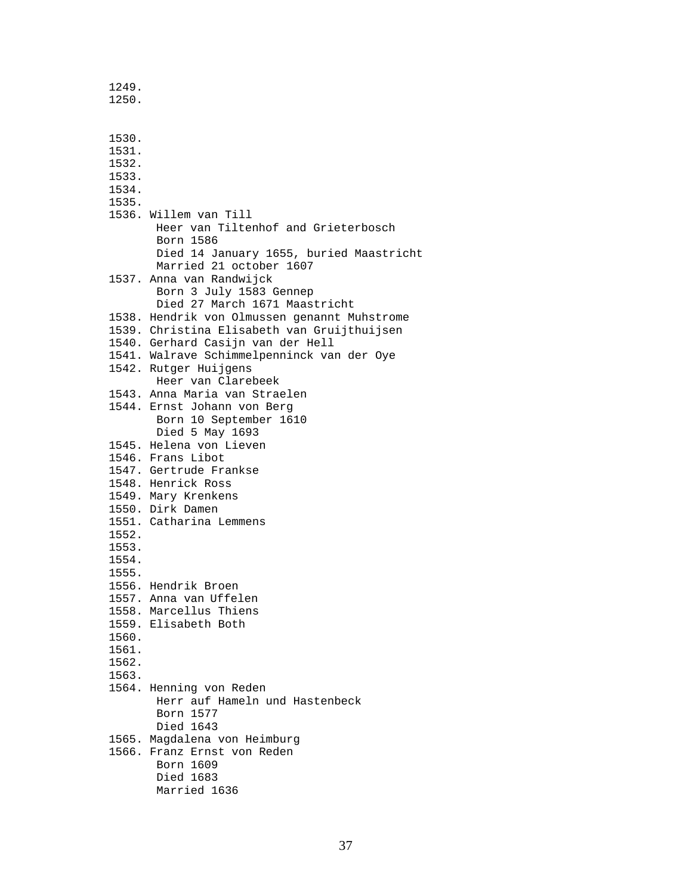1249. 1250.

 1530. 1531. 1532. 1533. 1534. 1535. 1536. Willem van Till Heer van Tiltenhof and Grieterbosch Born 1586 Died 14 January 1655, buried Maastricht Married 21 october 1607 1537. Anna van Randwijck Born 3 July 1583 Gennep Died 27 March 1671 Maastricht 1538. Hendrik von Olmussen genannt Muhstrome 1539. Christina Elisabeth van Gruijthuijsen 1540. Gerhard Casijn van der Hell 1541. Walrave Schimmelpenninck van der Oye 1542. Rutger Huijgens Heer van Clarebeek 1543. Anna Maria van Straelen 1544. Ernst Johann von Berg Born 10 September 1610 Died 5 May 1693 1545. Helena von Lieven 1546. Frans Libot 1547. Gertrude Frankse 1548. Henrick Ross 1549. Mary Krenkens 1550. Dirk Damen 1551. Catharina Lemmens 1552. 1553. 1554. 1555. 1556. Hendrik Broen 1557. Anna van Uffelen 1558. Marcellus Thiens 1559. Elisabeth Both 1560. 1561. 1562. 1563. 1564. Henning von Reden Herr auf Hameln und Hastenbeck Born 1577 Died 1643 1565. Magdalena von Heimburg 1566. Franz Ernst von Reden Born 1609 Died 1683 Married 1636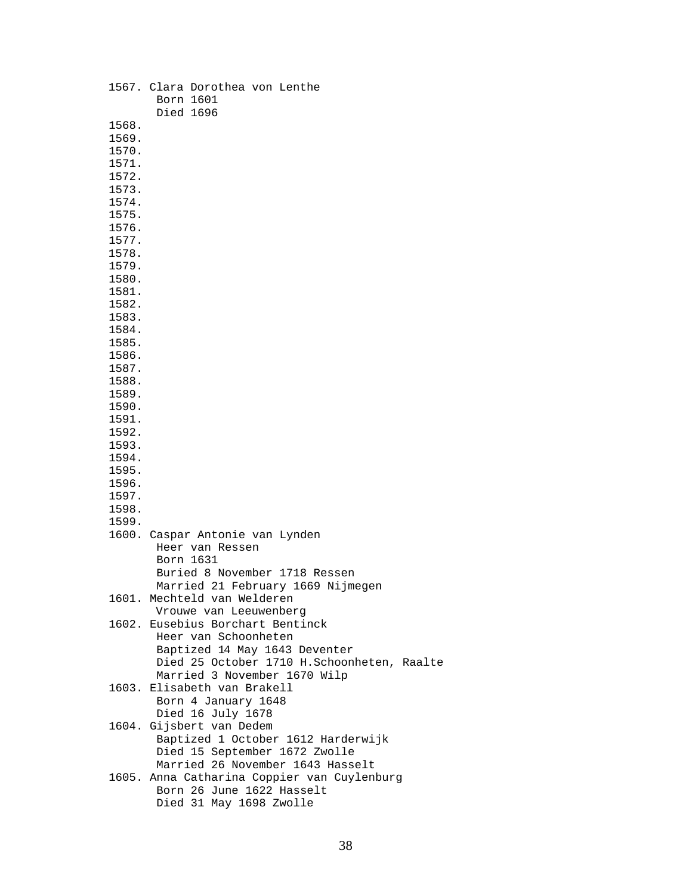|       | 1567. Clara Dorothea von Lenthe<br>Born 1601                |
|-------|-------------------------------------------------------------|
|       | Died 1696                                                   |
| 1568. |                                                             |
| 1569. |                                                             |
| 1570. |                                                             |
| 1571. |                                                             |
| 1572. |                                                             |
| 1573. |                                                             |
| 1574. |                                                             |
| 1575. |                                                             |
|       |                                                             |
| 1576. |                                                             |
| 1577. |                                                             |
| 1578. |                                                             |
| 1579. |                                                             |
| 1580. |                                                             |
| 1581. |                                                             |
| 1582. |                                                             |
| 1583. |                                                             |
| 1584. |                                                             |
| 1585. |                                                             |
| 1586. |                                                             |
| 1587. |                                                             |
| 1588. |                                                             |
| 1589. |                                                             |
| 1590. |                                                             |
| 1591. |                                                             |
| 1592. |                                                             |
| 1593. |                                                             |
| 1594. |                                                             |
| 1595. |                                                             |
| 1596. |                                                             |
| 1597. |                                                             |
| 1598. |                                                             |
| 1599. |                                                             |
|       | 1600. Caspar Antonie van Lynden                             |
|       | Heer van Ressen                                             |
|       | Born 1631                                                   |
|       | Buried 8 November 1718 Ressen                               |
|       | Married 21 February 1669 Nijmegen                           |
|       | 1601. Mechteld van Welderen                                 |
|       | Vrouwe van Leeuwenberg                                      |
|       | 1602. Eusebius Borchart Bentinck                            |
|       | Heer van Schoonheten                                        |
|       | Baptized 14 May 1643 Deventer                               |
|       | Died 25 October 1710 H.Schoonheten, Raalte                  |
|       |                                                             |
|       | Married 3 November 1670 Wilp<br>1603. Elisabeth van Brakell |
|       |                                                             |
|       | Born 4 January 1648                                         |
|       | Died 16 July 1678                                           |
|       | 1604. Gijsbert van Dedem                                    |
|       | Baptized 1 October 1612 Harderwijk                          |
|       | Died 15 September 1672 Zwolle                               |
|       | Married 26 November 1643 Hasselt                            |
|       | 1605. Anna Catharina Coppier van Cuylenburg                 |
|       | Born 26 June 1622 Hasselt                                   |
|       | Died 31 May 1698 Zwolle                                     |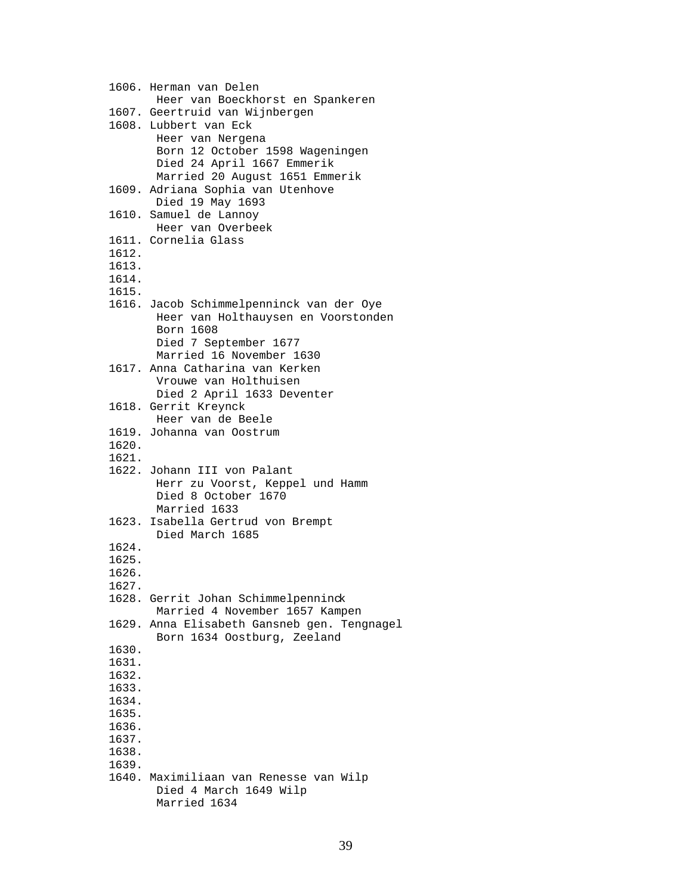1606. Herman van Delen Heer van Boeckhorst en Spankeren 1607. Geertruid van Wijnbergen 1608. Lubbert van Eck Heer van Nergena Born 12 October 1598 Wageningen Died 24 April 1667 Emmerik Married 20 August 1651 Emmerik 1609. Adriana Sophia van Utenhove Died 19 May 1693 1610. Samuel de Lannoy Heer van Overbeek 1611. Cornelia Glass 1612. 1613. 1614. 1615. 1616. Jacob Schimmelpenninck van der Oye Heer van Holthauysen en Voorstonden Born 1608 Died 7 September 1677 Married 16 November 1630 1617. Anna Catharina van Kerken Vrouwe van Holthuisen Died 2 April 1633 Deventer 1618. Gerrit Kreynck Heer van de Beele 1619. Johanna van Oostrum 1620. 1621. 1622. Johann III von Palant Herr zu Voorst, Keppel und Hamm Died 8 October 1670 Married 1633 1623. Isabella Gertrud von Brempt Died March 1685 1624. 1625. 1626. 1627. 1628. Gerrit Johan Schimmelpenninck Married 4 November 1657 Kampen 1629. Anna Elisabeth Gansneb gen. Tengnagel Born 1634 Oostburg, Zeeland 1630. 1631. 1632. 1633. 1634. 1635. 1636. 1637. 1638. 1639. 1640. Maximiliaan van Renesse van Wilp Died 4 March 1649 Wilp Married 1634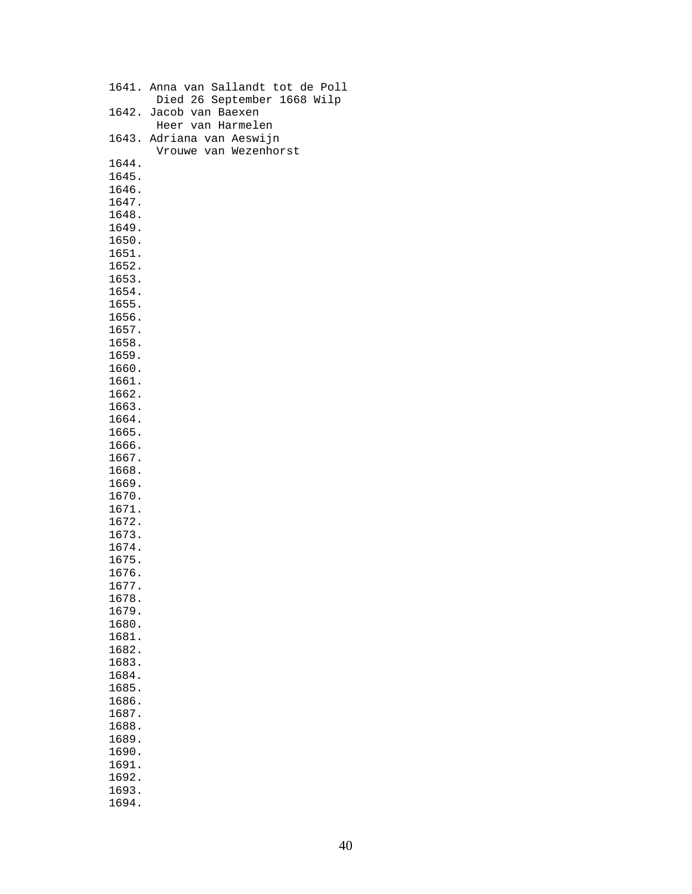|       | 1641. Anna van Sallandt tot de Poll |
|-------|-------------------------------------|
|       | Died 26 September 1668 Wilp         |
|       |                                     |
| 1642. | Jacob van Baexen                    |
|       | Heer van Harmelen                   |
| 1643. | Adriana van Aeswijn                 |
|       | Vrouwe van Wezenhorst               |
| 1644. |                                     |
| 1645. |                                     |
|       |                                     |
| 1646. |                                     |
| 1647. |                                     |
| 1648. |                                     |
| 1649. |                                     |
| 1650. |                                     |
| 1651. |                                     |
| 1652. |                                     |
|       |                                     |
| 1653. |                                     |
| 1654. |                                     |
| 1655. |                                     |
| 1656. |                                     |
| 1657. |                                     |
| 1658. |                                     |
|       |                                     |
| 1659. |                                     |
| 1660. |                                     |
| 1661. |                                     |
| 1662. |                                     |
| 1663. |                                     |
| 1664. |                                     |
| 1665. |                                     |
| 1666. |                                     |
|       |                                     |
| 1667. |                                     |
| 1668. |                                     |
| 1669. |                                     |
| 1670. |                                     |
| 1671. |                                     |
| 1672. |                                     |
| 1673. |                                     |
| 1674. |                                     |
|       |                                     |
| 1675. |                                     |
| 1676. |                                     |
| 1677. |                                     |
| 1678. |                                     |
| 1679. |                                     |
| 1680. |                                     |
| 1681. |                                     |
| 1682. |                                     |
| 1683. |                                     |
|       |                                     |
| 1684. |                                     |
| 1685. |                                     |
| 1686. |                                     |
| 1687. |                                     |
| 1688. |                                     |
| 1689. |                                     |
| 1690. |                                     |
| 1691. |                                     |
| 1692. |                                     |
|       |                                     |
| 1693. |                                     |
| 1694. |                                     |
|       |                                     |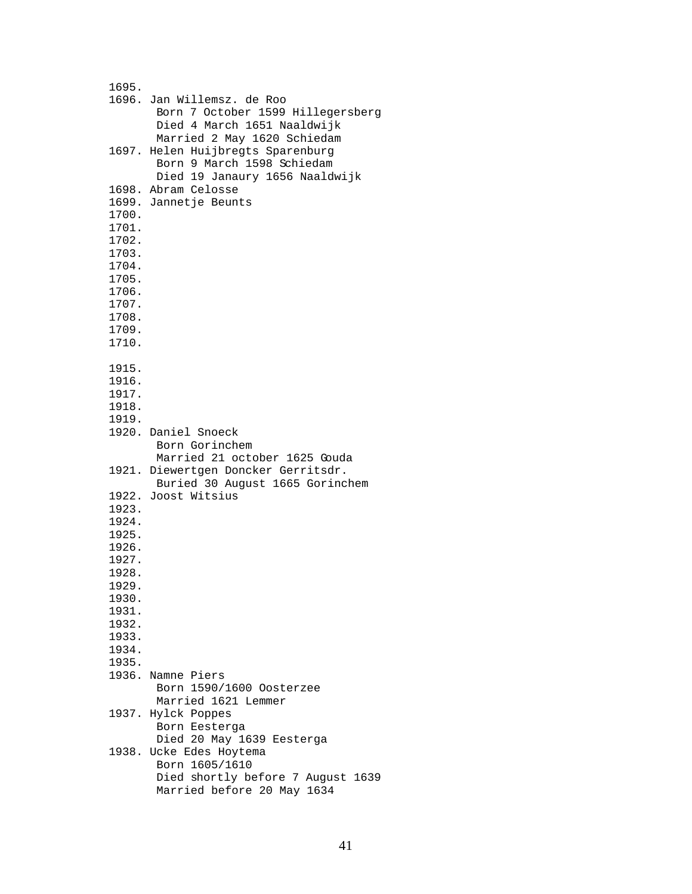| 1695. |                                     |
|-------|-------------------------------------|
|       |                                     |
|       | 1696. Jan Willemsz. de Roo          |
|       | Born 7 October 1599 Hillegersberg   |
|       | Died 4 March 1651 Naaldwijk         |
|       | Married 2 May 1620 Schiedam         |
|       | 1697. Helen Huijbregts Sparenburg   |
|       | Born 9 March 1598 Schiedam          |
|       | Died 19 Janaury 1656 Naaldwijk      |
|       | 1698. Abram Celosse                 |
|       | 1699. Jannetje Beunts               |
|       |                                     |
| 1700. |                                     |
| 1701. |                                     |
| 1702. |                                     |
| 1703. |                                     |
| 1704. |                                     |
| 1705. |                                     |
| 1706. |                                     |
| 1707. |                                     |
| 1708. |                                     |
| 1709. |                                     |
| 1710. |                                     |
|       |                                     |
|       |                                     |
| 1915. |                                     |
| 1916. |                                     |
| 1917. |                                     |
| 1918. |                                     |
| 1919. |                                     |
|       | 1920. Daniel Snoeck                 |
|       | Born Gorinchem                      |
|       | Married 21 october 1625 Gouda       |
|       | 1921. Diewertgen Doncker Gerritsdr. |
|       | Buried 30 August 1665 Gorinchem     |
|       | 1922. Joost Witsius                 |
| 1923. |                                     |
| 1924. |                                     |
|       |                                     |
| 1925. |                                     |
| 1926. |                                     |
| 1927. |                                     |
| 1928. |                                     |
| 1929. |                                     |
| 1930. |                                     |
| 1931. |                                     |
| 1932. |                                     |
| 1933. |                                     |
| 1934. |                                     |
| 1935. |                                     |
|       | 1936. Namne Piers                   |
|       | Born 1590/1600 Oosterzee            |
|       | Married 1621 Lemmer                 |
|       |                                     |
|       | 1937. Hylck Poppes                  |
|       | Born Eesterga                       |
|       | Died 20 May 1639 Eesterga           |
|       | 1938. Ucke Edes Hoytema             |
|       | Born 1605/1610                      |
|       | Died shortly before 7 August 1639   |
|       | Married before 20 May 1634          |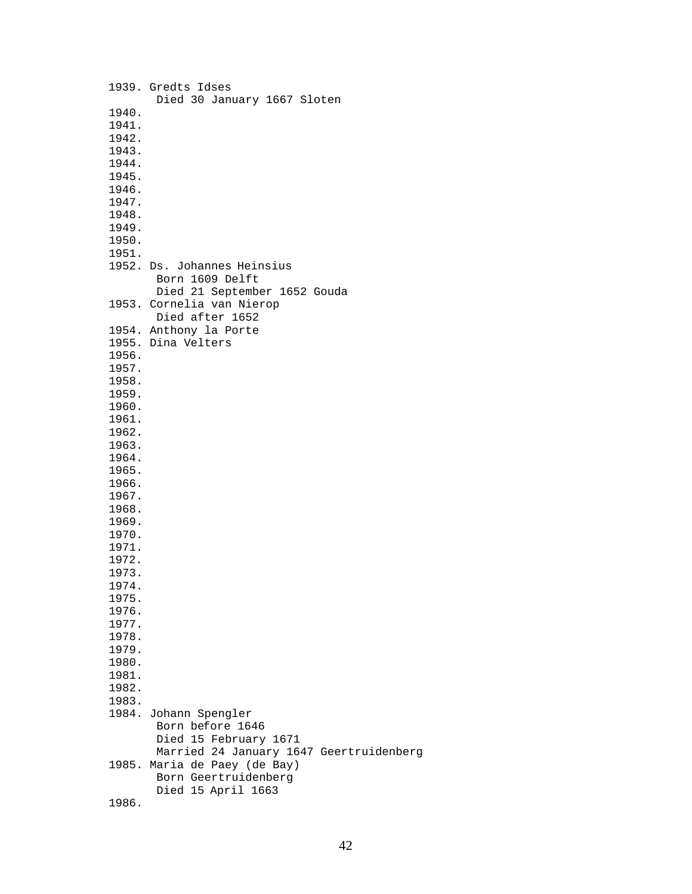|       | 1939. Gredts Idses                      |
|-------|-----------------------------------------|
|       | Died 30 January 1667 Sloten             |
| 1940. |                                         |
| 1941. |                                         |
| 1942. |                                         |
| 1943. |                                         |
| 1944. |                                         |
|       |                                         |
| 1945. |                                         |
| 1946. |                                         |
| 1947. |                                         |
| 1948. |                                         |
| 1949. |                                         |
| 1950. |                                         |
| 1951. |                                         |
|       | 1952. Ds. Johannes Heinsius             |
|       | Born 1609 Delft                         |
|       | Died 21 September 1652 Gouda            |
|       | 1953. Cornelia van Nierop               |
|       | Died after 1652                         |
|       | 1954. Anthony la Porte                  |
|       | 1955. Dina Velters                      |
|       |                                         |
| 1956. |                                         |
| 1957. |                                         |
| 1958. |                                         |
| 1959. |                                         |
| 1960. |                                         |
| 1961. |                                         |
| 1962. |                                         |
| 1963. |                                         |
| 1964. |                                         |
| 1965. |                                         |
| 1966. |                                         |
| 1967. |                                         |
| 1968. |                                         |
| 1969. |                                         |
| 1970. |                                         |
|       |                                         |
| 1971. |                                         |
| 1972. |                                         |
| 1973. |                                         |
| 1974. |                                         |
| 1975. |                                         |
| 1976. |                                         |
| 1977. |                                         |
| 1978. |                                         |
| 1979. |                                         |
| 1980. |                                         |
| 1981. |                                         |
| 1982. |                                         |
| 1983. |                                         |
|       | 1984. Johann Spengler                   |
|       | Born before 1646                        |
|       | Died 15 February 1671                   |
|       | Married 24 January 1647 Geertruidenberg |
|       | 1985. Maria de Paey (de Bay)            |
|       | Born Geertruidenberg                    |
|       | Died 15 April 1663                      |
| 1986. |                                         |
|       |                                         |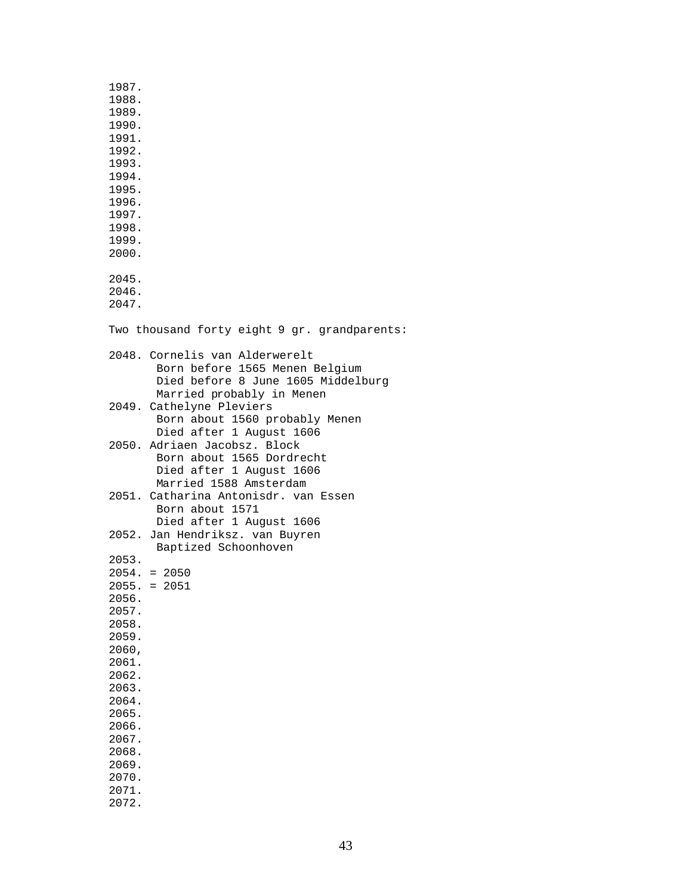| 1987.<br>1988.<br>1989.<br>1990. |                                                                                                                                     |
|----------------------------------|-------------------------------------------------------------------------------------------------------------------------------------|
| 1991.<br>1992.<br>1993.          |                                                                                                                                     |
| 1994.<br>1995.<br>1996.          |                                                                                                                                     |
| 1997.<br>1998.<br>1999.<br>2000. |                                                                                                                                     |
| 2045.<br>2046.<br>2047.          |                                                                                                                                     |
|                                  | Two thousand forty eight 9 gr. grandparents:                                                                                        |
|                                  | 2048. Cornelis van Alderwerelt<br>Born before 1565 Menen Belgium<br>Died before 8 June 1605 Middelburg<br>Married probably in Menen |
|                                  | 2049. Cathelyne Pleviers<br>Born about 1560 probably Menen<br>Died after 1 August 1606                                              |
|                                  | 2050. Adriaen Jacobsz. Block<br>Born about 1565 Dordrecht<br>Died after 1 August 1606<br>Married 1588 Amsterdam                     |
|                                  | 2051. Catharina Antonisdr. van Essen<br>Born about 1571<br>Died after 1 August 1606                                                 |
|                                  | 2052. Jan Hendriksz. van Buyren<br>Baptized Schoonhoven                                                                             |
| 2053.                            |                                                                                                                                     |
|                                  | $2054. = 2050$<br>$2055. = 2051$                                                                                                    |
| 2056.                            |                                                                                                                                     |
| 2057.                            |                                                                                                                                     |
| 2058.<br>2059.                   |                                                                                                                                     |
| 2060,                            |                                                                                                                                     |
| 2061.                            |                                                                                                                                     |
| 2062.<br>2063.                   |                                                                                                                                     |
| 2064.                            |                                                                                                                                     |
| 2065.<br>2066.                   |                                                                                                                                     |
| 2067.                            |                                                                                                                                     |
| 2068.                            |                                                                                                                                     |
| 2069.<br>2070.                   |                                                                                                                                     |
| 2071.                            |                                                                                                                                     |
| 2072.                            |                                                                                                                                     |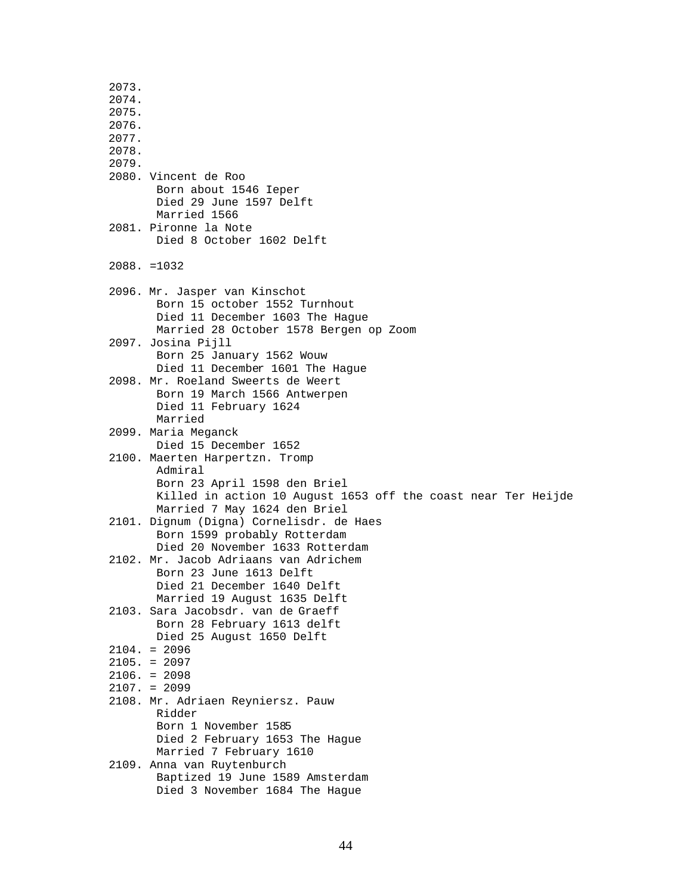2073. 2074. 2075. 2076. 2077. 2078. 2079. 2080. Vincent de Roo Born about 1546 Ieper Died 29 June 1597 Delft Married 1566 2081. Pironne la Note Died 8 October 1602 Delft 2088. =1032 2096. Mr. Jasper van Kinschot Born 15 october 1552 Turnhout Died 11 December 1603 The Hague Married 28 October 1578 Bergen op Zoom 2097. Josina Pijll Born 25 January 1562 Wouw Died 11 December 1601 The Hague 2098. Mr. Roeland Sweerts de Weert Born 19 March 1566 Antwerpen Died 11 February 1624 Married 2099. Maria Meganck Died 15 December 1652 2100. Maerten Harpertzn. Tromp Admiral Born 23 April 1598 den Briel Killed in action 10 August 1653 off the coast near Ter Heijde Married 7 May 1624 den Briel 2101. Dignum (Digna) Cornelisdr. de Haes Born 1599 probably Rotterdam Died 20 November 1633 Rotterdam 2102. Mr. Jacob Adriaans van Adrichem Born 23 June 1613 Delft Died 21 December 1640 Delft Married 19 August 1635 Delft 2103. Sara Jacobsdr. van de Graeff Born 28 February 1613 delft Died 25 August 1650 Delft  $2104. = 2096$  2105. = 2097 2106. = 2098 2107. = 2099 2108. Mr. Adriaen Reyniersz. Pauw Ridder Born 1 November 1585 Died 2 February 1653 The Hague Married 7 February 1610 2109. Anna van Ruytenburch Baptized 19 June 1589 Amsterdam Died 3 November 1684 The Hague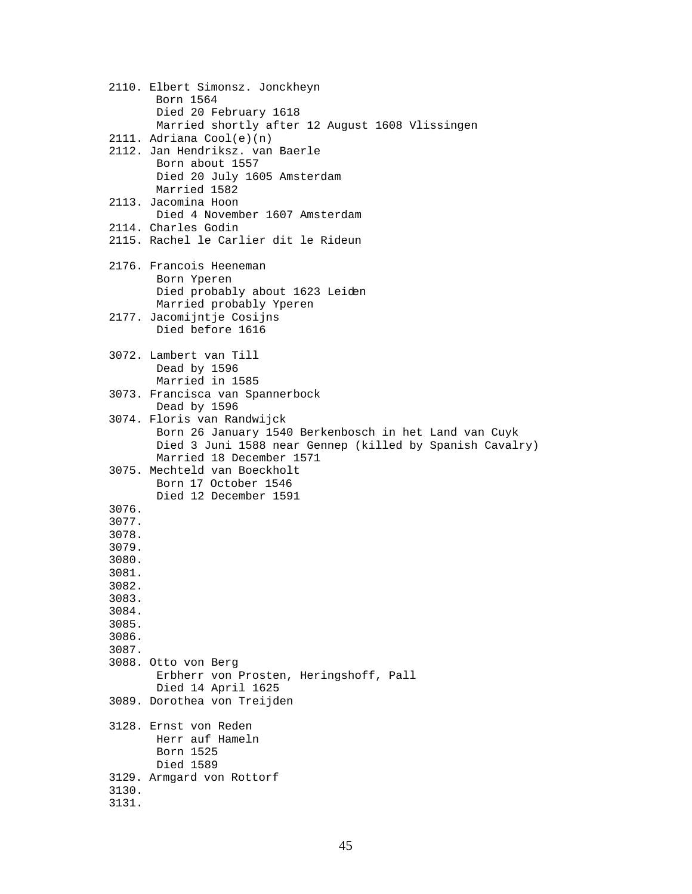```
 2110. Elbert Simonsz. Jonckheyn
       Born 1564
       Died 20 February 1618
       Married shortly after 12 August 1608 Vlissingen
2111. Adriana Cool(e)(n)
2112. Jan Hendriksz. van Baerle
       Born about 1557
       Died 20 July 1605 Amsterdam
       Married 1582
2113. Jacomina Hoon
       Died 4 November 1607 Amsterdam
2114. Charles Godin
2115. Rachel le Carlier dit le Rideun 
2176. Francois Heeneman
       Born Yperen
       Died probably about 1623 Leiden
       Married probably Yperen
2177. Jacomijntje Cosijns
       Died before 1616
3072. Lambert van Till
       Dead by 1596
       Married in 1585
3073. Francisca van Spannerbock
       Dead by 1596
3074. Floris van Randwijck
       Born 26 January 1540 Berkenbosch in het Land van Cuyk
       Died 3 Juni 1588 near Gennep (killed by Spanish Cavalry)
       Married 18 December 1571
3075. Mechteld van Boeckholt
       Born 17 October 1546
       Died 12 December 1591 
3076.
3077.
3078.
3079.
3080.
3081.
3082.
3083.
3084.
3085.
3086.
3087. 
3088. Otto von Berg
       Erbherr von Prosten, Heringshoff, Pall
       Died 14 April 1625
3089. Dorothea von Treijden
3128. Ernst von Reden
       Herr auf Hameln
       Born 1525
       Died 1589
3129. Armgard von Rottorf
3130.
3131.
```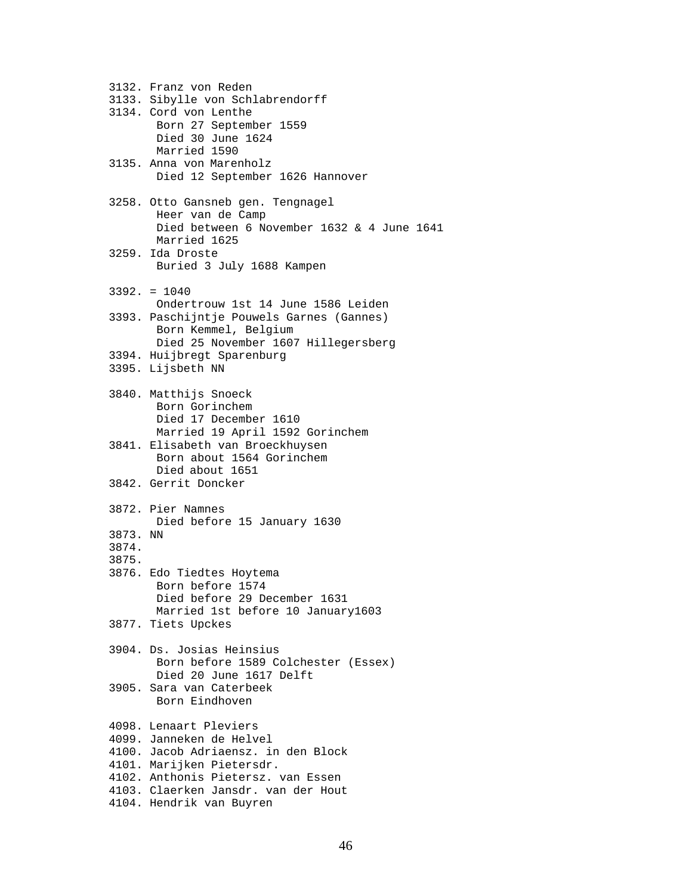3132. Franz von Reden 3133. Sibylle von Schlabrendorff 3134. Cord von Lenthe Born 27 September 1559 Died 30 June 1624 Married 1590 3135. Anna von Marenholz Died 12 September 1626 Hannover 3258. Otto Gansneb gen. Tengnagel Heer van de Camp Died between 6 November 1632 & 4 June 1641 Married 1625 3259. Ida Droste Buried 3 July 1688 Kampen 3392. = 1040 Ondertrouw 1st 14 June 1586 Leiden 3393. Paschijntje Pouwels Garnes (Gannes) Born Kemmel, Belgium Died 25 November 1607 Hillegersberg 3394. Huijbregt Sparenburg 3395. Lijsbeth NN 3840. Matthijs Snoeck Born Gorinchem Died 17 December 1610 Married 19 April 1592 Gorinchem 3841. Elisabeth van Broeckhuysen Born about 1564 Gorinchem Died about 1651 3842. Gerrit Doncker 3872. Pier Namnes Died before 15 January 1630 3873. NN 3874. 3875. 3876. Edo Tiedtes Hoytema Born before 1574 Died before 29 December 1631 Married 1st before 10 January1603 3877. Tiets Upckes 3904. Ds. Josias Heinsius Born before 1589 Colchester (Essex) Died 20 June 1617 Delft 3905. Sara van Caterbeek Born Eindhoven 4098. Lenaart Pleviers 4099. Janneken de Helvel 4100. Jacob Adriaensz. in den Block 4101. Marijken Pietersdr. 4102. Anthonis Pietersz. van Essen 4103. Claerken Jansdr. van der Hout 4104. Hendrik van Buyren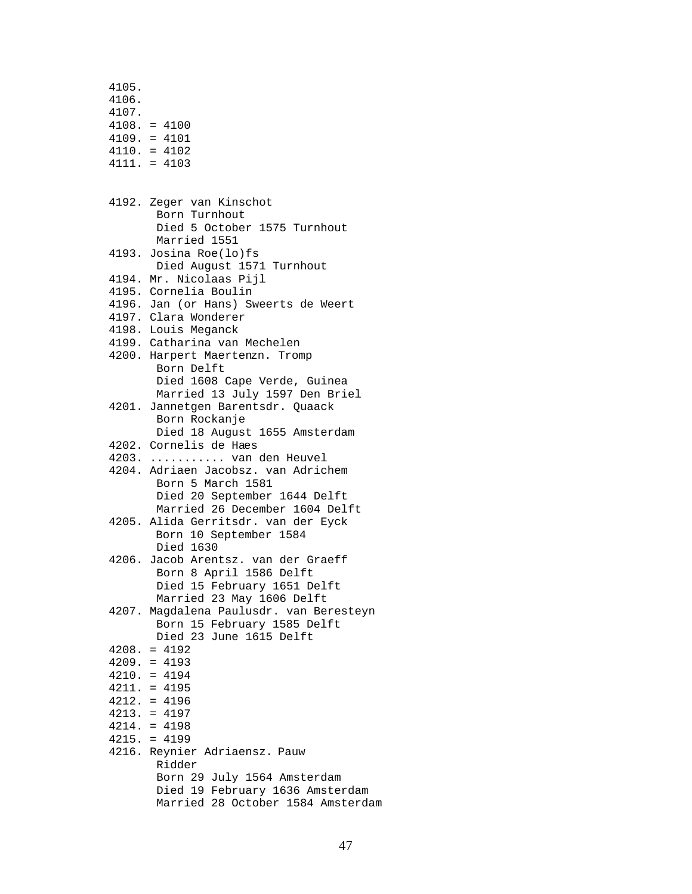4105. 4106. 4107. 4108. = 4100 4109. = 4101 4110. = 4102 4111. = 4103 4192. Zeger van Kinschot Born Turnhout Died 5 October 1575 Turnhout Married 1551 4193. Josina Roe(lo)fs Died August 1571 Turnhout 4194. Mr. Nicolaas Pijl 4195. Cornelia Boulin 4196. Jan (or Hans) Sweerts de Weert 4197. Clara Wonderer 4198. Louis Meganck 4199. Catharina van Mechelen 4200. Harpert Maertenzn. Tromp Born Delft Died 1608 Cape Verde, Guinea Married 13 July 1597 Den Briel 4201. Jannetgen Barentsdr. Quaack Born Rockanje Died 18 August 1655 Amsterdam 4202. Cornelis de Haes 4203. ........... van den Heuvel 4204. Adriaen Jacobsz. van Adrichem Born 5 March 1581 Died 20 September 1644 Delft Married 26 December 1604 Delft 4205. Alida Gerritsdr. van der Eyck Born 10 September 1584 Died 1630 4206. Jacob Arentsz. van der Graeff Born 8 April 1586 Delft Died 15 February 1651 Delft Married 23 May 1606 Delft 4207. Magdalena Paulusdr. van Beresteyn Born 15 February 1585 Delft Died 23 June 1615 Delft 4208. = 4192 4209. = 4193 4210. = 4194 4211. = 4195 4212. = 4196 4213. = 4197 4214. = 4198 4215. = 4199 4216. Reynier Adriaensz. Pauw Ridder Born 29 July 1564 Amsterdam Died 19 February 1636 Amsterdam Married 28 October 1584 Amsterdam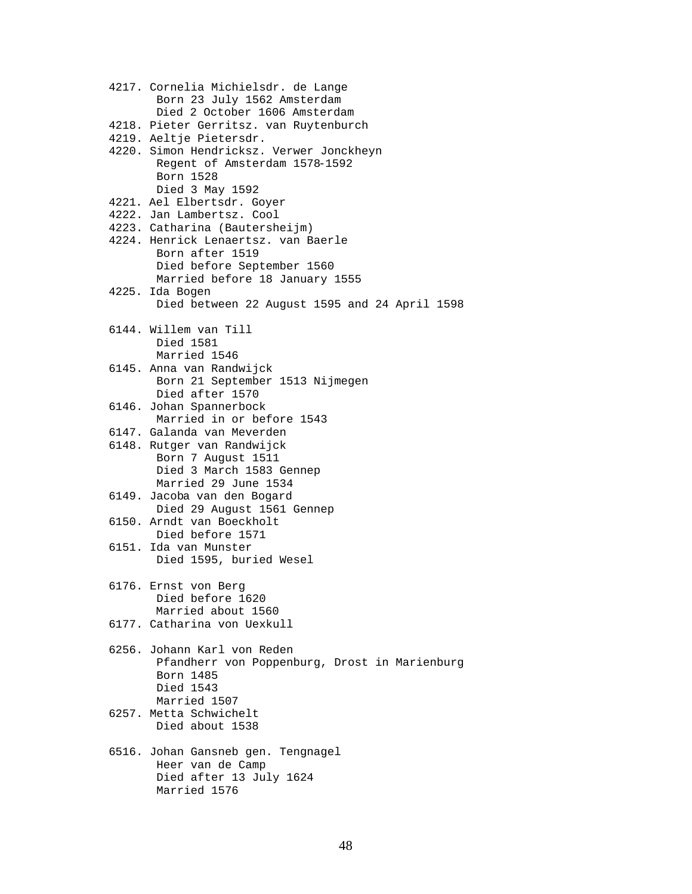| 4217. Cornelia Michielsdr. de Lange<br>Born 23 July 1562 Amsterdam<br>Died 2 October 1606 Amsterdam                    |
|------------------------------------------------------------------------------------------------------------------------|
| 4218. Pieter Gerritsz. van Ruytenburch                                                                                 |
| 4219. Aeltje Pietersdr.                                                                                                |
| 4220. Simon Hendricksz. Verwer Jonckheyn<br>Regent of Amsterdam 1578-1592<br>Born 1528<br>Died 3 May 1592              |
| 4221. Ael Elbertsdr. Goyer                                                                                             |
| 4222. Jan Lambertsz. Cool                                                                                              |
| 4223. Catharina (Bautersheijm)                                                                                         |
| 4224. Henrick Lenaertsz. van Baerle<br>Born after 1519<br>Died before September 1560<br>Married before 18 January 1555 |
| 4225. Ida Bogen                                                                                                        |
| Died between 22 August 1595 and 24 April 1598                                                                          |
| 6144. Willem van Till<br>Died 1581<br>Married 1546                                                                     |
| 6145. Anna van Randwijck<br>Born 21 September 1513 Nijmegen<br>Died after 1570                                         |
| 6146. Johan Spannerbock<br>Married in or before 1543                                                                   |
| 6147. Galanda van Meverden                                                                                             |
| 6148. Rutger van Randwijck<br>Born 7 August 1511<br>Died 3 March 1583 Gennep<br>Married 29 June 1534                   |
| 6149. Jacoba van den Bogard<br>Died 29 August 1561 Gennep                                                              |
| 6150. Arndt van Boeckholt<br>Died before 1571                                                                          |
| 6151. Ida van Munster<br>Died 1595, buried Wesel                                                                       |
| 6176. Ernst von Berg<br>Died before 1620<br>Married about 1560                                                         |
| 6177. Catharina von Uexkull                                                                                            |
| 6256. Johann Karl von Reden<br>Pfandherr von Poppenburg, Drost in Marienburg<br>Born 1485<br>Died 1543<br>Married 1507 |
| 6257. Metta Schwichelt<br>Died about 1538                                                                              |
| 6516. Johan Gansneb gen. Tengnagel<br>Heer van de Camp<br>Died after 13 July 1624<br>Married 1576                      |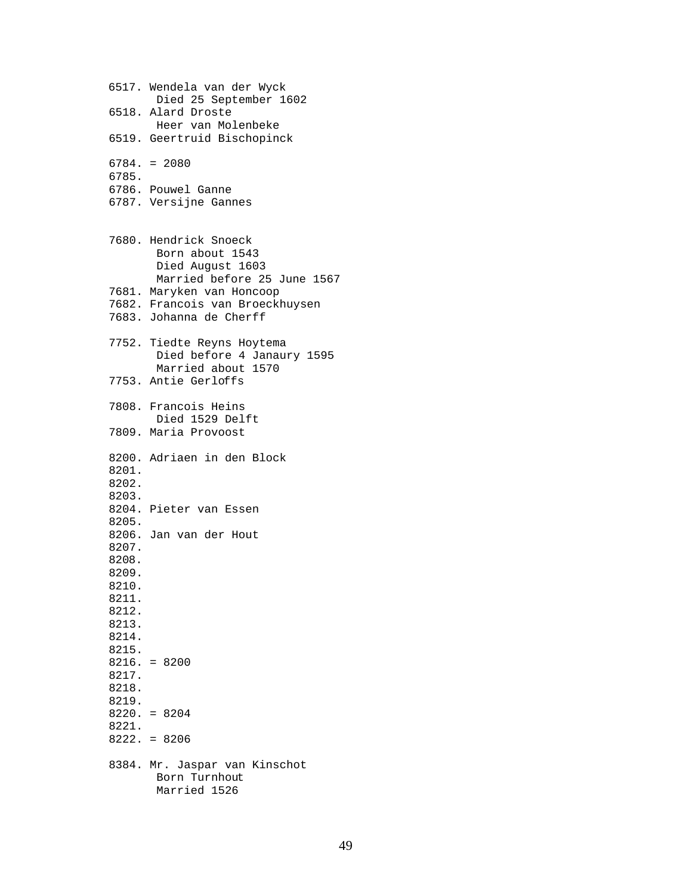6517. Wendela van der Wyck Died 25 September 1602 6518. Alard Droste Heer van Molenbeke 6519. Geertruid Bischopinck 6784. = 2080 6785. 6786. Pouwel Ganne 6787. Versijne Gannes 7680. Hendrick Snoeck Born about 1543 Died August 1603 Married before 25 June 1567 7681. Maryken van Honcoop 7682. Francois van Broeckhuysen 7683. Johanna de Cherff 7752. Tiedte Reyns Hoytema Died before 4 Janaury 1595 Married about 1570 7753. Antie Gerloffs 7808. Francois Heins Died 1529 Delft 7809. Maria Provoost 8200. Adriaen in den Block 8201. 8202. 8203. 8204. Pieter van Essen 8205. 8206. Jan van der Hout 8207. 8208. 8209. 8210. 8211. 8212. 8213. 8214. 8215. 8216. = 8200 8217. 8218. 8219. 8220. = 8204 8221. 8222. = 8206 8384. Mr. Jaspar van Kinschot Born Turnhout Married 1526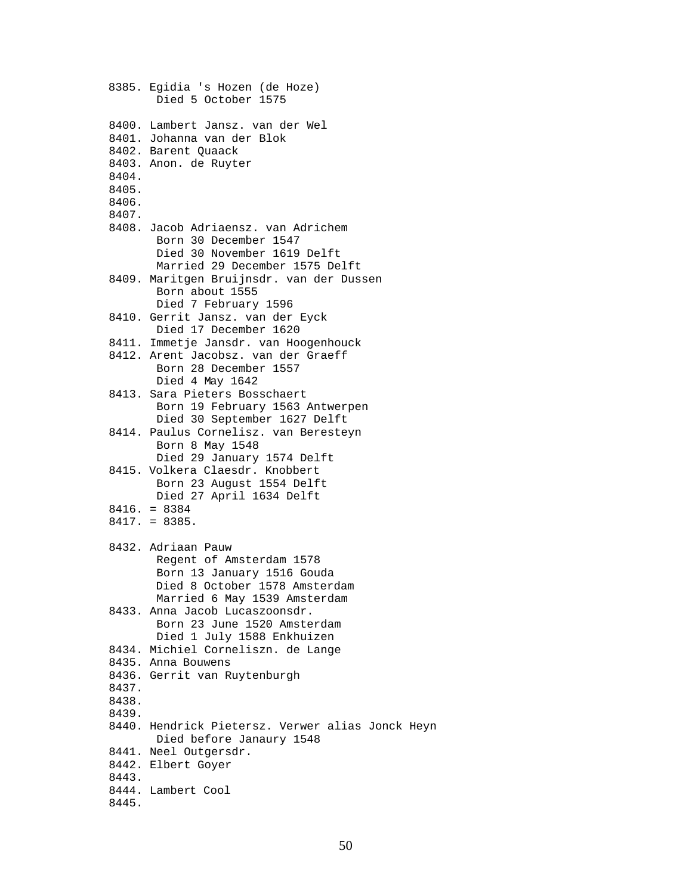```
 8385. Egidia 's Hozen (de Hoze)
       Died 5 October 1575
8400. Lambert Jansz. van der Wel
8401. Johanna van der Blok
8402. Barent Quaack
8403. Anon. de Ruyter
8404.
8405.
8406.
8407.
8408. Jacob Adriaensz. van Adrichem
       Born 30 December 1547
       Died 30 November 1619 Delft
       Married 29 December 1575 Delft
8409. Maritgen Bruijnsdr. van der Dussen
       Born about 1555
       Died 7 February 1596
8410. Gerrit Jansz. van der Eyck
      Died 17 December 1620
8411. Immetje Jansdr. van Hoogenhouck
8412. Arent Jacobsz. van der Graeff
       Born 28 December 1557
       Died 4 May 1642
8413. Sara Pieters Bosschaert
       Born 19 February 1563 Antwerpen
       Died 30 September 1627 Delft
8414. Paulus Cornelisz. van Beresteyn
       Born 8 May 1548
       Died 29 January 1574 Delft
8415. Volkera Claesdr. Knobbert
       Born 23 August 1554 Delft
       Died 27 April 1634 Delft
8416. = 8384
8417. = 8385.
8432. Adriaan Pauw
       Regent of Amsterdam 1578
       Born 13 January 1516 Gouda
       Died 8 October 1578 Amsterdam
       Married 6 May 1539 Amsterdam
8433. Anna Jacob Lucaszoonsdr.
       Born 23 June 1520 Amsterdam
       Died 1 July 1588 Enkhuizen
8434. Michiel Corneliszn. de Lange 
8435. Anna Bouwens
8436. Gerrit van Ruytenburgh
8437.
8438.
8439.
8440. Hendrick Pietersz. Verwer alias Jonck Heyn
       Died before Janaury 1548
8441. Neel Outgersdr.
8442. Elbert Goyer
8443.
8444. Lambert Cool
8445.
```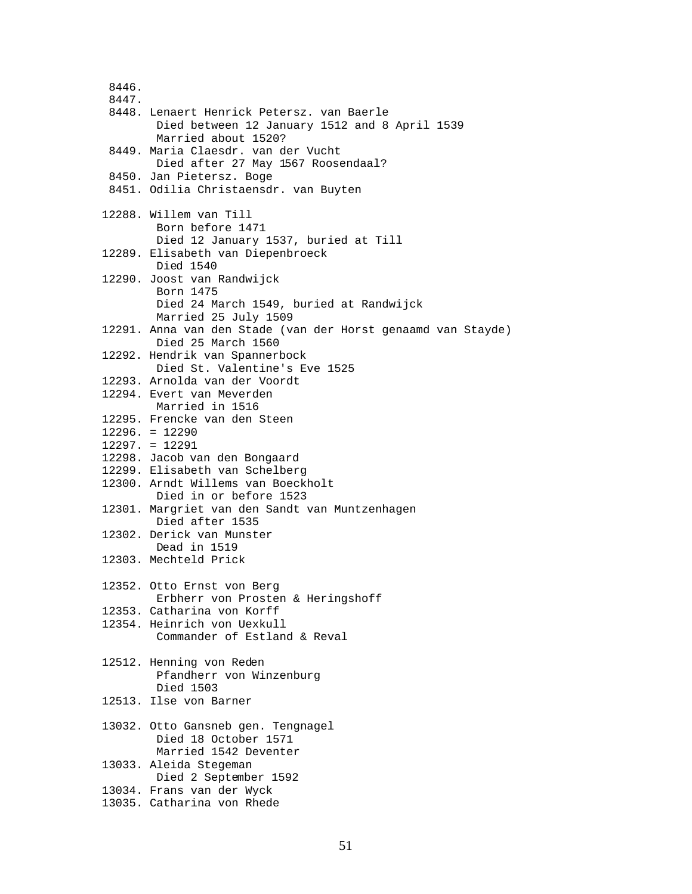8446. 8447. 8448. Lenaert Henrick Petersz. van Baerle Died between 12 January 1512 and 8 April 1539 Married about 1520? 8449. Maria Claesdr. van der Vucht Died after 27 May 1567 Roosendaal? 8450. Jan Pietersz. Boge 8451. Odilia Christaensdr. van Buyten 12288. Willem van Till Born before 1471 Died 12 January 1537, buried at Till 12289. Elisabeth van Diepenbroeck Died 1540 12290. Joost van Randwijck Born 1475 Died 24 March 1549, buried at Randwijck Married 25 July 1509 12291. Anna van den Stade (van der Horst genaamd van Stayde) Died 25 March 1560 12292. Hendrik van Spannerbock Died St. Valentine's Eve 1525 12293. Arnolda van der Voordt 12294. Evert van Meverden Married in 1516 12295. Frencke van den Steen 12296. = 12290 12297. = 12291 12298. Jacob van den Bongaard 12299. Elisabeth van Schelberg 12300. Arndt Willems van Boeckholt Died in or before 1523 12301. Margriet van den Sandt van Muntzenhagen Died after 1535 12302. Derick van Munster Dead in 1519 12303. Mechteld Prick 12352. Otto Ernst von Berg Erbherr von Prosten & Heringshoff 12353. Catharina von Korff 12354. Heinrich von Uexkull Commander of Estland & Reval 12512. Henning von Reden Pfandherr von Winzenburg Died 1503 12513. Ilse von Barner 13032. Otto Gansneb gen. Tengnagel Died 18 October 1571 Married 1542 Deventer 13033. Aleida Stegeman Died 2 September 1592 13034. Frans van der Wyck 13035. Catharina von Rhede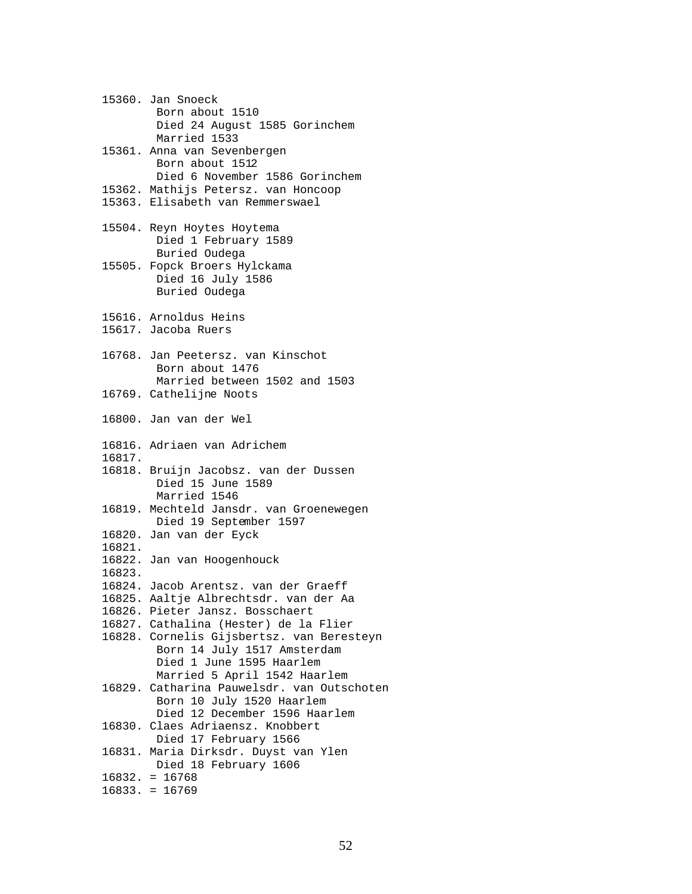15360. Jan Snoeck Born about 1510 Died 24 August 1585 Gorinchem Married 1533 15361. Anna van Sevenbergen Born about 1512 Died 6 November 1586 Gorinchem 15362. Mathijs Petersz. van Honcoop 15363. Elisabeth van Remmerswael 15504. Reyn Hoytes Hoytema Died 1 February 1589 Buried Oudega 15505. Fopck Broers Hylckama Died 16 July 1586 Buried Oudega 15616. Arnoldus Heins 15617. Jacoba Ruers 16768. Jan Peetersz. van Kinschot Born about 1476 Married between 1502 and 1503 16769. Cathelijne Noots 16800. Jan van der Wel 16816. Adriaen van Adrichem 16817. 16818. Bruijn Jacobsz. van der Dussen Died 15 June 1589 Married 1546 16819. Mechteld Jansdr. van Groenewegen Died 19 September 1597 16820. Jan van der Eyck 16821. 16822. Jan van Hoogenhouck 16823. 16824. Jacob Arentsz. van der Graeff 16825. Aaltje Albrechtsdr. van der Aa 16826. Pieter Jansz. Bosschaert 16827. Cathalina (Hester) de la Flier 16828. Cornelis Gijsbertsz. van Beresteyn Born 14 July 1517 Amsterdam Died 1 June 1595 Haarlem Married 5 April 1542 Haarlem 16829. Catharina Pauwelsdr. van Outschoten Born 10 July 1520 Haarlem Died 12 December 1596 Haarlem 16830. Claes Adriaensz. Knobbert Died 17 February 1566 16831. Maria Dirksdr. Duyst van Ylen Died 18 February 1606 16832. = 16768 16833. = 16769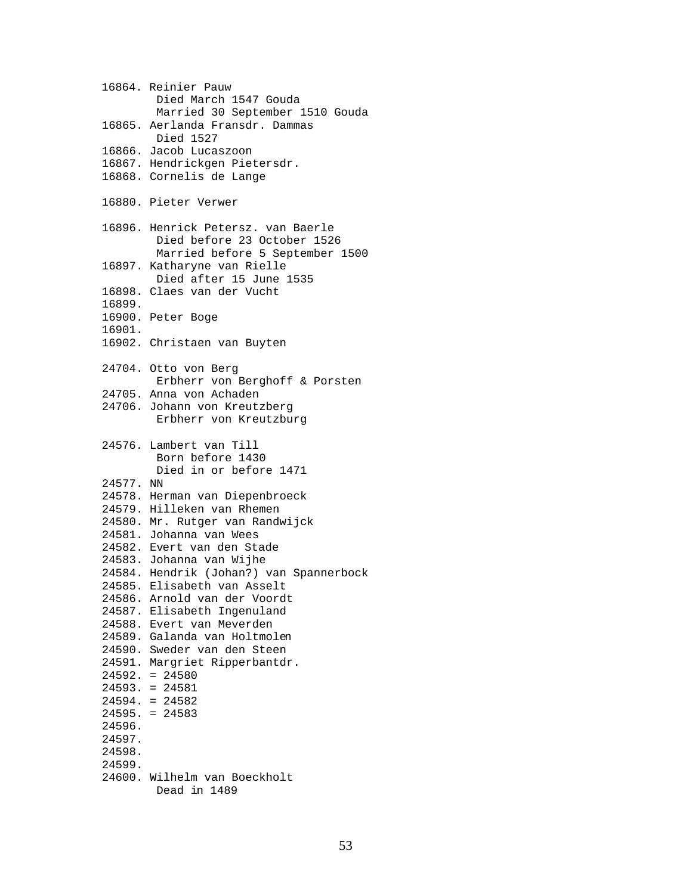16864. Reinier Pauw Died March 1547 Gouda Married 30 September 1510 Gouda 16865. Aerlanda Fransdr. Dammas Died 1527 16866. Jacob Lucaszoon 16867. Hendrickgen Pietersdr. 16868. Cornelis de Lange 16880. Pieter Verwer 16896. Henrick Petersz. van Baerle Died before 23 October 1526 Married before 5 September 1500 16897. Katharyne van Rielle Died after 15 June 1535 16898. Claes van der Vucht 16899. 16900. Peter Boge 16901. 16902. Christaen van Buyten 24704. Otto von Berg Erbherr von Berghoff & Porsten 24705. Anna von Achaden 24706. Johann von Kreutzberg Erbherr von Kreutzburg 24576. Lambert van Till Born before 1430 Died in or before 1471 24577. NN 24578. Herman van Diepenbroeck 24579. Hilleken van Rhemen 24580. Mr. Rutger van Randwijck 24581. Johanna van Wees 24582. Evert van den Stade 24583. Johanna van Wijhe 24584. Hendrik (Johan?) van Spannerbock 24585. Elisabeth van Asselt 24586. Arnold van der Voordt 24587. Elisabeth Ingenuland 24588. Evert van Meverden 24589. Galanda van Holtmolen 24590. Sweder van den Steen 24591. Margriet Ripperbantdr. 24592. = 24580 24593. = 24581 24594. = 24582 24595. = 24583 24596. 24597. 24598. 24599. 24600. Wilhelm van Boeckholt Dead in 1489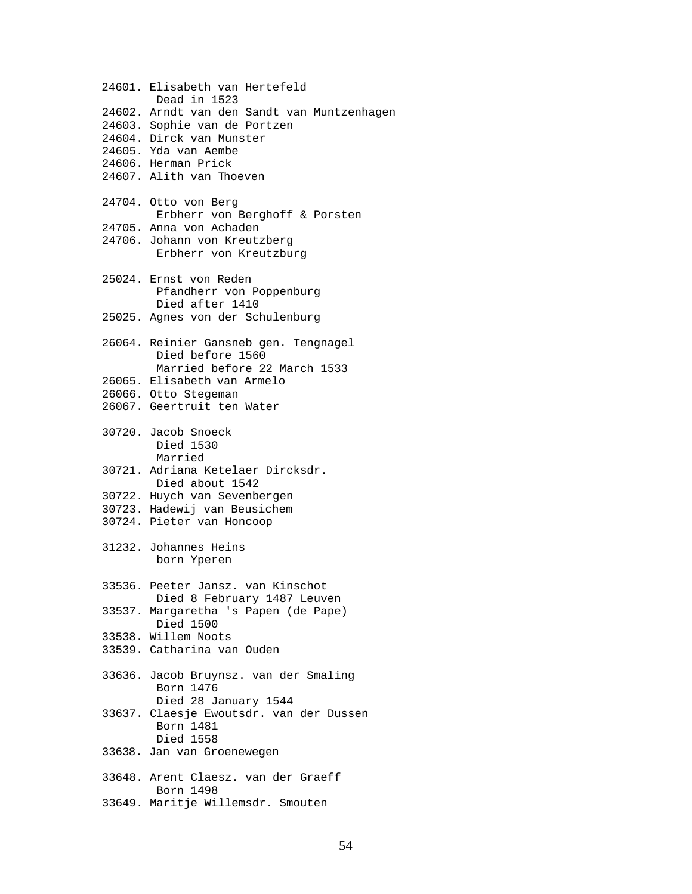24601. Elisabeth van Hertefeld Dead in 1523 24602. Arndt van den Sandt van Muntzenhagen 24603. Sophie van de Portzen 24604. Dirck van Munster 24605. Yda van Aembe 24606. Herman Prick 24607. Alith van Thoeven 24704. Otto von Berg Erbherr von Berghoff & Porsten 24705. Anna von Achaden 24706. Johann von Kreutzberg Erbherr von Kreutzburg 25024. Ernst von Reden Pfandherr von Poppenburg Died after 1410 25025. Agnes von der Schulenburg 26064. Reinier Gansneb gen. Tengnagel Died before 1560 Married before 22 March 1533 26065. Elisabeth van Armelo 26066. Otto Stegeman 26067. Geertruit ten Water 30720. Jacob Snoeck Died 1530 Married 30721. Adriana Ketelaer Dircksdr. Died about 1542 30722. Huych van Sevenbergen 30723. Hadewij van Beusichem 30724. Pieter van Honcoop 31232. Johannes Heins born Yperen 33536. Peeter Jansz. van Kinschot Died 8 February 1487 Leuven 33537. Margaretha 's Papen (de Pape) Died 1500 33538. Willem Noots 33539. Catharina van Ouden 33636. Jacob Bruynsz. van der Smaling Born 1476 Died 28 January 1544 33637. Claesje Ewoutsdr. van der Dussen Born 1481 Died 1558 33638. Jan van Groenewegen 33648. Arent Claesz. van der Graeff Born 1498 33649. Maritje Willemsdr. Smouten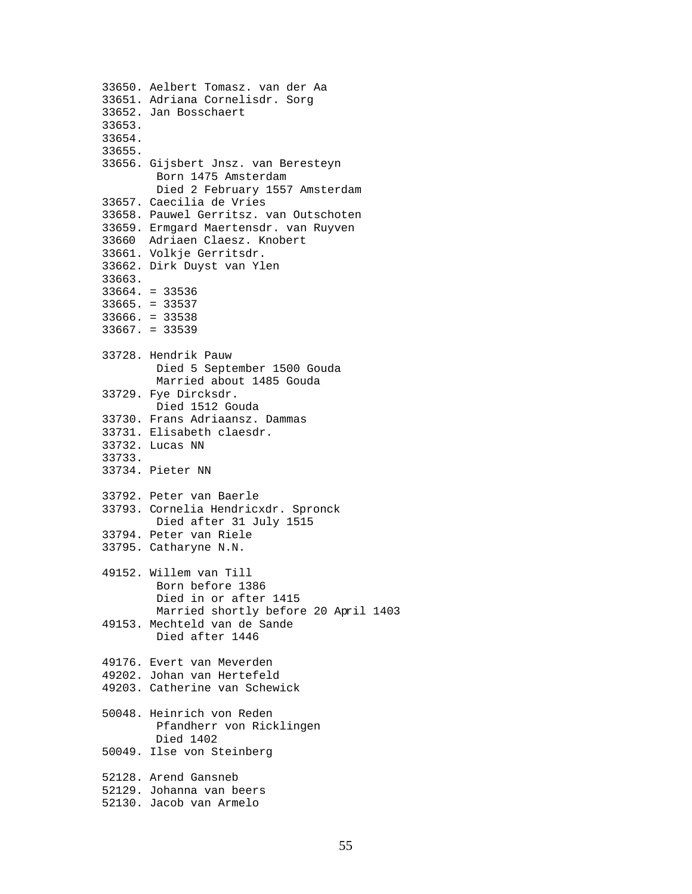33650. Aelbert Tomasz. van der Aa 33651. Adriana Cornelisdr. Sorg 33652. Jan Bosschaert 33653. 33654. 33655. 33656. Gijsbert Jnsz. van Beresteyn Born 1475 Amsterdam Died 2 February 1557 Amsterdam 33657. Caecilia de Vries 33658. Pauwel Gerritsz. van Outschoten 33659. Ermgard Maertensdr. van Ruyven 33660 Adriaen Claesz. Knobert 33661. Volkje Gerritsdr. 33662. Dirk Duyst van Ylen 33663. 33664. = 33536 33665. = 33537 33666. = 33538 33667. = 33539 33728. Hendrik Pauw Died 5 September 1500 Gouda Married about 1485 Gouda 33729. Fye Dircksdr. Died 1512 Gouda 33730. Frans Adriaansz. Dammas 33731. Elisabeth claesdr. 33732. Lucas NN 33733. 33734. Pieter NN 33792. Peter van Baerle 33793. Cornelia Hendricxdr. Spronck Died after 31 July 1515 33794. Peter van Riele 33795. Catharyne N.N. 49152. Willem van Till Born before 1386 Died in or after 1415 Married shortly before 20 April 1403 49153. Mechteld van de Sande Died after 1446 49176. Evert van Meverden 49202. Johan van Hertefeld 49203. Catherine van Schewick 50048. Heinrich von Reden Pfandherr von Ricklingen Died 1402 50049. Ilse von Steinberg 52128. Arend Gansneb 52129. Johanna van beers 52130. Jacob van Armelo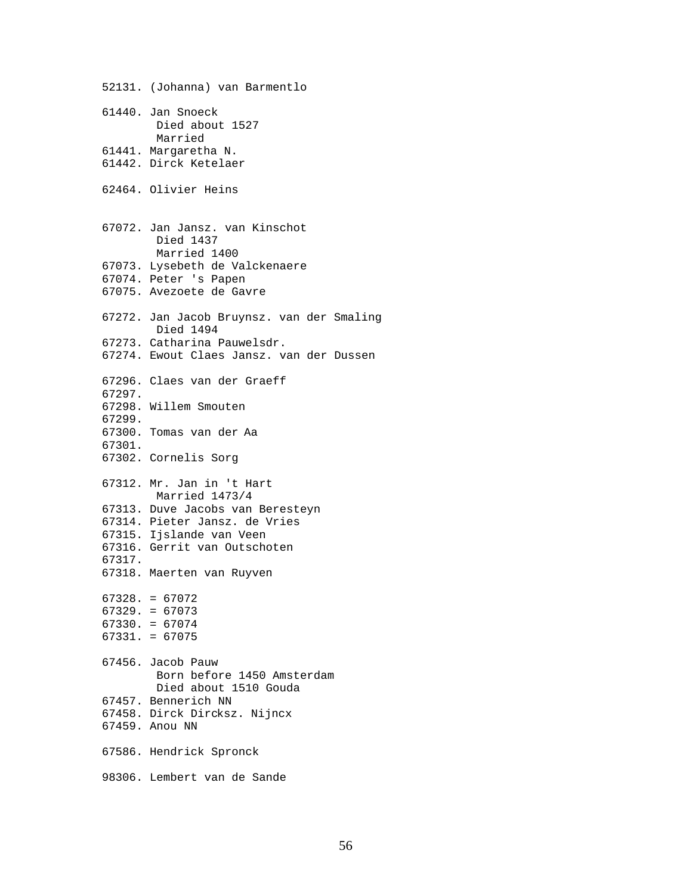52131. (Johanna) van Barmentlo 61440. Jan Snoeck Died about 1527 Married 61441. Margaretha N. 61442. Dirck Ketelaer 62464. Olivier Heins 67072. Jan Jansz. van Kinschot Died 1437 Married 1400 67073. Lysebeth de Valckenaere 67074. Peter 's Papen 67075. Avezoete de Gavre 67272. Jan Jacob Bruynsz. van der Smaling Died 1494 67273. Catharina Pauwelsdr. 67274. Ewout Claes Jansz. van der Dussen 67296. Claes van der Graeff 67297. 67298. Willem Smouten 67299. 67300. Tomas van der Aa 67301. 67302. Cornelis Sorg 67312. Mr. Jan in 't Hart Married 1473/4 67313. Duve Jacobs van Beresteyn 67314. Pieter Jansz. de Vries 67315. Ijslande van Veen 67316. Gerrit van Outschoten 67317. 67318. Maerten van Ruyven 67328. = 67072 67329. = 67073 67330. = 67074 67331. = 67075 67456. Jacob Pauw Born before 1450 Amsterdam Died about 1510 Gouda 67457. Bennerich NN 67458. Dirck Dircksz. Nijncx 67459. Anou NN 67586. Hendrick Spronck 98306. Lembert van de Sande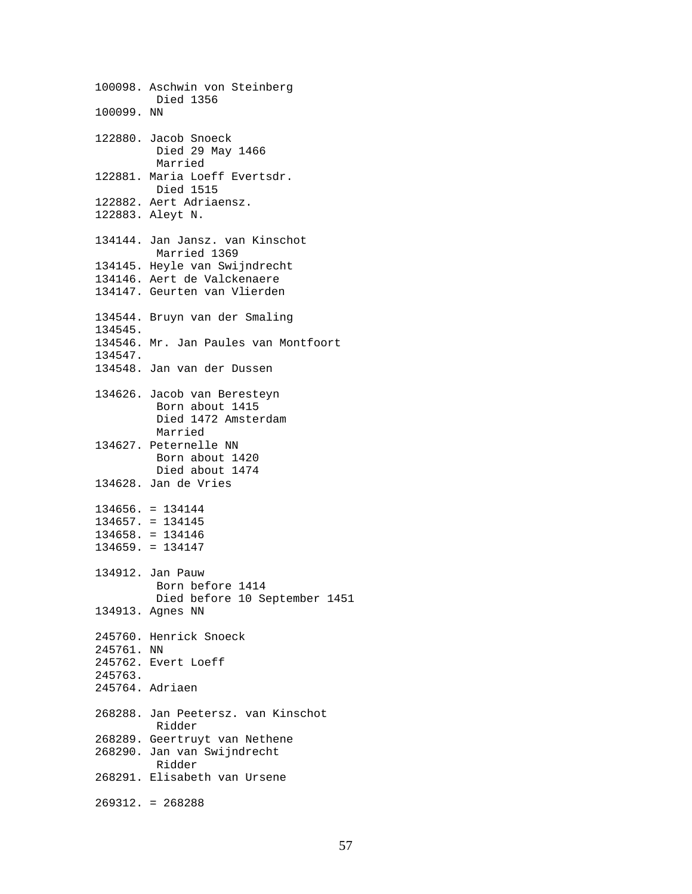100098. Aschwin von Steinberg Died 1356 100099. NN 122880. Jacob Snoeck Died 29 May 1466 Married 122881. Maria Loeff Evertsdr. Died 1515 122882. Aert Adriaensz. 122883. Aleyt N. 134144. Jan Jansz. van Kinschot Married 1369 134145. Heyle van Swijndrecht 134146. Aert de Valckenaere 134147. Geurten van Vlierden 134544. Bruyn van der Smaling 134545. 134546. Mr. Jan Paules van Montfoort 134547. 134548. Jan van der Dussen 134626. Jacob van Beresteyn Born about 1415 Died 1472 Amsterdam Married 134627. Peternelle NN Born about 1420 Died about 1474 134628. Jan de Vries 134656. = 134144 134657. = 134145 134658. = 134146 134659. = 134147 134912. Jan Pauw Born before 1414 Died before 10 September 1451 134913. Agnes NN 245760. Henrick Snoeck 245761. NN 245762. Evert Loeff 245763. 245764. Adriaen 268288. Jan Peetersz. van Kinschot Ridder 268289. Geertruyt van Nethene 268290. Jan van Swijndrecht Ridder 268291. Elisabeth van Ursene 269312. = 268288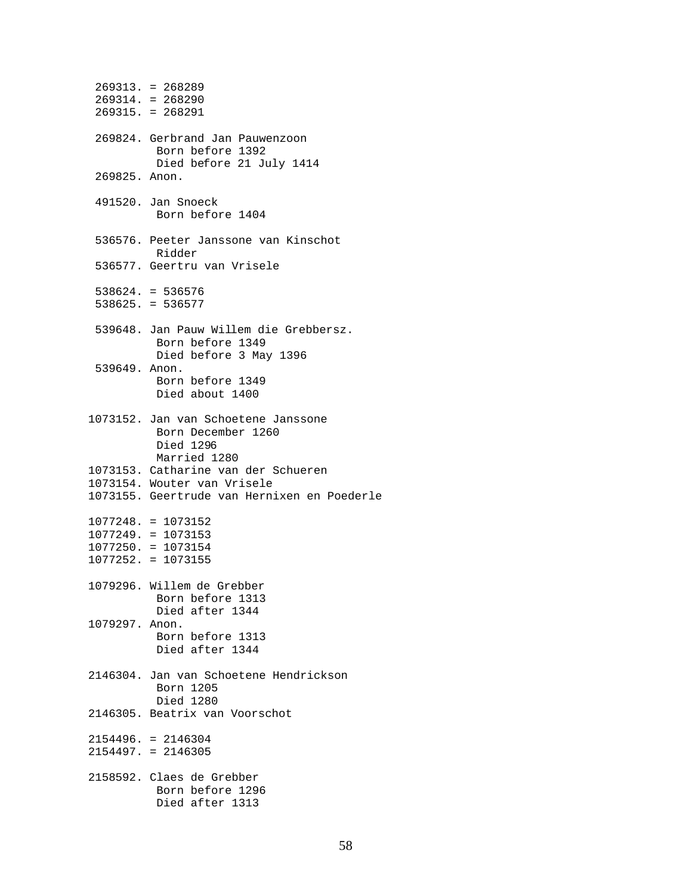|                | $269313. = 268289$<br>$269314. = 268290$<br>$269315. = 268291$                         |
|----------------|----------------------------------------------------------------------------------------|
|                | 269824. Gerbrand Jan Pauwenzoon<br>Born before 1392<br>Died before 21 July 1414        |
| 269825. Anon.  |                                                                                        |
|                | 491520. Jan Snoeck<br>Born before 1404                                                 |
|                | 536576. Peeter Janssone van Kinschot<br>Ridder                                         |
|                | 536577. Geertru van Vrisele                                                            |
|                | $538624. = 536576$<br>$538625. = 536577$                                               |
|                | 539648. Jan Pauw Willem die Grebbersz.<br>Born before 1349<br>Died before 3 May 1396   |
| 539649. Anon.  | Born before 1349<br>Died about 1400                                                    |
|                | 1073152. Jan van Schoetene Janssone<br>Born December 1260<br>Died 1296<br>Married 1280 |
|                | 1073153. Catharine van der Schueren                                                    |
|                | 1073154. Wouter van Vrisele<br>1073155. Geertrude van Hernixen en Poederle             |
|                | $1077248. = 1073152$<br>$1077249. = 1073153$                                           |
|                | $1077250. = 1073154$                                                                   |
|                | $1077252. = 1073155$                                                                   |
|                | 1079296. Willem de Grebber<br>Born before 1313<br>Died after 1344                      |
| 1079297. Anon. | Born before 1313<br>Died after 1344                                                    |
|                | 2146304. Jan van Schoetene Hendrickson<br>Born 1205<br>Died 1280                       |
|                | 2146305. Beatrix van Voorschot                                                         |
|                | $2154496. = 2146304$<br>$2154497. = 2146305$                                           |
|                | 2158592. Claes de Grebber<br>Born before 1296<br>Died after 1313                       |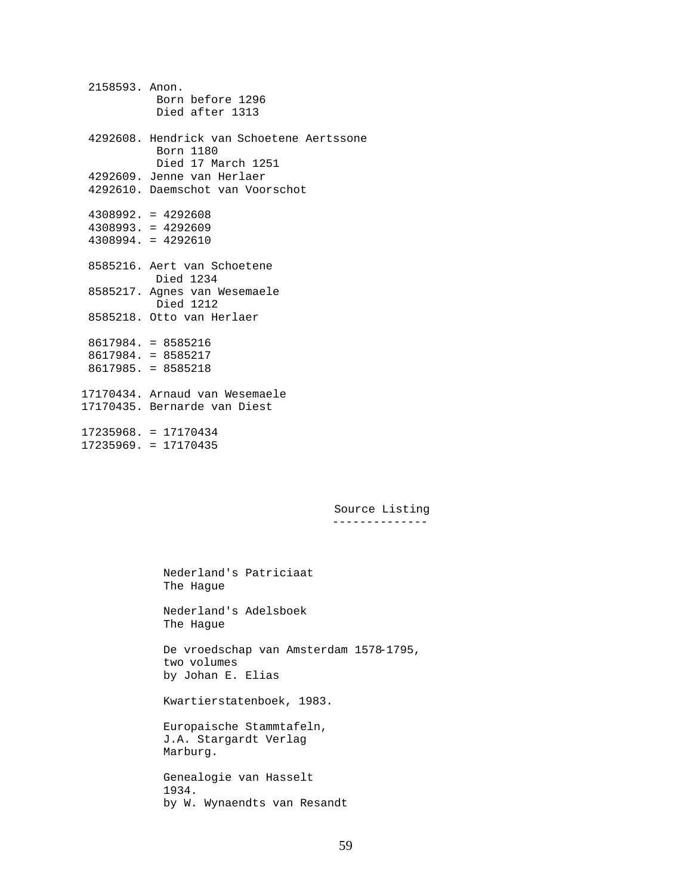2158593. Anon. Born before 1296 Died after 1313 4292608. Hendrick van Schoetene Aertssone Born 1180 Died 17 March 1251 4292609. Jenne van Herlaer 4292610. Daemschot van Voorschot 4308992. = 4292608 4308993. = 4292609 4308994. = 4292610 8585216. Aert van Schoetene Died 1234 8585217. Agnes van Wesemaele Died 1212 8585218. Otto van Herlaer 8617984. = 8585216 8617984. = 8585217 8617985. = 8585218 17170434. Arnaud van Wesemaele 17170435. Bernarde van Diest 17235968. = 17170434 17235969. = 17170435

> Source Listing --------------

 Nederland's Patriciaat The Hague

 Nederland's Adelsboek The Hague

 De vroedschap van Amsterdam 1578-1795, two volumes by Johan E. Elias

Kwartierstatenboek, 1983.

 Europaische Stammtafeln, J.A. Stargardt Verlag Marburg.

 Genealogie van Hasselt 1934. by W. Wynaendts van Resandt